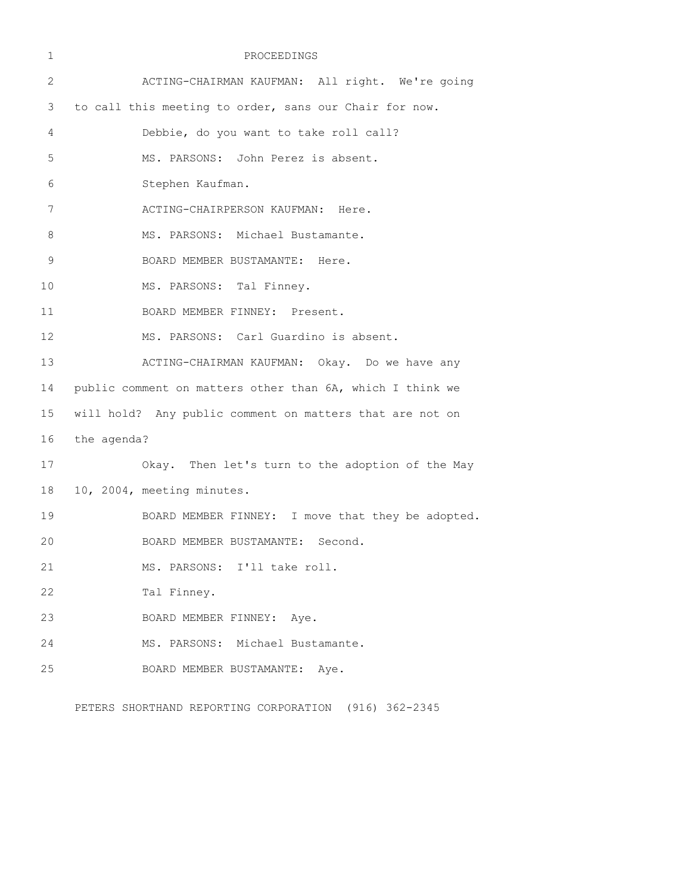| 1  |             | PROCEEDINGS                                               |
|----|-------------|-----------------------------------------------------------|
| 2  |             | ACTING-CHAIRMAN KAUFMAN: All right. We're going           |
| 3  |             | to call this meeting to order, sans our Chair for now.    |
| 4  |             | Debbie, do you want to take roll call?                    |
| 5  |             | MS. PARSONS: John Perez is absent.                        |
| 6  |             | Stephen Kaufman.                                          |
| 7  |             | ACTING-CHAIRPERSON KAUFMAN: Here.                         |
| 8  |             | MS. PARSONS: Michael Bustamante.                          |
| 9  |             | BOARD MEMBER BUSTAMANTE: Here.                            |
| 10 |             | MS. PARSONS: Tal Finney.                                  |
| 11 |             | BOARD MEMBER FINNEY: Present.                             |
| 12 |             | MS. PARSONS: Carl Guardino is absent.                     |
| 13 |             | ACTING-CHAIRMAN KAUFMAN: Okay. Do we have any             |
| 14 |             | public comment on matters other than 6A, which I think we |
| 15 |             | will hold? Any public comment on matters that are not on  |
| 16 | the agenda? |                                                           |
| 17 |             | Okay. Then let's turn to the adoption of the May          |
| 18 |             | 10, 2004, meeting minutes.                                |
| 19 |             | BOARD MEMBER FINNEY: I move that they be adopted.         |
| 20 |             | BOARD MEMBER BUSTAMANTE: Second.                          |
| 21 |             | MS. PARSONS: I'll take roll.                              |
| 22 |             | Tal Finney.                                               |
| 23 |             | BOARD MEMBER FINNEY: Aye.                                 |
| 24 |             | MS. PARSONS: Michael Bustamante.                          |
| 25 |             | BOARD MEMBER BUSTAMANTE:<br>Aye.                          |
|    |             |                                                           |

PETERS SHORTHAND REPORTING CORPORATION (916) 362-2345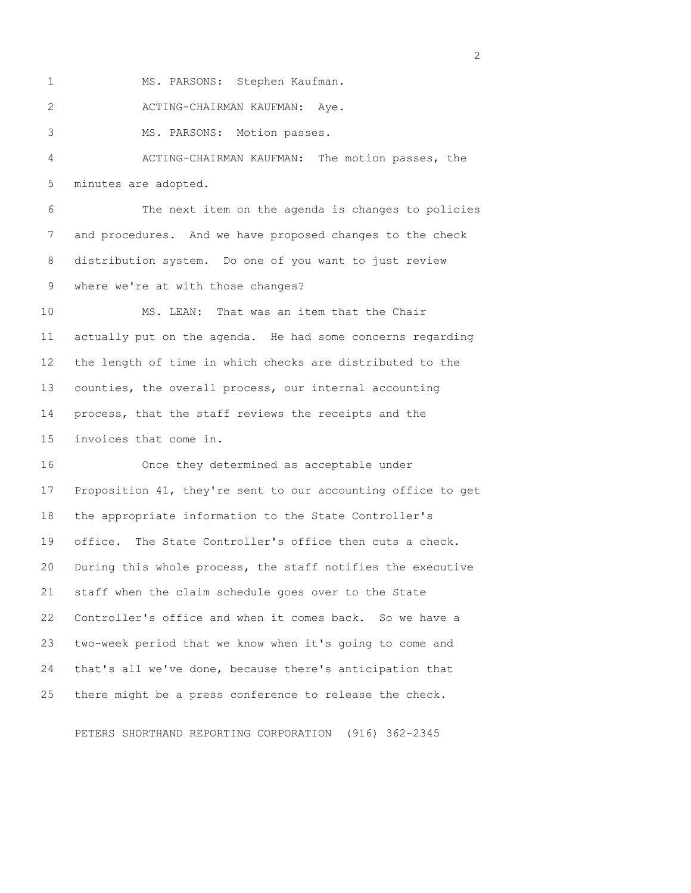1 MS. PARSONS: Stephen Kaufman. 2 ACTING-CHAIRMAN KAUFMAN: Aye. 3 MS. PARSONS: Motion passes. 4 ACTING-CHAIRMAN KAUFMAN: The motion passes, the 5 minutes are adopted.

 6 The next item on the agenda is changes to policies 7 and procedures. And we have proposed changes to the check 8 distribution system. Do one of you want to just review 9 where we're at with those changes?

10 MS. LEAN: That was an item that the Chair 11 actually put on the agenda. He had some concerns regarding 12 the length of time in which checks are distributed to the 13 counties, the overall process, our internal accounting 14 process, that the staff reviews the receipts and the 15 invoices that come in.

16 Once they determined as acceptable under 17 Proposition 41, they're sent to our accounting office to get 18 the appropriate information to the State Controller's 19 office. The State Controller's office then cuts a check. 20 During this whole process, the staff notifies the executive 21 staff when the claim schedule goes over to the State 22 Controller's office and when it comes back. So we have a 23 two-week period that we know when it's going to come and 24 that's all we've done, because there's anticipation that 25 there might be a press conference to release the check.

PETERS SHORTHAND REPORTING CORPORATION (916) 362-2345

 $\overline{2}$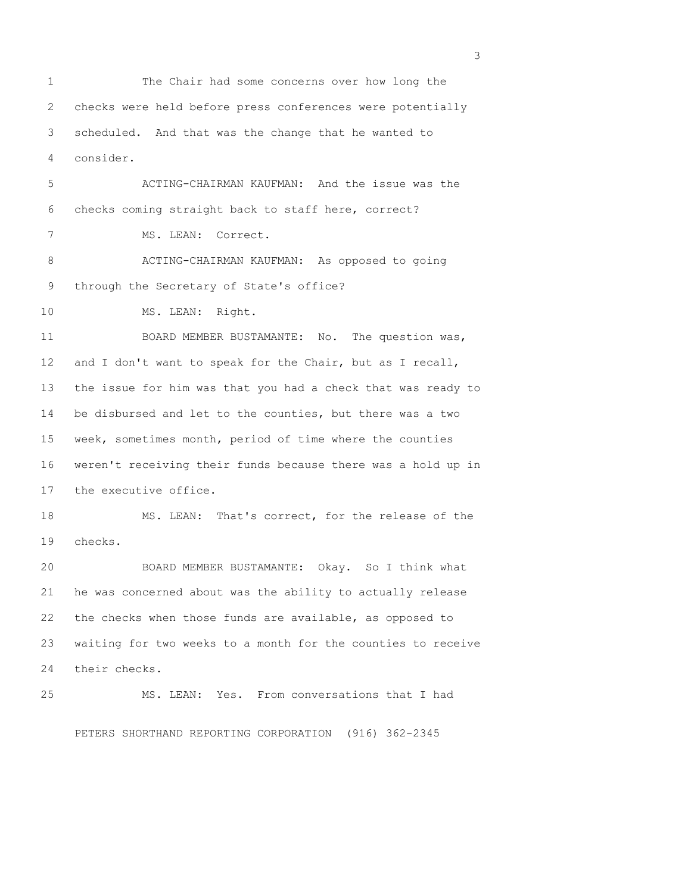1 The Chair had some concerns over how long the 2 checks were held before press conferences were potentially 3 scheduled. And that was the change that he wanted to 4 consider.

 5 ACTING-CHAIRMAN KAUFMAN: And the issue was the 6 checks coming straight back to staff here, correct? 7 MS. LEAN: Correct. 8 ACTING-CHAIRMAN KAUFMAN: As opposed to going 9 through the Secretary of State's office? 10 MS. LEAN: Right.

11 BOARD MEMBER BUSTAMANTE: No. The question was, 12 and I don't want to speak for the Chair, but as I recall, 13 the issue for him was that you had a check that was ready to 14 be disbursed and let to the counties, but there was a two 15 week, sometimes month, period of time where the counties 16 weren't receiving their funds because there was a hold up in 17 the executive office.

18 MS. LEAN: That's correct, for the release of the 19 checks.

20 BOARD MEMBER BUSTAMANTE: Okay. So I think what 21 he was concerned about was the ability to actually release 22 the checks when those funds are available, as opposed to 23 waiting for two weeks to a month for the counties to receive 24 their checks.

25 MS. LEAN: Yes. From conversations that I had

PETERS SHORTHAND REPORTING CORPORATION (916) 362-2345

 $\sim$  3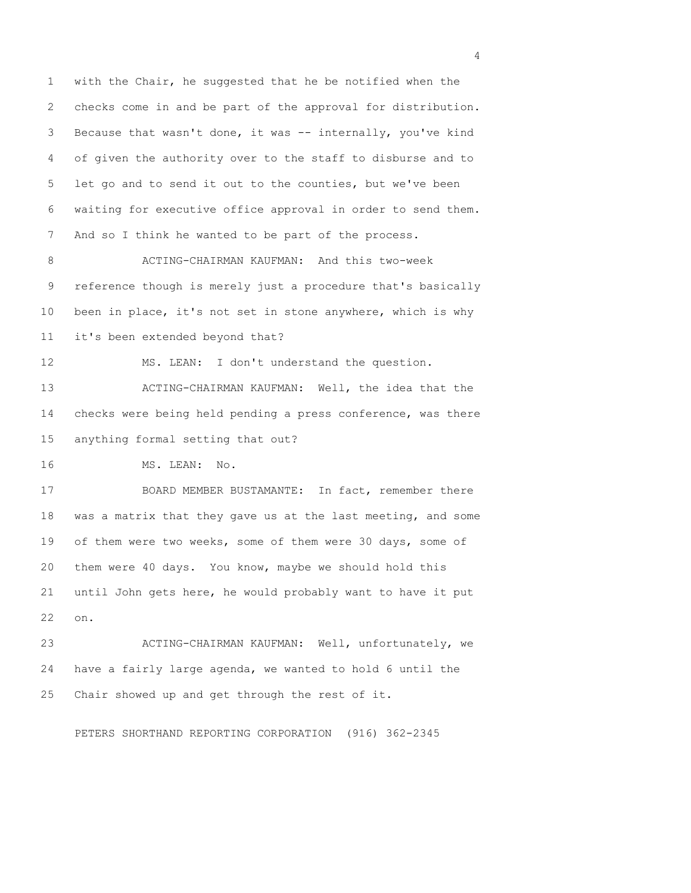1 with the Chair, he suggested that he be notified when the 2 checks come in and be part of the approval for distribution. 3 Because that wasn't done, it was -- internally, you've kind 4 of given the authority over to the staff to disburse and to 5 let go and to send it out to the counties, but we've been 6 waiting for executive office approval in order to send them. 7 And so I think he wanted to be part of the process. 8 ACTING-CHAIRMAN KAUFMAN: And this two-week 9 reference though is merely just a procedure that's basically 10 been in place, it's not set in stone anywhere, which is why 11 it's been extended beyond that? 12 MS. LEAN: I don't understand the question. 13 ACTING-CHAIRMAN KAUFMAN: Well, the idea that the 14 checks were being held pending a press conference, was there 15 anything formal setting that out? 16 MS. LEAN: No. 17 BOARD MEMBER BUSTAMANTE: In fact, remember there 18 was a matrix that they gave us at the last meeting, and some 19 of them were two weeks, some of them were 30 days, some of 20 them were 40 days. You know, maybe we should hold this

21 until John gets here, he would probably want to have it put 22 on.

23 ACTING-CHAIRMAN KAUFMAN: Well, unfortunately, we 24 have a fairly large agenda, we wanted to hold 6 until the 25 Chair showed up and get through the rest of it.

PETERS SHORTHAND REPORTING CORPORATION (916) 362-2345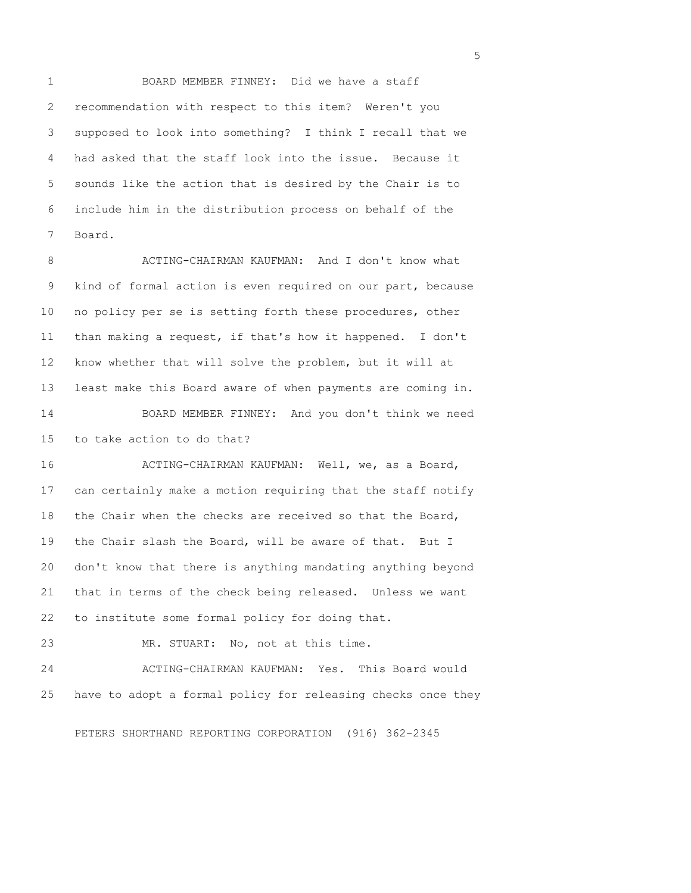1 BOARD MEMBER FINNEY: Did we have a staff 2 recommendation with respect to this item? Weren't you 3 supposed to look into something? I think I recall that we 4 had asked that the staff look into the issue. Because it 5 sounds like the action that is desired by the Chair is to 6 include him in the distribution process on behalf of the 7 Board.

 8 ACTING-CHAIRMAN KAUFMAN: And I don't know what 9 kind of formal action is even required on our part, because 10 no policy per se is setting forth these procedures, other 11 than making a request, if that's how it happened. I don't 12 know whether that will solve the problem, but it will at 13 least make this Board aware of when payments are coming in. 14 BOARD MEMBER FINNEY: And you don't think we need 15 to take action to do that?

16 ACTING-CHAIRMAN KAUFMAN: Well, we, as a Board, 17 can certainly make a motion requiring that the staff notify 18 the Chair when the checks are received so that the Board, 19 the Chair slash the Board, will be aware of that. But I 20 don't know that there is anything mandating anything beyond 21 that in terms of the check being released. Unless we want 22 to institute some formal policy for doing that.

23 MR. STUART: No, not at this time.

24 ACTING-CHAIRMAN KAUFMAN: Yes. This Board would 25 have to adopt a formal policy for releasing checks once they

PETERS SHORTHAND REPORTING CORPORATION (916) 362-2345

 $\sim$  5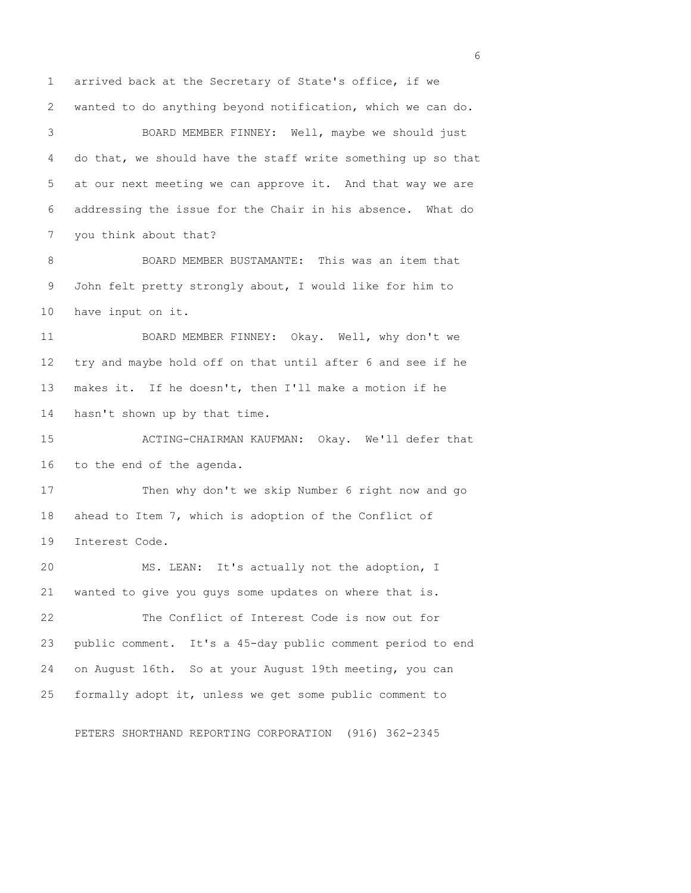1 arrived back at the Secretary of State's office, if we 2 wanted to do anything beyond notification, which we can do. 3 BOARD MEMBER FINNEY: Well, maybe we should just 4 do that, we should have the staff write something up so that 5 at our next meeting we can approve it. And that way we are 6 addressing the issue for the Chair in his absence. What do 7 you think about that? 8 BOARD MEMBER BUSTAMANTE: This was an item that 9 John felt pretty strongly about, I would like for him to 10 have input on it. 11 BOARD MEMBER FINNEY: Okay. Well, why don't we 12 try and maybe hold off on that until after 6 and see if he 13 makes it. If he doesn't, then I'll make a motion if he 14 hasn't shown up by that time. 15 ACTING-CHAIRMAN KAUFMAN: Okay. We'll defer that 16 to the end of the agenda. 17 Then why don't we skip Number 6 right now and go 18 ahead to Item 7, which is adoption of the Conflict of 19 Interest Code. 20 MS. LEAN: It's actually not the adoption, I 21 wanted to give you guys some updates on where that is. 22 The Conflict of Interest Code is now out for 23 public comment. It's a 45-day public comment period to end 24 on August 16th. So at your August 19th meeting, you can 25 formally adopt it, unless we get some public comment to

PETERS SHORTHAND REPORTING CORPORATION (916) 362-2345

 $\sim$  6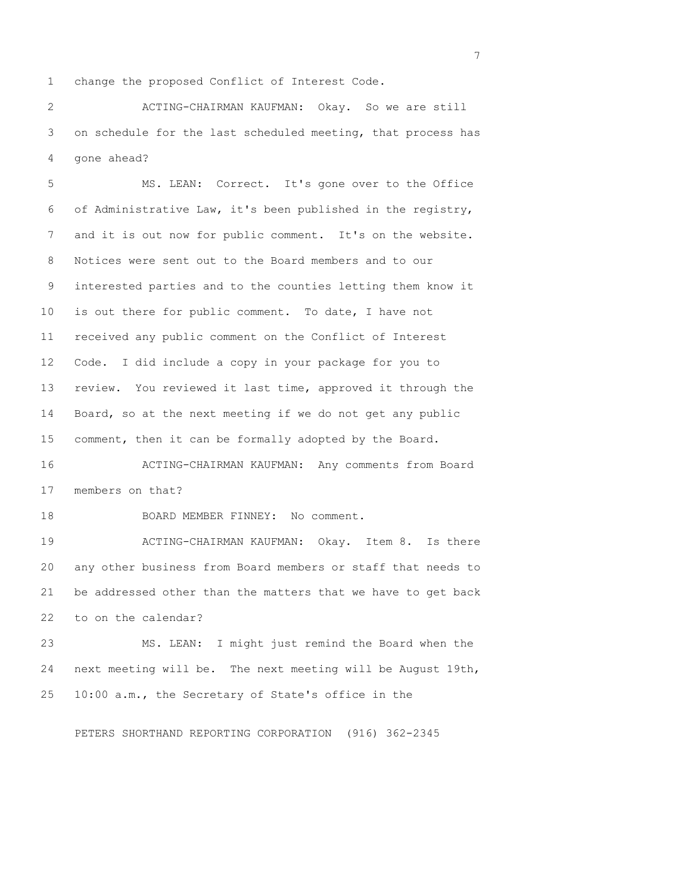1 change the proposed Conflict of Interest Code.

 2 ACTING-CHAIRMAN KAUFMAN: Okay. So we are still 3 on schedule for the last scheduled meeting, that process has 4 gone ahead?

 5 MS. LEAN: Correct. It's gone over to the Office 6 of Administrative Law, it's been published in the registry, 7 and it is out now for public comment. It's on the website. 8 Notices were sent out to the Board members and to our 9 interested parties and to the counties letting them know it 10 is out there for public comment. To date, I have not 11 received any public comment on the Conflict of Interest 12 Code. I did include a copy in your package for you to 13 review. You reviewed it last time, approved it through the 14 Board, so at the next meeting if we do not get any public 15 comment, then it can be formally adopted by the Board.

16 ACTING-CHAIRMAN KAUFMAN: Any comments from Board 17 members on that?

18 BOARD MEMBER FINNEY: No comment.

19 ACTING-CHAIRMAN KAUFMAN: Okay. Item 8. Is there 20 any other business from Board members or staff that needs to 21 be addressed other than the matters that we have to get back 22 to on the calendar?

23 MS. LEAN: I might just remind the Board when the 24 next meeting will be. The next meeting will be August 19th, 25 10:00 a.m., the Secretary of State's office in the

PETERS SHORTHAND REPORTING CORPORATION (916) 362-2345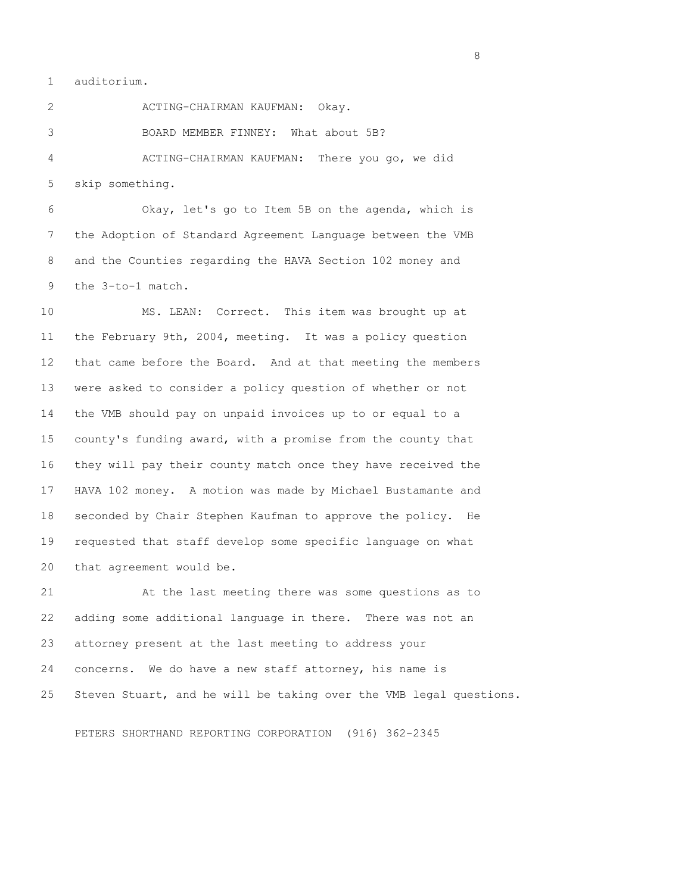1 auditorium.

 2 ACTING-CHAIRMAN KAUFMAN: Okay. 3 BOARD MEMBER FINNEY: What about 5B? 4 ACTING-CHAIRMAN KAUFMAN: There you go, we did 5 skip something.

 6 Okay, let's go to Item 5B on the agenda, which is 7 the Adoption of Standard Agreement Language between the VMB 8 and the Counties regarding the HAVA Section 102 money and 9 the 3-to-1 match.

10 MS. LEAN: Correct. This item was brought up at 11 the February 9th, 2004, meeting. It was a policy question 12 that came before the Board. And at that meeting the members 13 were asked to consider a policy question of whether or not 14 the VMB should pay on unpaid invoices up to or equal to a 15 county's funding award, with a promise from the county that 16 they will pay their county match once they have received the 17 HAVA 102 money. A motion was made by Michael Bustamante and 18 seconded by Chair Stephen Kaufman to approve the policy. He 19 requested that staff develop some specific language on what 20 that agreement would be.

21 At the last meeting there was some questions as to 22 adding some additional language in there. There was not an 23 attorney present at the last meeting to address your 24 concerns. We do have a new staff attorney, his name is 25 Steven Stuart, and he will be taking over the VMB legal questions.

PETERS SHORTHAND REPORTING CORPORATION (916) 362-2345

en andere en de la provincia de la provincia de la provincia de la provincia de la provincia de la provincia d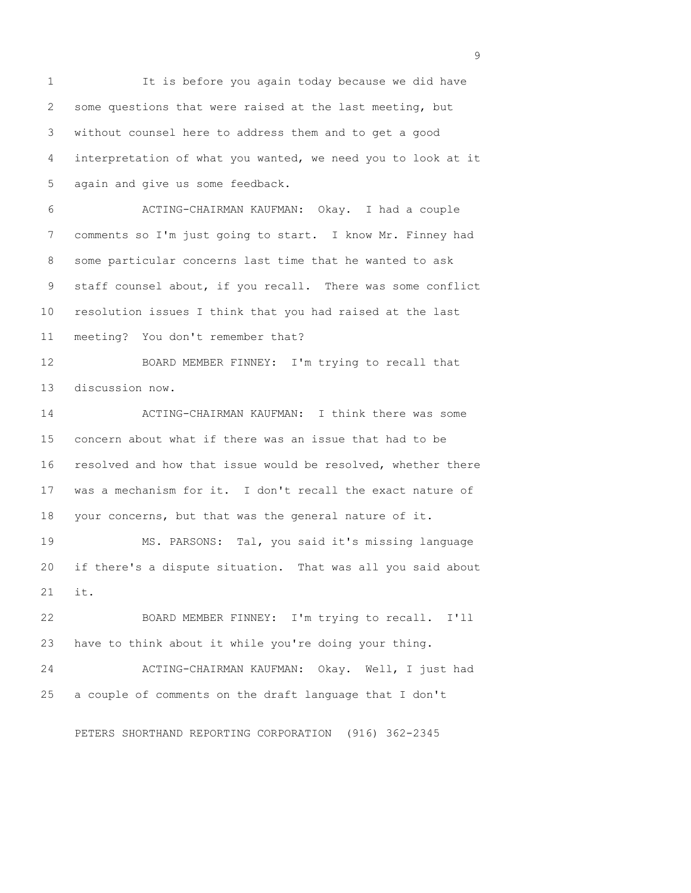1 It is before you again today because we did have 2 some questions that were raised at the last meeting, but 3 without counsel here to address them and to get a good 4 interpretation of what you wanted, we need you to look at it 5 again and give us some feedback. 6 ACTING-CHAIRMAN KAUFMAN: Okay. I had a couple 7 comments so I'm just going to start. I know Mr. Finney had 8 some particular concerns last time that he wanted to ask 9 staff counsel about, if you recall. There was some conflict 10 resolution issues I think that you had raised at the last 11 meeting? You don't remember that? 12 BOARD MEMBER FINNEY: I'm trying to recall that 13 discussion now. 14 ACTING-CHAIRMAN KAUFMAN: I think there was some 15 concern about what if there was an issue that had to be 16 resolved and how that issue would be resolved, whether there 17 was a mechanism for it. I don't recall the exact nature of 18 your concerns, but that was the general nature of it. 19 MS. PARSONS: Tal, you said it's missing language 20 if there's a dispute situation. That was all you said about 21 it. 22 BOARD MEMBER FINNEY: I'm trying to recall. I'll 23 have to think about it while you're doing your thing. 24 ACTING-CHAIRMAN KAUFMAN: Okay. Well, I just had 25 a couple of comments on the draft language that I don't

PETERS SHORTHAND REPORTING CORPORATION (916) 362-2345

en de la construction de la construction de la construction de la construction de la construction de la constr<br>1911 : la construction de la construction de la construction de la construction de la construction de la const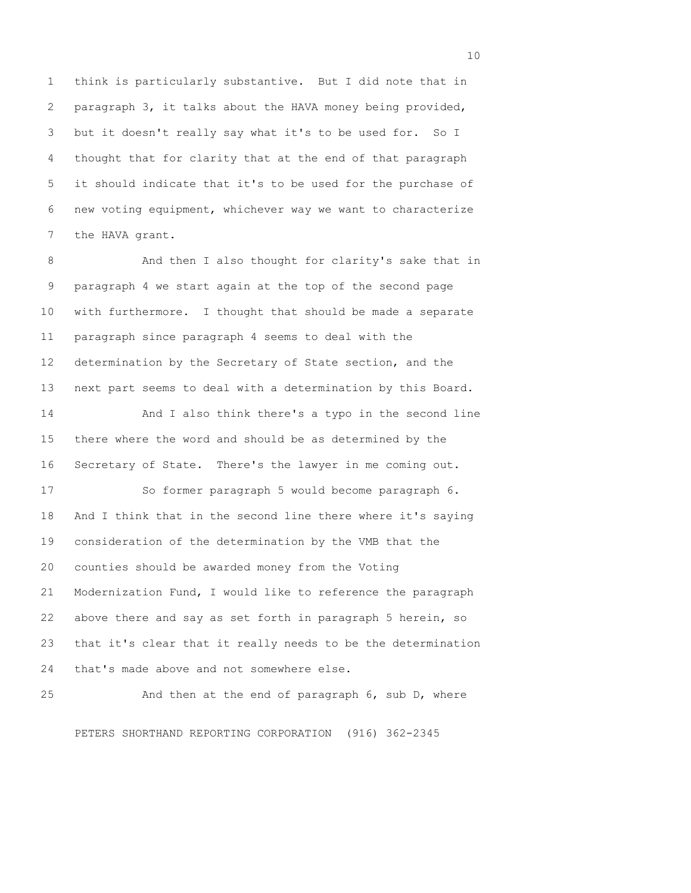1 think is particularly substantive. But I did note that in 2 paragraph 3, it talks about the HAVA money being provided, 3 but it doesn't really say what it's to be used for. So I 4 thought that for clarity that at the end of that paragraph 5 it should indicate that it's to be used for the purchase of 6 new voting equipment, whichever way we want to characterize 7 the HAVA grant.

8 And then I also thought for clarity's sake that in 9 paragraph 4 we start again at the top of the second page 10 with furthermore. I thought that should be made a separate 11 paragraph since paragraph 4 seems to deal with the 12 determination by the Secretary of State section, and the 13 next part seems to deal with a determination by this Board.

14 And I also think there's a typo in the second line 15 there where the word and should be as determined by the 16 Secretary of State. There's the lawyer in me coming out.

17 So former paragraph 5 would become paragraph 6. 18 And I think that in the second line there where it's saying 19 consideration of the determination by the VMB that the 20 counties should be awarded money from the Voting 21 Modernization Fund, I would like to reference the paragraph 22 above there and say as set forth in paragraph 5 herein, so 23 that it's clear that it really needs to be the determination 24 that's made above and not somewhere else.

25 And then at the end of paragraph 6, sub D, where PETERS SHORTHAND REPORTING CORPORATION (916) 362-2345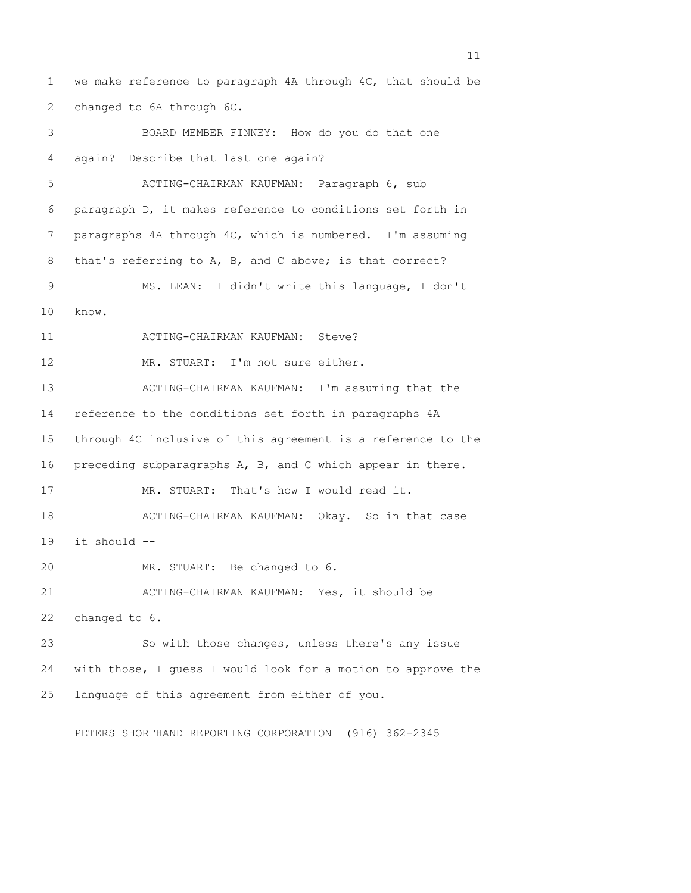1 we make reference to paragraph 4A through 4C, that should be 2 changed to 6A through 6C. 3 BOARD MEMBER FINNEY: How do you do that one 4 again? Describe that last one again? 5 ACTING-CHAIRMAN KAUFMAN: Paragraph 6, sub 6 paragraph D, it makes reference to conditions set forth in 7 paragraphs 4A through 4C, which is numbered. I'm assuming 8 that's referring to A, B, and C above; is that correct? 9 MS. LEAN: I didn't write this language, I don't 10 know. 11 ACTING-CHAIRMAN KAUFMAN: Steve? 12 MR. STUART: I'm not sure either. 13 ACTING-CHAIRMAN KAUFMAN: I'm assuming that the 14 reference to the conditions set forth in paragraphs 4A 15 through 4C inclusive of this agreement is a reference to the 16 preceding subparagraphs A, B, and C which appear in there. 17 MR. STUART: That's how I would read it. 18 ACTING-CHAIRMAN KAUFMAN: Okay. So in that case 19 it should -- 20 MR. STUART: Be changed to 6. 21 ACTING-CHAIRMAN KAUFMAN: Yes, it should be 22 changed to 6. 23 So with those changes, unless there's any issue 24 with those, I guess I would look for a motion to approve the 25 language of this agreement from either of you.

PETERS SHORTHAND REPORTING CORPORATION (916) 362-2345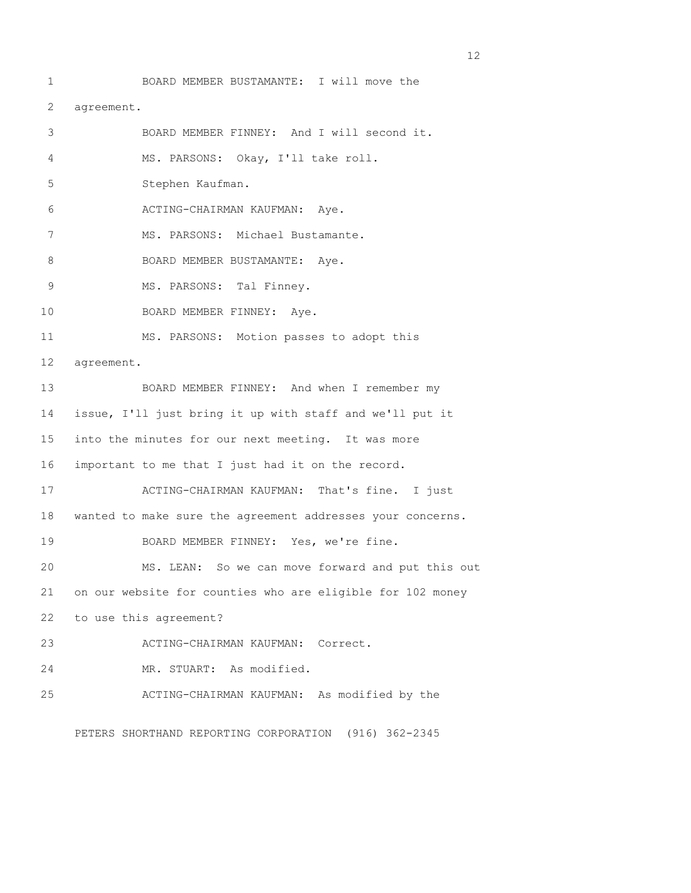1 BOARD MEMBER BUSTAMANTE: I will move the 2 agreement. 3 BOARD MEMBER FINNEY: And I will second it. 4 MS. PARSONS: Okay, I'll take roll. 5 Stephen Kaufman. 6 ACTING-CHAIRMAN KAUFMAN: Aye. 7 MS. PARSONS: Michael Bustamante. 8 BOARD MEMBER BUSTAMANTE: Aye. 9 MS. PARSONS: Tal Finney. 10 BOARD MEMBER FINNEY: Aye. 11 MS. PARSONS: Motion passes to adopt this 12 agreement. 13 BOARD MEMBER FINNEY: And when I remember my 14 issue, I'll just bring it up with staff and we'll put it 15 into the minutes for our next meeting. It was more 16 important to me that I just had it on the record. 17 ACTING-CHAIRMAN KAUFMAN: That's fine. I just 18 wanted to make sure the agreement addresses your concerns. 19 BOARD MEMBER FINNEY: Yes, we're fine. 20 MS. LEAN: So we can move forward and put this out 21 on our website for counties who are eligible for 102 money 22 to use this agreement? 23 ACTING-CHAIRMAN KAUFMAN: Correct. 24 MR. STUART: As modified. 25 ACTING-CHAIRMAN KAUFMAN: As modified by the

PETERS SHORTHAND REPORTING CORPORATION (916) 362-2345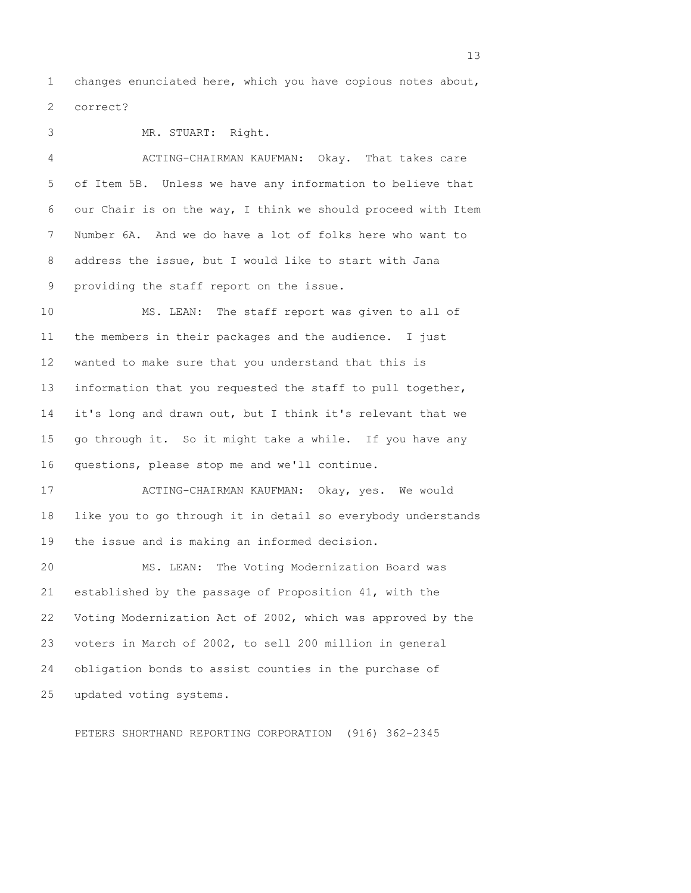1 changes enunciated here, which you have copious notes about, 2 correct?

3 MR. STUART: Right.

 4 ACTING-CHAIRMAN KAUFMAN: Okay. That takes care 5 of Item 5B. Unless we have any information to believe that 6 our Chair is on the way, I think we should proceed with Item 7 Number 6A. And we do have a lot of folks here who want to 8 address the issue, but I would like to start with Jana 9 providing the staff report on the issue.

10 MS. LEAN: The staff report was given to all of 11 the members in their packages and the audience. I just 12 wanted to make sure that you understand that this is 13 information that you requested the staff to pull together, 14 it's long and drawn out, but I think it's relevant that we 15 go through it. So it might take a while. If you have any 16 questions, please stop me and we'll continue.

17 ACTING-CHAIRMAN KAUFMAN: Okay, yes. We would 18 like you to go through it in detail so everybody understands 19 the issue and is making an informed decision.

20 MS. LEAN: The Voting Modernization Board was 21 established by the passage of Proposition 41, with the 22 Voting Modernization Act of 2002, which was approved by the 23 voters in March of 2002, to sell 200 million in general 24 obligation bonds to assist counties in the purchase of 25 updated voting systems.

PETERS SHORTHAND REPORTING CORPORATION (916) 362-2345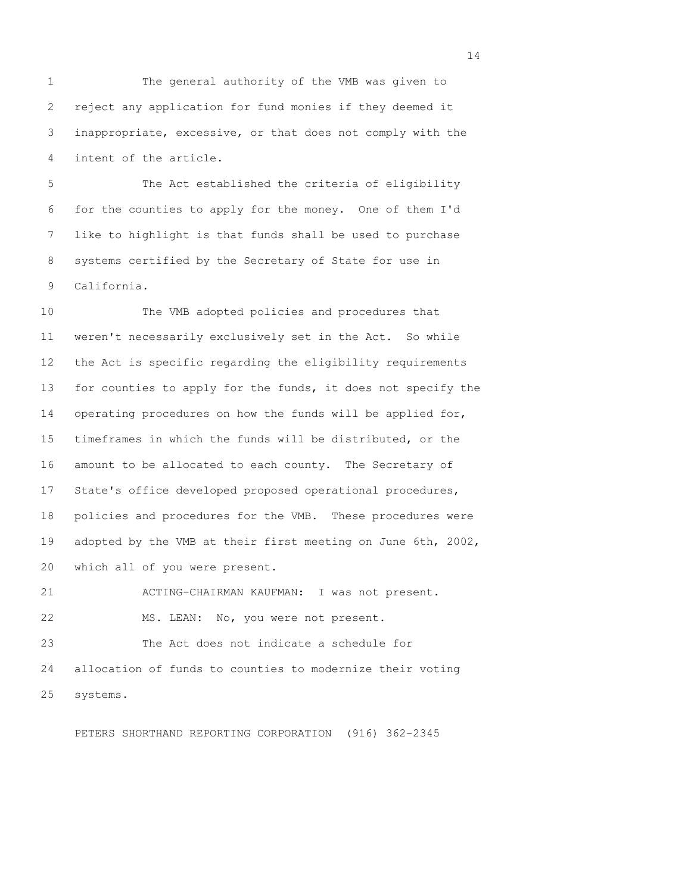1 The general authority of the VMB was given to 2 reject any application for fund monies if they deemed it 3 inappropriate, excessive, or that does not comply with the 4 intent of the article.

 5 The Act established the criteria of eligibility 6 for the counties to apply for the money. One of them I'd 7 like to highlight is that funds shall be used to purchase 8 systems certified by the Secretary of State for use in 9 California.

10 The VMB adopted policies and procedures that 11 weren't necessarily exclusively set in the Act. So while 12 the Act is specific regarding the eligibility requirements 13 for counties to apply for the funds, it does not specify the 14 operating procedures on how the funds will be applied for, 15 timeframes in which the funds will be distributed, or the 16 amount to be allocated to each county. The Secretary of 17 State's office developed proposed operational procedures, 18 policies and procedures for the VMB. These procedures were 19 adopted by the VMB at their first meeting on June 6th, 2002, 20 which all of you were present.

21 ACTING-CHAIRMAN KAUFMAN: I was not present. 22 MS. LEAN: No, you were not present.

23 The Act does not indicate a schedule for 24 allocation of funds to counties to modernize their voting 25 systems.

PETERS SHORTHAND REPORTING CORPORATION (916) 362-2345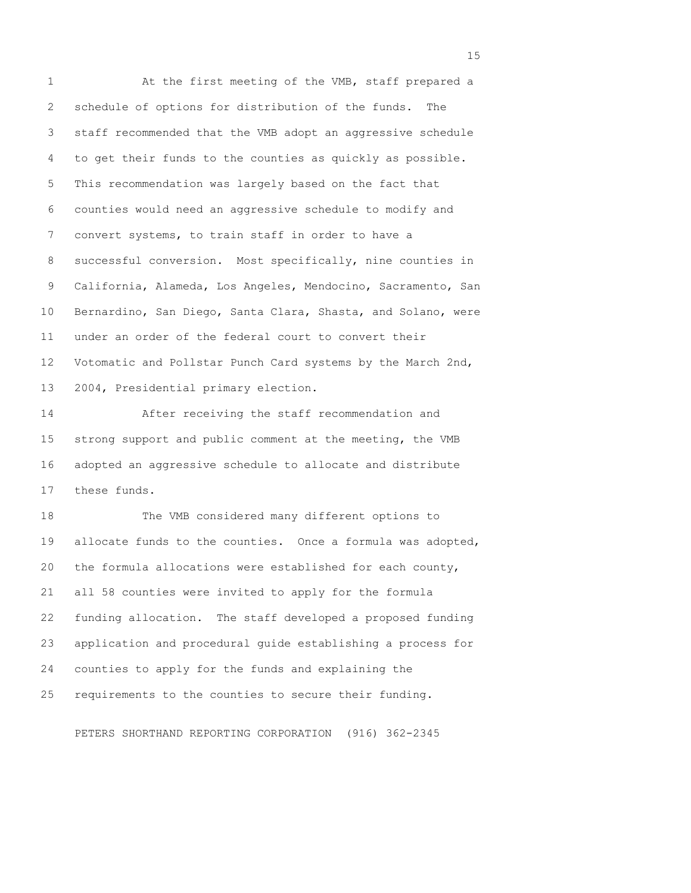1 At the first meeting of the VMB, staff prepared a 2 schedule of options for distribution of the funds. The 3 staff recommended that the VMB adopt an aggressive schedule 4 to get their funds to the counties as quickly as possible. 5 This recommendation was largely based on the fact that 6 counties would need an aggressive schedule to modify and 7 convert systems, to train staff in order to have a 8 successful conversion. Most specifically, nine counties in 9 California, Alameda, Los Angeles, Mendocino, Sacramento, San 10 Bernardino, San Diego, Santa Clara, Shasta, and Solano, were 11 under an order of the federal court to convert their 12 Votomatic and Pollstar Punch Card systems by the March 2nd, 13 2004, Presidential primary election.

14 After receiving the staff recommendation and 15 strong support and public comment at the meeting, the VMB 16 adopted an aggressive schedule to allocate and distribute 17 these funds.

18 The VMB considered many different options to 19 allocate funds to the counties. Once a formula was adopted, 20 the formula allocations were established for each county, 21 all 58 counties were invited to apply for the formula 22 funding allocation. The staff developed a proposed funding 23 application and procedural guide establishing a process for 24 counties to apply for the funds and explaining the 25 requirements to the counties to secure their funding.

PETERS SHORTHAND REPORTING CORPORATION (916) 362-2345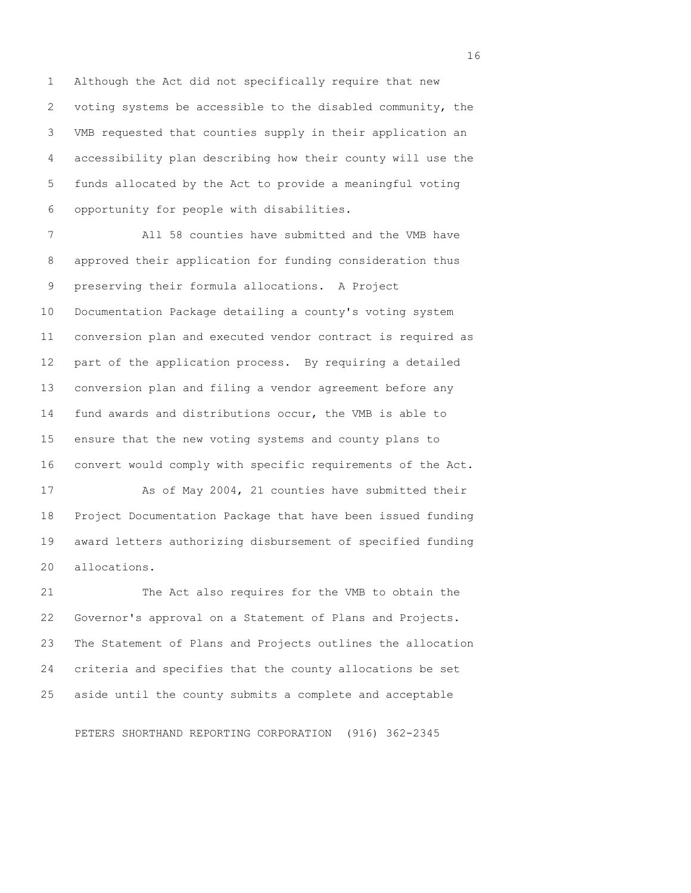1 Although the Act did not specifically require that new 2 voting systems be accessible to the disabled community, the 3 VMB requested that counties supply in their application an 4 accessibility plan describing how their county will use the 5 funds allocated by the Act to provide a meaningful voting 6 opportunity for people with disabilities.

 7 All 58 counties have submitted and the VMB have 8 approved their application for funding consideration thus 9 preserving their formula allocations. A Project 10 Documentation Package detailing a county's voting system 11 conversion plan and executed vendor contract is required as 12 part of the application process. By requiring a detailed 13 conversion plan and filing a vendor agreement before any 14 fund awards and distributions occur, the VMB is able to 15 ensure that the new voting systems and county plans to 16 convert would comply with specific requirements of the Act.

17 As of May 2004, 21 counties have submitted their 18 Project Documentation Package that have been issued funding 19 award letters authorizing disbursement of specified funding 20 allocations.

21 The Act also requires for the VMB to obtain the 22 Governor's approval on a Statement of Plans and Projects. 23 The Statement of Plans and Projects outlines the allocation 24 criteria and specifies that the county allocations be set 25 aside until the county submits a complete and acceptable

PETERS SHORTHAND REPORTING CORPORATION (916) 362-2345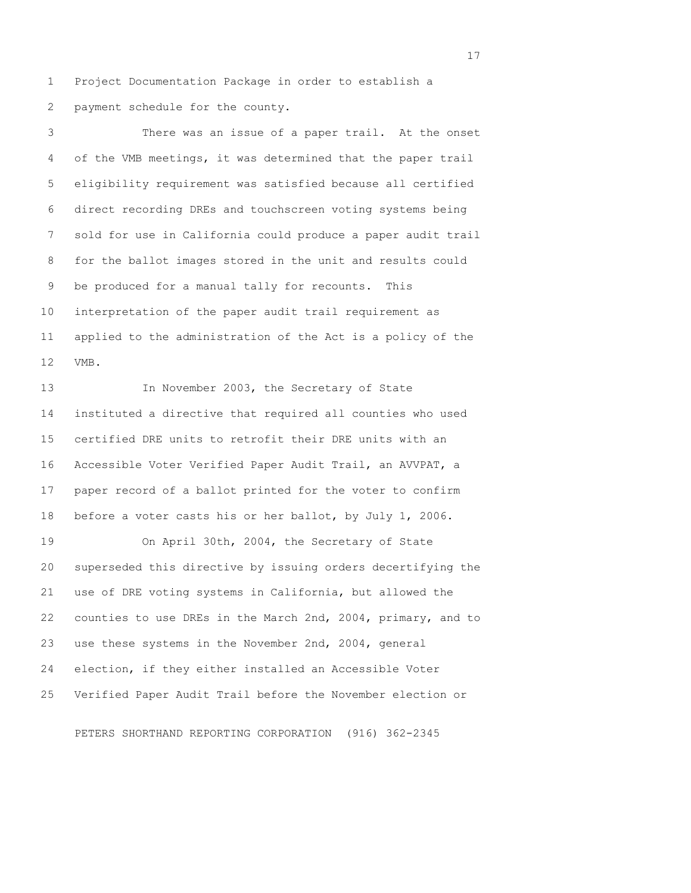1 Project Documentation Package in order to establish a 2 payment schedule for the county.

 3 There was an issue of a paper trail. At the onset 4 of the VMB meetings, it was determined that the paper trail 5 eligibility requirement was satisfied because all certified 6 direct recording DREs and touchscreen voting systems being 7 sold for use in California could produce a paper audit trail 8 for the ballot images stored in the unit and results could 9 be produced for a manual tally for recounts. This 10 interpretation of the paper audit trail requirement as 11 applied to the administration of the Act is a policy of the 12 VMB.

13 In November 2003, the Secretary of State 14 instituted a directive that required all counties who used 15 certified DRE units to retrofit their DRE units with an 16 Accessible Voter Verified Paper Audit Trail, an AVVPAT, a 17 paper record of a ballot printed for the voter to confirm 18 before a voter casts his or her ballot, by July 1, 2006.

19 On April 30th, 2004, the Secretary of State 20 superseded this directive by issuing orders decertifying the 21 use of DRE voting systems in California, but allowed the 22 counties to use DREs in the March 2nd, 2004, primary, and to 23 use these systems in the November 2nd, 2004, general 24 election, if they either installed an Accessible Voter 25 Verified Paper Audit Trail before the November election or

PETERS SHORTHAND REPORTING CORPORATION (916) 362-2345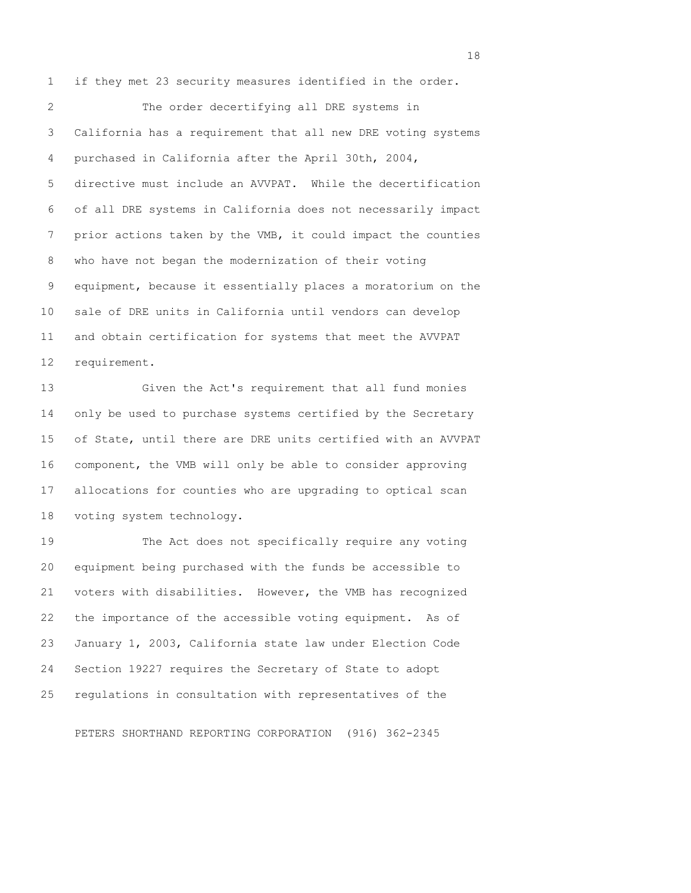1 if they met 23 security measures identified in the order.

 2 The order decertifying all DRE systems in 3 California has a requirement that all new DRE voting systems 4 purchased in California after the April 30th, 2004, 5 directive must include an AVVPAT. While the decertification 6 of all DRE systems in California does not necessarily impact 7 prior actions taken by the VMB, it could impact the counties 8 who have not began the modernization of their voting 9 equipment, because it essentially places a moratorium on the 10 sale of DRE units in California until vendors can develop 11 and obtain certification for systems that meet the AVVPAT 12 requirement.

13 Given the Act's requirement that all fund monies 14 only be used to purchase systems certified by the Secretary 15 of State, until there are DRE units certified with an AVVPAT 16 component, the VMB will only be able to consider approving 17 allocations for counties who are upgrading to optical scan 18 voting system technology.

19 The Act does not specifically require any voting 20 equipment being purchased with the funds be accessible to 21 voters with disabilities. However, the VMB has recognized 22 the importance of the accessible voting equipment. As of 23 January 1, 2003, California state law under Election Code 24 Section 19227 requires the Secretary of State to adopt 25 regulations in consultation with representatives of the

PETERS SHORTHAND REPORTING CORPORATION (916) 362-2345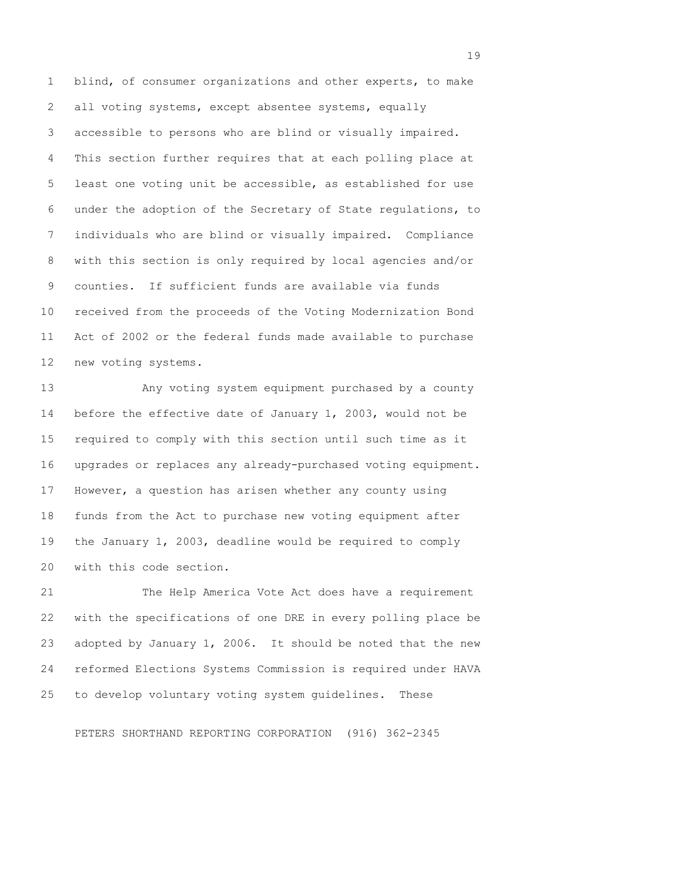1 blind, of consumer organizations and other experts, to make 2 all voting systems, except absentee systems, equally 3 accessible to persons who are blind or visually impaired. 4 This section further requires that at each polling place at 5 least one voting unit be accessible, as established for use 6 under the adoption of the Secretary of State regulations, to 7 individuals who are blind or visually impaired. Compliance 8 with this section is only required by local agencies and/or 9 counties. If sufficient funds are available via funds 10 received from the proceeds of the Voting Modernization Bond 11 Act of 2002 or the federal funds made available to purchase 12 new voting systems.

13 Any voting system equipment purchased by a county 14 before the effective date of January 1, 2003, would not be 15 required to comply with this section until such time as it 16 upgrades or replaces any already-purchased voting equipment. 17 However, a question has arisen whether any county using 18 funds from the Act to purchase new voting equipment after 19 the January 1, 2003, deadline would be required to comply 20 with this code section.

21 The Help America Vote Act does have a requirement 22 with the specifications of one DRE in every polling place be 23 adopted by January 1, 2006. It should be noted that the new 24 reformed Elections Systems Commission is required under HAVA 25 to develop voluntary voting system guidelines. These

PETERS SHORTHAND REPORTING CORPORATION (916) 362-2345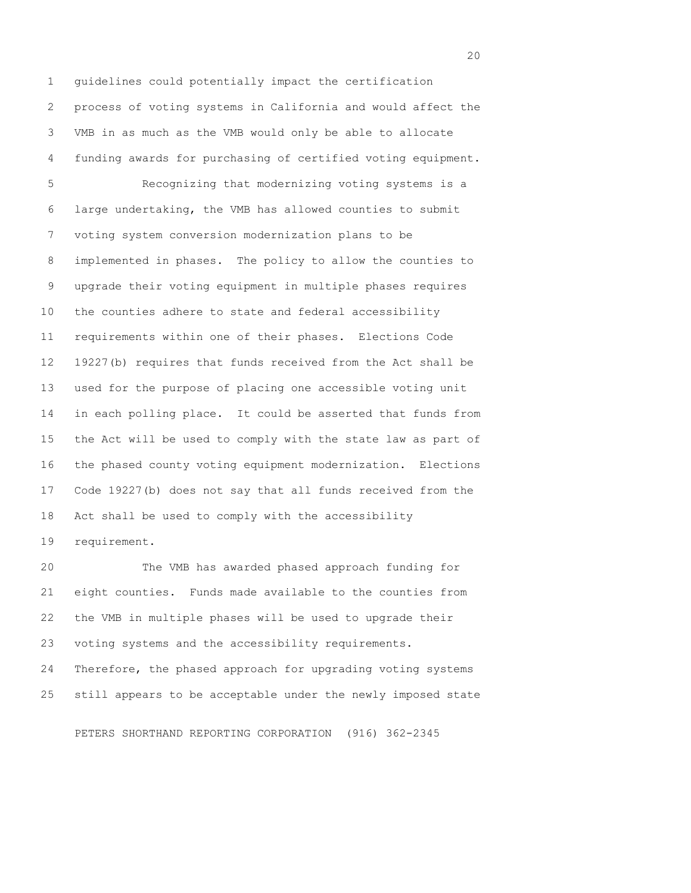1 guidelines could potentially impact the certification 2 process of voting systems in California and would affect the 3 VMB in as much as the VMB would only be able to allocate 4 funding awards for purchasing of certified voting equipment. 5 Recognizing that modernizing voting systems is a 6 large undertaking, the VMB has allowed counties to submit 7 voting system conversion modernization plans to be 8 implemented in phases. The policy to allow the counties to 9 upgrade their voting equipment in multiple phases requires 10 the counties adhere to state and federal accessibility 11 requirements within one of their phases. Elections Code 12 19227(b) requires that funds received from the Act shall be 13 used for the purpose of placing one accessible voting unit 14 in each polling place. It could be asserted that funds from 15 the Act will be used to comply with the state law as part of 16 the phased county voting equipment modernization. Elections 17 Code 19227(b) does not say that all funds received from the 18 Act shall be used to comply with the accessibility 19 requirement.

20 The VMB has awarded phased approach funding for 21 eight counties. Funds made available to the counties from 22 the VMB in multiple phases will be used to upgrade their 23 voting systems and the accessibility requirements. 24 Therefore, the phased approach for upgrading voting systems 25 still appears to be acceptable under the newly imposed state

PETERS SHORTHAND REPORTING CORPORATION (916) 362-2345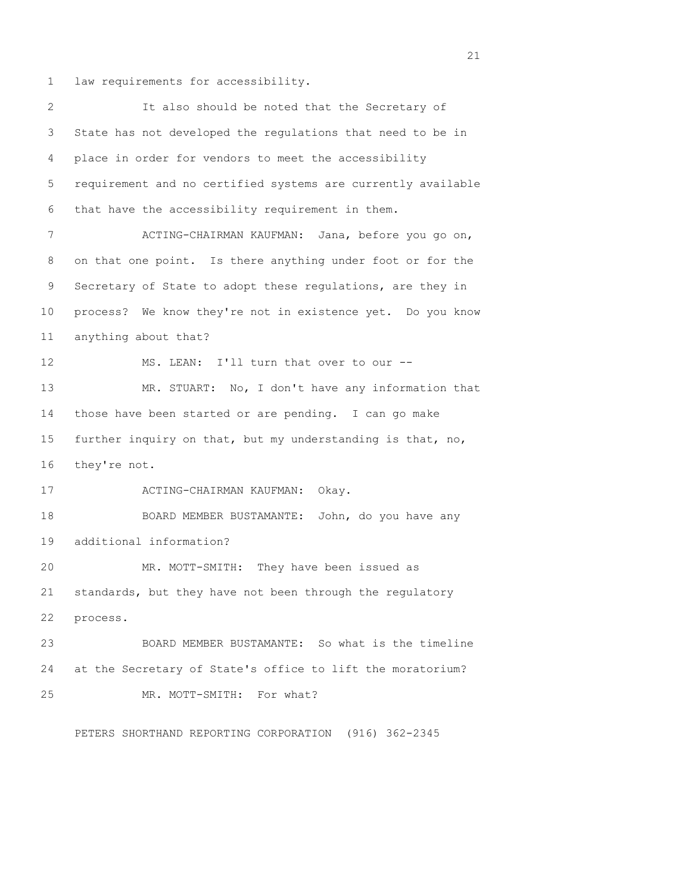1 law requirements for accessibility.

| 2  | It also should be noted that the Secretary of                |  |
|----|--------------------------------------------------------------|--|
| 3  | State has not developed the regulations that need to be in   |  |
| 4  | place in order for vendors to meet the accessibility         |  |
| 5  | requirement and no certified systems are currently available |  |
| 6  | that have the accessibility requirement in them.             |  |
| 7  | ACTING-CHAIRMAN KAUFMAN: Jana, before you go on,             |  |
| 8  | on that one point. Is there anything under foot or for the   |  |
| 9  | Secretary of State to adopt these regulations, are they in   |  |
| 10 | process? We know they're not in existence yet. Do you know   |  |
| 11 | anything about that?                                         |  |
| 12 | MS. LEAN: I'll turn that over to our --                      |  |
| 13 | MR. STUART: No, I don't have any information that            |  |
| 14 | those have been started or are pending. I can go make        |  |
| 15 | further inquiry on that, but my understanding is that, no,   |  |
| 16 | they're not.                                                 |  |
| 17 | ACTING-CHAIRMAN KAUFMAN: Okay.                               |  |
| 18 | BOARD MEMBER BUSTAMANTE: John, do you have any               |  |
| 19 | additional information?                                      |  |
| 20 | MR. MOTT-SMITH: They have been issued as                     |  |
| 21 | standards, but they have not been through the regulatory     |  |
| 22 | process.                                                     |  |
| 23 | BOARD MEMBER BUSTAMANTE: So what is the timeline             |  |
| 24 | at the Secretary of State's office to lift the moratorium?   |  |
| 25 | MR. MOTT-SMITH: For what?                                    |  |

PETERS SHORTHAND REPORTING CORPORATION (916) 362-2345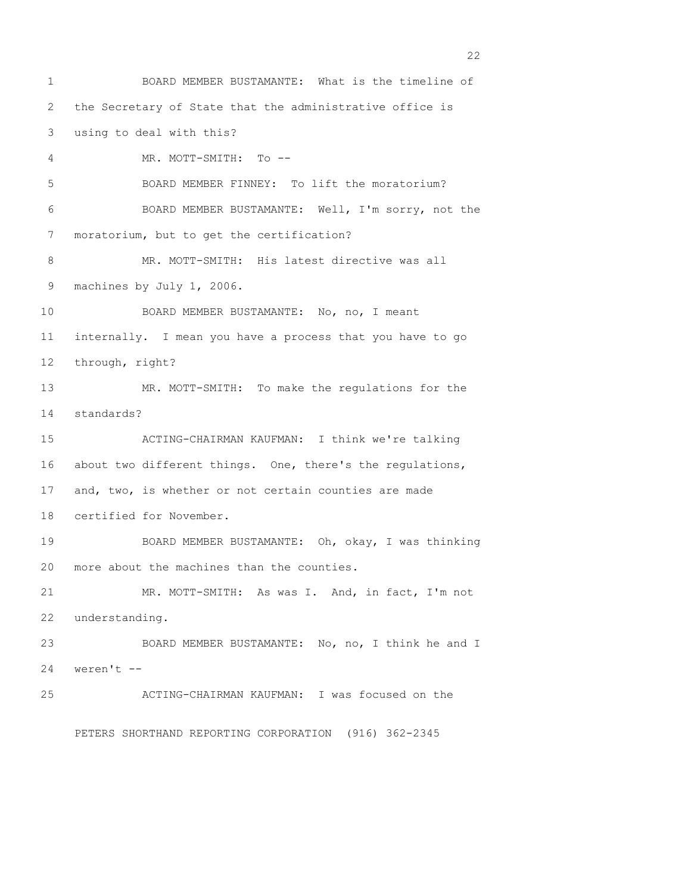1 BOARD MEMBER BUSTAMANTE: What is the timeline of 2 the Secretary of State that the administrative office is 3 using to deal with this? 4 MR. MOTT-SMITH: To -- 5 BOARD MEMBER FINNEY: To lift the moratorium? 6 BOARD MEMBER BUSTAMANTE: Well, I'm sorry, not the 7 moratorium, but to get the certification? 8 MR. MOTT-SMITH: His latest directive was all 9 machines by July 1, 2006. 10 BOARD MEMBER BUSTAMANTE: No, no, I meant 11 internally. I mean you have a process that you have to go 12 through, right? 13 MR. MOTT-SMITH: To make the regulations for the 14 standards? 15 ACTING-CHAIRMAN KAUFMAN: I think we're talking 16 about two different things. One, there's the regulations, 17 and, two, is whether or not certain counties are made 18 certified for November. 19 BOARD MEMBER BUSTAMANTE: Oh, okay, I was thinking 20 more about the machines than the counties. 21 MR. MOTT-SMITH: As was I. And, in fact, I'm not 22 understanding. 23 BOARD MEMBER BUSTAMANTE: No, no, I think he and I 24 weren't -- 25 ACTING-CHAIRMAN KAUFMAN: I was focused on the

PETERS SHORTHAND REPORTING CORPORATION (916) 362-2345

22 and 23 and 23 and 23 and 23 and 23 and 23 and 23 and 23 and 23 and 23 and 23 and 23 and 23 and 23 and 23 and 23 and 23 and 23 and 23 and 23 and 23 and 23 and 23 and 23 and 23 and 23 and 23 and 23 and 23 and 24 and 25 an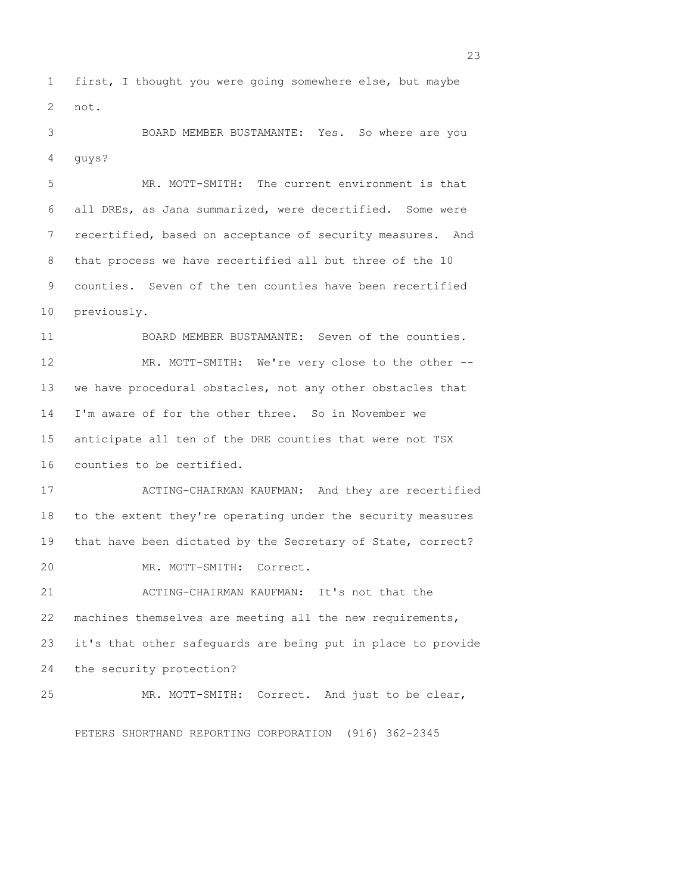1 first, I thought you were going somewhere else, but maybe 2 not.

 3 BOARD MEMBER BUSTAMANTE: Yes. So where are you 4 guys?

 5 MR. MOTT-SMITH: The current environment is that 6 all DREs, as Jana summarized, were decertified. Some were 7 recertified, based on acceptance of security measures. And 8 that process we have recertified all but three of the 10 9 counties. Seven of the ten counties have been recertified 10 previously.

11 BOARD MEMBER BUSTAMANTE: Seven of the counties. 12 MR. MOTT-SMITH: We're very close to the other -- 13 we have procedural obstacles, not any other obstacles that 14 I'm aware of for the other three. So in November we 15 anticipate all ten of the DRE counties that were not TSX 16 counties to be certified.

17 ACTING-CHAIRMAN KAUFMAN: And they are recertified 18 to the extent they're operating under the security measures 19 that have been dictated by the Secretary of State, correct? 20 MR. MOTT-SMITH: Correct.

21 ACTING-CHAIRMAN KAUFMAN: It's not that the 22 machines themselves are meeting all the new requirements, 23 it's that other safeguards are being put in place to provide 24 the security protection?

25 MR. MOTT-SMITH: Correct. And just to be clear,

PETERS SHORTHAND REPORTING CORPORATION (916) 362-2345

<u>23</u>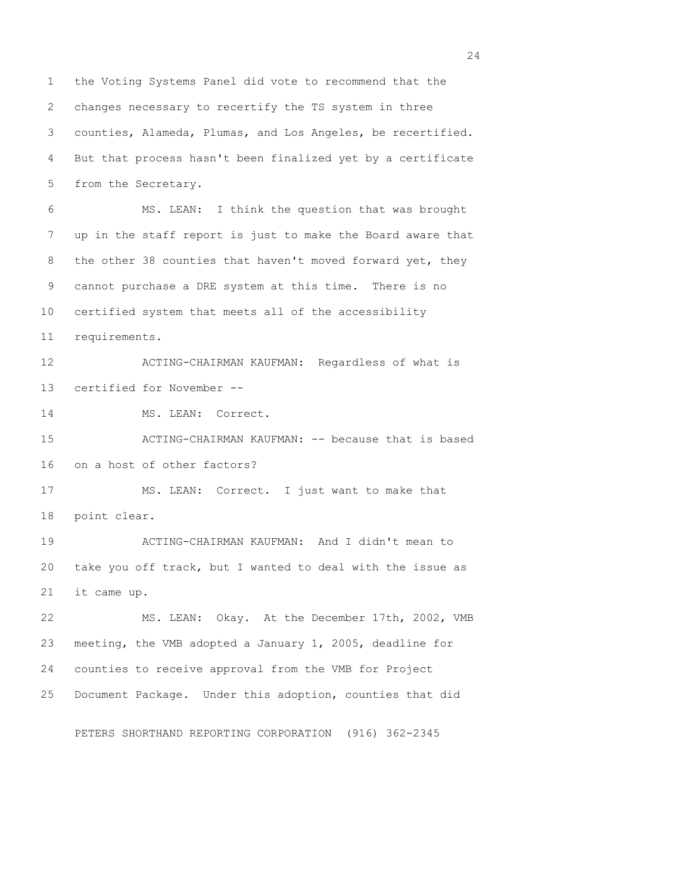1 the Voting Systems Panel did vote to recommend that the 2 changes necessary to recertify the TS system in three 3 counties, Alameda, Plumas, and Los Angeles, be recertified. 4 But that process hasn't been finalized yet by a certificate 5 from the Secretary. 6 MS. LEAN: I think the question that was brought 7 up in the staff report is just to make the Board aware that 8 the other 38 counties that haven't moved forward yet, they 9 cannot purchase a DRE system at this time. There is no 10 certified system that meets all of the accessibility 11 requirements. 12 ACTING-CHAIRMAN KAUFMAN: Regardless of what is 13 certified for November -- 14 MS. LEAN: Correct. 15 ACTING-CHAIRMAN KAUFMAN: -- because that is based 16 on a host of other factors? 17 MS. LEAN: Correct. I just want to make that 18 point clear. 19 ACTING-CHAIRMAN KAUFMAN: And I didn't mean to 20 take you off track, but I wanted to deal with the issue as 21 it came up. 22 MS. LEAN: Okay. At the December 17th, 2002, VMB 23 meeting, the VMB adopted a January 1, 2005, deadline for 24 counties to receive approval from the VMB for Project 25 Document Package. Under this adoption, counties that did PETERS SHORTHAND REPORTING CORPORATION (916) 362-2345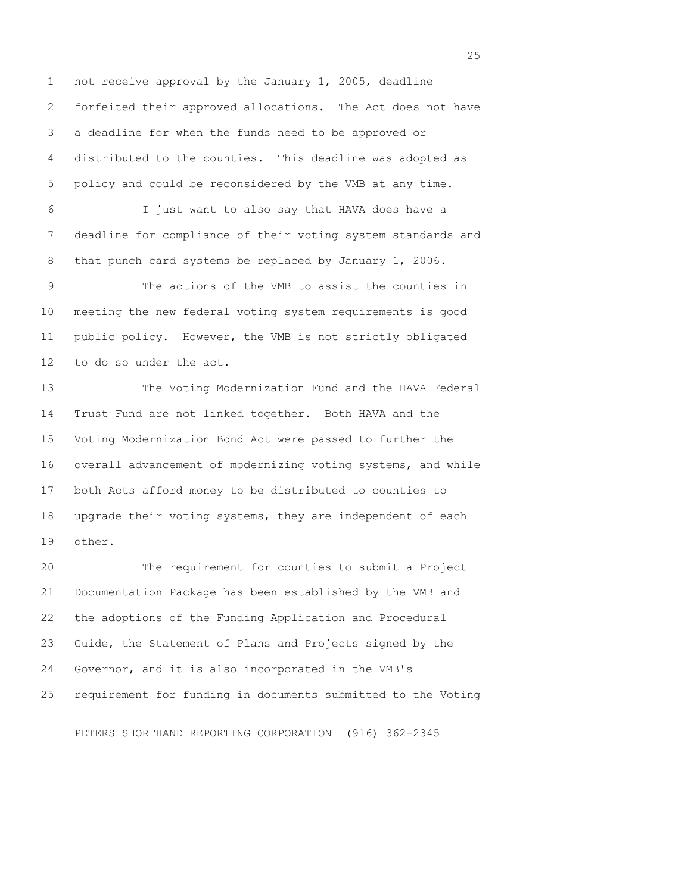1 not receive approval by the January 1, 2005, deadline 2 forfeited their approved allocations. The Act does not have 3 a deadline for when the funds need to be approved or 4 distributed to the counties. This deadline was adopted as 5 policy and could be reconsidered by the VMB at any time. 6 I just want to also say that HAVA does have a 7 deadline for compliance of their voting system standards and 8 that punch card systems be replaced by January 1, 2006. 9 The actions of the VMB to assist the counties in 10 meeting the new federal voting system requirements is good 11 public policy. However, the VMB is not strictly obligated 12 to do so under the act. 13 The Voting Modernization Fund and the HAVA Federal 14 Trust Fund are not linked together. Both HAVA and the 15 Voting Modernization Bond Act were passed to further the 16 overall advancement of modernizing voting systems, and while

17 both Acts afford money to be distributed to counties to 18 upgrade their voting systems, they are independent of each 19 other.

20 The requirement for counties to submit a Project 21 Documentation Package has been established by the VMB and 22 the adoptions of the Funding Application and Procedural 23 Guide, the Statement of Plans and Projects signed by the 24 Governor, and it is also incorporated in the VMB's 25 requirement for funding in documents submitted to the Voting

PETERS SHORTHAND REPORTING CORPORATION (916) 362-2345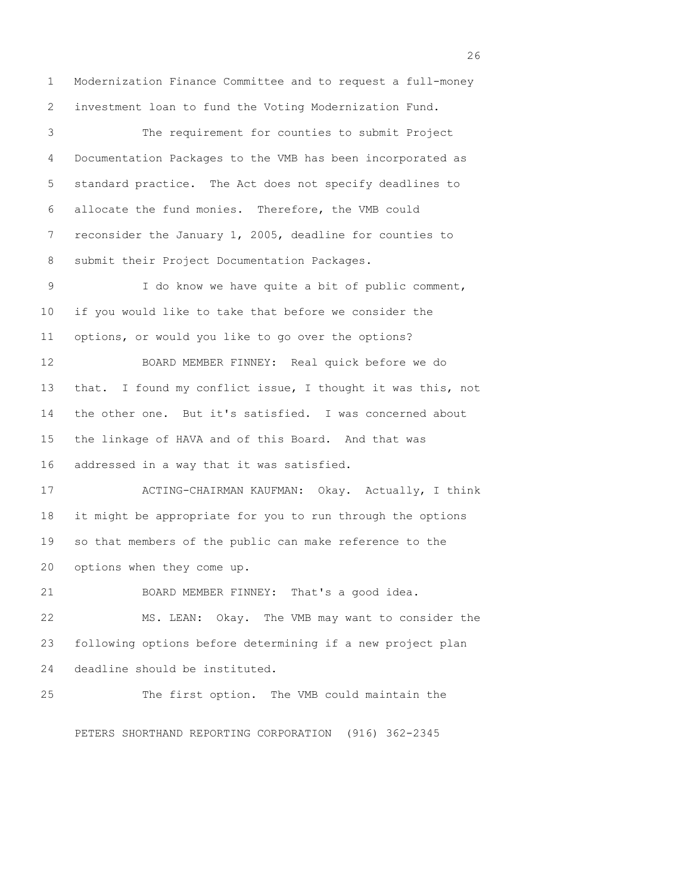1 Modernization Finance Committee and to request a full-money 2 investment loan to fund the Voting Modernization Fund. 3 The requirement for counties to submit Project 4 Documentation Packages to the VMB has been incorporated as 5 standard practice. The Act does not specify deadlines to 6 allocate the fund monies. Therefore, the VMB could 7 reconsider the January 1, 2005, deadline for counties to 8 submit their Project Documentation Packages. 9 I do know we have quite a bit of public comment, 10 if you would like to take that before we consider the 11 options, or would you like to go over the options? 12 BOARD MEMBER FINNEY: Real quick before we do 13 that. I found my conflict issue, I thought it was this, not 14 the other one. But it's satisfied. I was concerned about 15 the linkage of HAVA and of this Board. And that was 16 addressed in a way that it was satisfied. 17 ACTING-CHAIRMAN KAUFMAN: Okay. Actually, I think 18 it might be appropriate for you to run through the options 19 so that members of the public can make reference to the 20 options when they come up. 21 BOARD MEMBER FINNEY: That's a good idea. 22 MS. LEAN: Okay. The VMB may want to consider the 23 following options before determining if a new project plan 24 deadline should be instituted. 25 The first option. The VMB could maintain the PETERS SHORTHAND REPORTING CORPORATION (916) 362-2345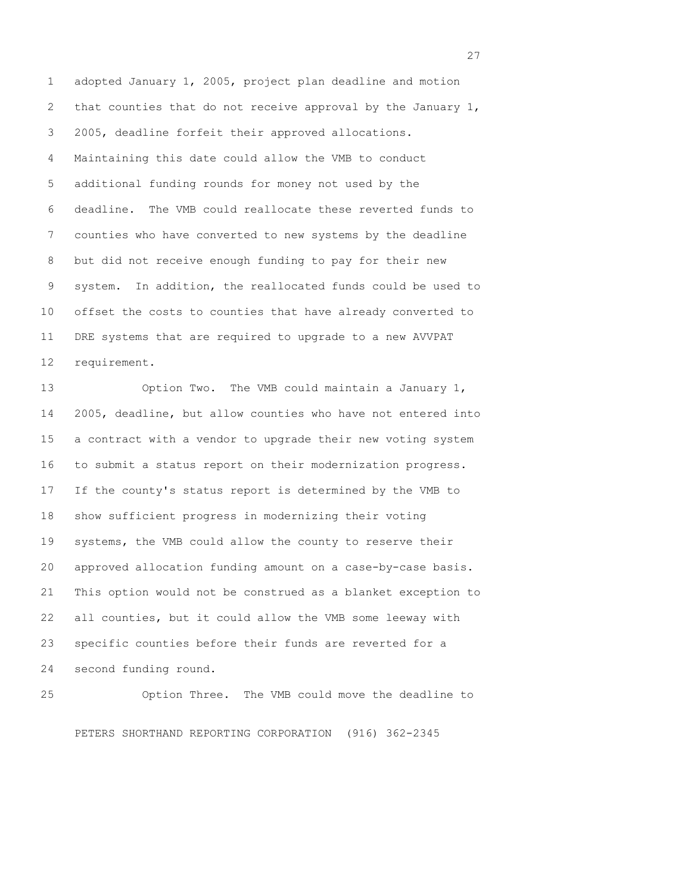1 adopted January 1, 2005, project plan deadline and motion 2 that counties that do not receive approval by the January 1, 3 2005, deadline forfeit their approved allocations. 4 Maintaining this date could allow the VMB to conduct 5 additional funding rounds for money not used by the 6 deadline. The VMB could reallocate these reverted funds to 7 counties who have converted to new systems by the deadline 8 but did not receive enough funding to pay for their new 9 system. In addition, the reallocated funds could be used to 10 offset the costs to counties that have already converted to 11 DRE systems that are required to upgrade to a new AVVPAT 12 requirement.

13 Option Two. The VMB could maintain a January 1, 14 2005, deadline, but allow counties who have not entered into 15 a contract with a vendor to upgrade their new voting system 16 to submit a status report on their modernization progress. 17 If the county's status report is determined by the VMB to 18 show sufficient progress in modernizing their voting 19 systems, the VMB could allow the county to reserve their 20 approved allocation funding amount on a case-by-case basis. 21 This option would not be construed as a blanket exception to 22 all counties, but it could allow the VMB some leeway with 23 specific counties before their funds are reverted for a 24 second funding round.

25 Option Three. The VMB could move the deadline to PETERS SHORTHAND REPORTING CORPORATION (916) 362-2345

<u>27</u>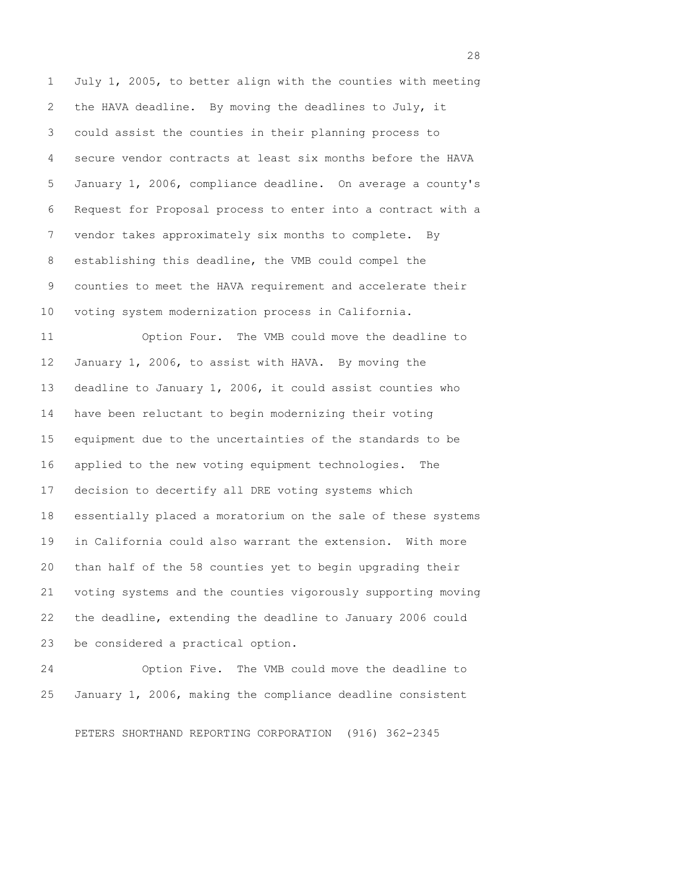1 July 1, 2005, to better align with the counties with meeting 2 the HAVA deadline. By moving the deadlines to July, it 3 could assist the counties in their planning process to 4 secure vendor contracts at least six months before the HAVA 5 January 1, 2006, compliance deadline. On average a county's 6 Request for Proposal process to enter into a contract with a 7 vendor takes approximately six months to complete. By 8 establishing this deadline, the VMB could compel the 9 counties to meet the HAVA requirement and accelerate their 10 voting system modernization process in California.

11 Option Four. The VMB could move the deadline to 12 January 1, 2006, to assist with HAVA. By moving the 13 deadline to January 1, 2006, it could assist counties who 14 have been reluctant to begin modernizing their voting 15 equipment due to the uncertainties of the standards to be 16 applied to the new voting equipment technologies. The 17 decision to decertify all DRE voting systems which 18 essentially placed a moratorium on the sale of these systems 19 in California could also warrant the extension. With more 20 than half of the 58 counties yet to begin upgrading their 21 voting systems and the counties vigorously supporting moving 22 the deadline, extending the deadline to January 2006 could 23 be considered a practical option.

24 Option Five. The VMB could move the deadline to 25 January 1, 2006, making the compliance deadline consistent

PETERS SHORTHAND REPORTING CORPORATION (916) 362-2345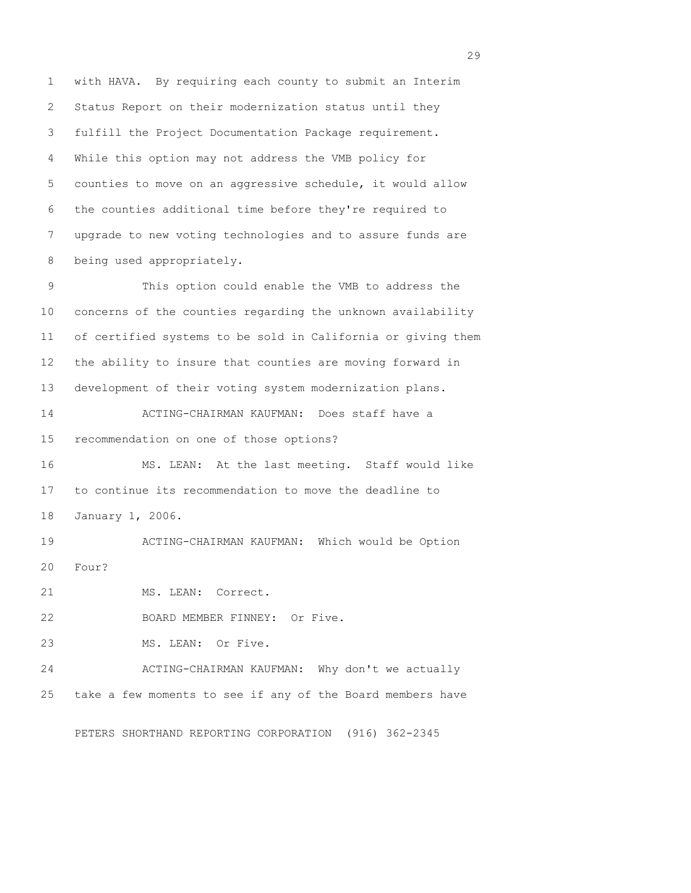1 with HAVA. By requiring each county to submit an Interim 2 Status Report on their modernization status until they 3 fulfill the Project Documentation Package requirement. 4 While this option may not address the VMB policy for 5 counties to move on an aggressive schedule, it would allow 6 the counties additional time before they're required to 7 upgrade to new voting technologies and to assure funds are 8 being used appropriately. 9 This option could enable the VMB to address the 10 concerns of the counties regarding the unknown availability 11 of certified systems to be sold in California or giving them 12 the ability to insure that counties are moving forward in 13 development of their voting system modernization plans. 14 ACTING-CHAIRMAN KAUFMAN: Does staff have a 15 recommendation on one of those options? 16 MS. LEAN: At the last meeting. Staff would like 17 to continue its recommendation to move the deadline to 18 January 1, 2006. 19 ACTING-CHAIRMAN KAUFMAN: Which would be Option 20 Four? 21 MS. LEAN: Correct. 22 BOARD MEMBER FINNEY: Or Five. 23 MS. LEAN: Or Five. 24 ACTING-CHAIRMAN KAUFMAN: Why don't we actually 25 take a few moments to see if any of the Board members have

PETERS SHORTHAND REPORTING CORPORATION (916) 362-2345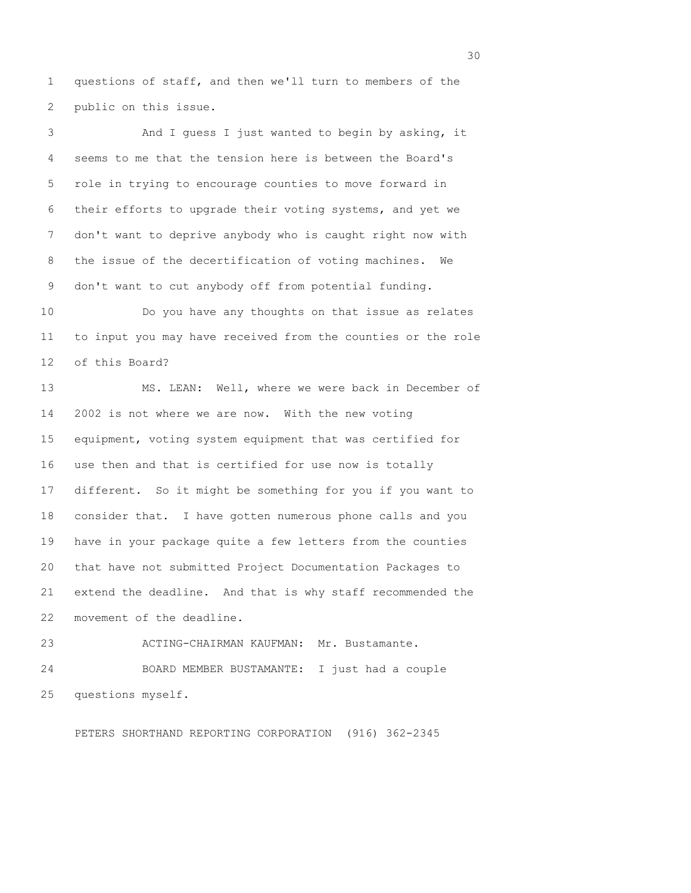1 questions of staff, and then we'll turn to members of the 2 public on this issue.

 3 And I guess I just wanted to begin by asking, it 4 seems to me that the tension here is between the Board's 5 role in trying to encourage counties to move forward in 6 their efforts to upgrade their voting systems, and yet we 7 don't want to deprive anybody who is caught right now with 8 the issue of the decertification of voting machines. We 9 don't want to cut anybody off from potential funding. 10 Do you have any thoughts on that issue as relates 11 to input you may have received from the counties or the role 12 of this Board? 13 MS. LEAN: Well, where we were back in December of 14 2002 is not where we are now. With the new voting 15 equipment, voting system equipment that was certified for 16 use then and that is certified for use now is totally 17 different. So it might be something for you if you want to 18 consider that. I have gotten numerous phone calls and you 19 have in your package quite a few letters from the counties 20 that have not submitted Project Documentation Packages to 21 extend the deadline. And that is why staff recommended the 22 movement of the deadline. 23 ACTING-CHAIRMAN KAUFMAN: Mr. Bustamante.

24 BOARD MEMBER BUSTAMANTE: I just had a couple 25 questions myself.

PETERS SHORTHAND REPORTING CORPORATION (916) 362-2345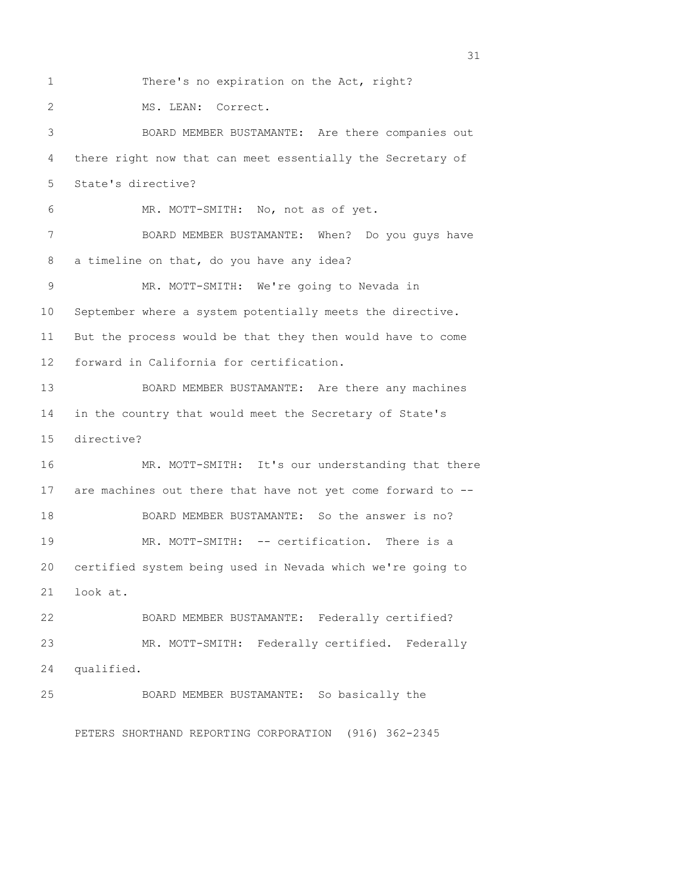1 There's no expiration on the Act, right? 2 MS. LEAN: Correct. 3 BOARD MEMBER BUSTAMANTE: Are there companies out 4 there right now that can meet essentially the Secretary of 5 State's directive? 6 MR. MOTT-SMITH: No, not as of yet. 7 BOARD MEMBER BUSTAMANTE: When? Do you guys have 8 a timeline on that, do you have any idea? 9 MR. MOTT-SMITH: We're going to Nevada in 10 September where a system potentially meets the directive. 11 But the process would be that they then would have to come 12 forward in California for certification. 13 BOARD MEMBER BUSTAMANTE: Are there any machines 14 in the country that would meet the Secretary of State's 15 directive? 16 MR. MOTT-SMITH: It's our understanding that there 17 are machines out there that have not yet come forward to -- 18 BOARD MEMBER BUSTAMANTE: So the answer is no? 19 MR. MOTT-SMITH: -- certification. There is a 20 certified system being used in Nevada which we're going to 21 look at. 22 BOARD MEMBER BUSTAMANTE: Federally certified? 23 MR. MOTT-SMITH: Federally certified. Federally 24 qualified. 25 BOARD MEMBER BUSTAMANTE: So basically the PETERS SHORTHAND REPORTING CORPORATION (916) 362-2345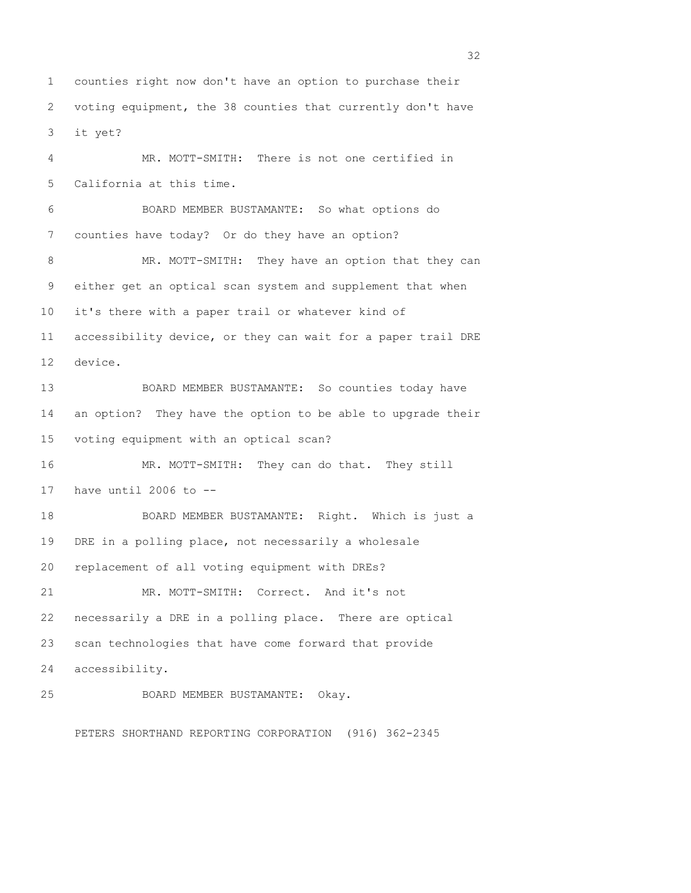1 counties right now don't have an option to purchase their 2 voting equipment, the 38 counties that currently don't have 3 it yet?

 4 MR. MOTT-SMITH: There is not one certified in 5 California at this time. 6 BOARD MEMBER BUSTAMANTE: So what options do 7 counties have today? Or do they have an option? 8 MR. MOTT-SMITH: They have an option that they can 9 either get an optical scan system and supplement that when 10 it's there with a paper trail or whatever kind of 11 accessibility device, or they can wait for a paper trail DRE 12 device. 13 BOARD MEMBER BUSTAMANTE: So counties today have 14 an option? They have the option to be able to upgrade their 15 voting equipment with an optical scan? 16 MR. MOTT-SMITH: They can do that. They still 17 have until 2006 to -- 18 BOARD MEMBER BUSTAMANTE: Right. Which is just a 19 DRE in a polling place, not necessarily a wholesale 20 replacement of all voting equipment with DREs? 21 MR. MOTT-SMITH: Correct. And it's not 22 necessarily a DRE in a polling place. There are optical 23 scan technologies that have come forward that provide 24 accessibility. 25 BOARD MEMBER BUSTAMANTE: Okay.

PETERS SHORTHAND REPORTING CORPORATION (916) 362-2345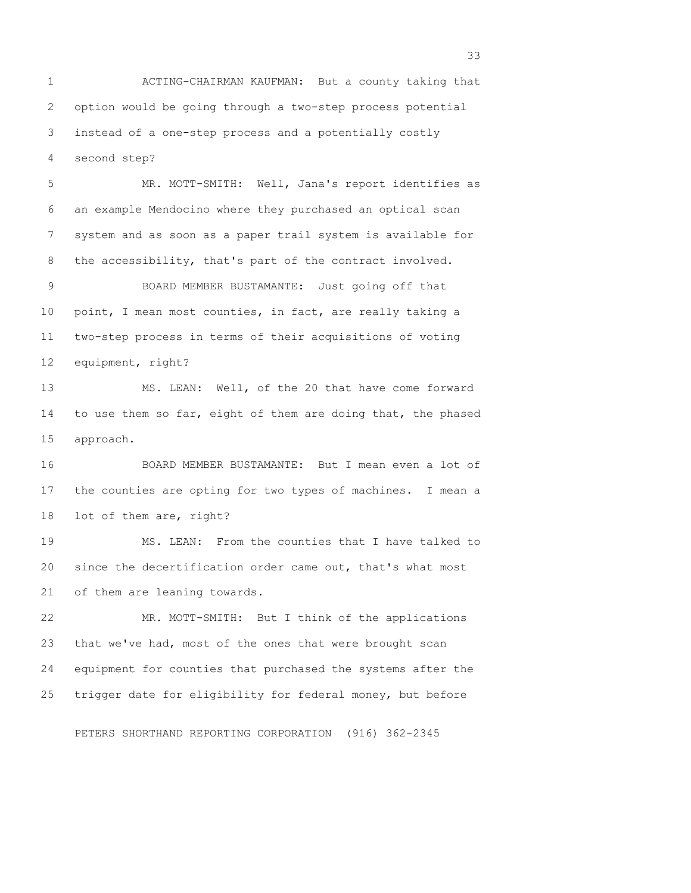1 ACTING-CHAIRMAN KAUFMAN: But a county taking that 2 option would be going through a two-step process potential 3 instead of a one-step process and a potentially costly 4 second step?

 5 MR. MOTT-SMITH: Well, Jana's report identifies as 6 an example Mendocino where they purchased an optical scan 7 system and as soon as a paper trail system is available for 8 the accessibility, that's part of the contract involved.

 9 BOARD MEMBER BUSTAMANTE: Just going off that 10 point, I mean most counties, in fact, are really taking a 11 two-step process in terms of their acquisitions of voting 12 equipment, right?

13 MS. LEAN: Well, of the 20 that have come forward 14 to use them so far, eight of them are doing that, the phased 15 approach.

16 BOARD MEMBER BUSTAMANTE: But I mean even a lot of 17 the counties are opting for two types of machines. I mean a 18 lot of them are, right?

19 MS. LEAN: From the counties that I have talked to 20 since the decertification order came out, that's what most 21 of them are leaning towards.

22 MR. MOTT-SMITH: But I think of the applications 23 that we've had, most of the ones that were brought scan 24 equipment for counties that purchased the systems after the 25 trigger date for eligibility for federal money, but before

PETERS SHORTHAND REPORTING CORPORATION (916) 362-2345

<u>33</u> and the state of the state of the state of the state of the state of the state of the state of the state of the state of the state of the state of the state of the state of the state of the state of the state of the s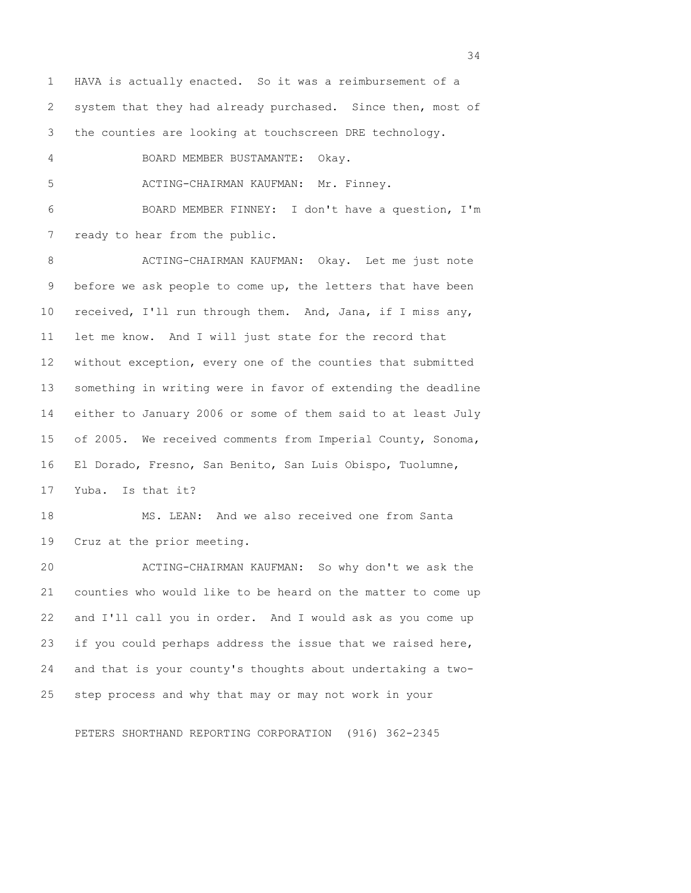1 HAVA is actually enacted. So it was a reimbursement of a 2 system that they had already purchased. Since then, most of 3 the counties are looking at touchscreen DRE technology.

4 BOARD MEMBER BUSTAMANTE: Okay.

5 ACTING-CHAIRMAN KAUFMAN: Mr. Finney.

 6 BOARD MEMBER FINNEY: I don't have a question, I'm 7 ready to hear from the public.

 8 ACTING-CHAIRMAN KAUFMAN: Okay. Let me just note 9 before we ask people to come up, the letters that have been 10 received, I'll run through them. And, Jana, if I miss any, 11 let me know. And I will just state for the record that 12 without exception, every one of the counties that submitted 13 something in writing were in favor of extending the deadline 14 either to January 2006 or some of them said to at least July 15 of 2005. We received comments from Imperial County, Sonoma, 16 El Dorado, Fresno, San Benito, San Luis Obispo, Tuolumne, 17 Yuba. Is that it?

18 MS. LEAN: And we also received one from Santa 19 Cruz at the prior meeting.

20 ACTING-CHAIRMAN KAUFMAN: So why don't we ask the 21 counties who would like to be heard on the matter to come up 22 and I'll call you in order. And I would ask as you come up 23 if you could perhaps address the issue that we raised here, 24 and that is your county's thoughts about undertaking a two-25 step process and why that may or may not work in your

PETERS SHORTHAND REPORTING CORPORATION (916) 362-2345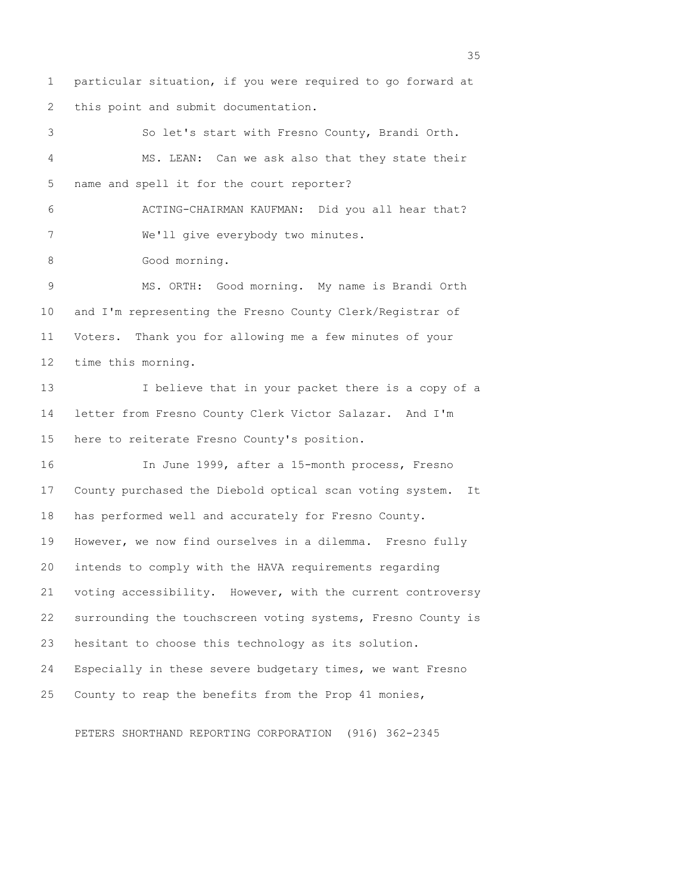1 particular situation, if you were required to go forward at 2 this point and submit documentation.

 3 So let's start with Fresno County, Brandi Orth. 4 MS. LEAN: Can we ask also that they state their 5 name and spell it for the court reporter? 6 ACTING-CHAIRMAN KAUFMAN: Did you all hear that? 7 We'll give everybody two minutes. 8 Good morning. 9 MS. ORTH: Good morning. My name is Brandi Orth 10 and I'm representing the Fresno County Clerk/Registrar of 11 Voters. Thank you for allowing me a few minutes of your 12 time this morning. 13 I believe that in your packet there is a copy of a 14 letter from Fresno County Clerk Victor Salazar. And I'm 15 here to reiterate Fresno County's position. 16 In June 1999, after a 15-month process, Fresno 17 County purchased the Diebold optical scan voting system. It 18 has performed well and accurately for Fresno County. 19 However, we now find ourselves in a dilemma. Fresno fully 20 intends to comply with the HAVA requirements regarding 21 voting accessibility. However, with the current controversy 22 surrounding the touchscreen voting systems, Fresno County is 23 hesitant to choose this technology as its solution. 24 Especially in these severe budgetary times, we want Fresno 25 County to reap the benefits from the Prop 41 monies,

PETERS SHORTHAND REPORTING CORPORATION (916) 362-2345

<u>35</u> and the state of the state of the state of the state of the state of the state of the state of the state of the state of the state of the state of the state of the state of the state of the state of the state of the s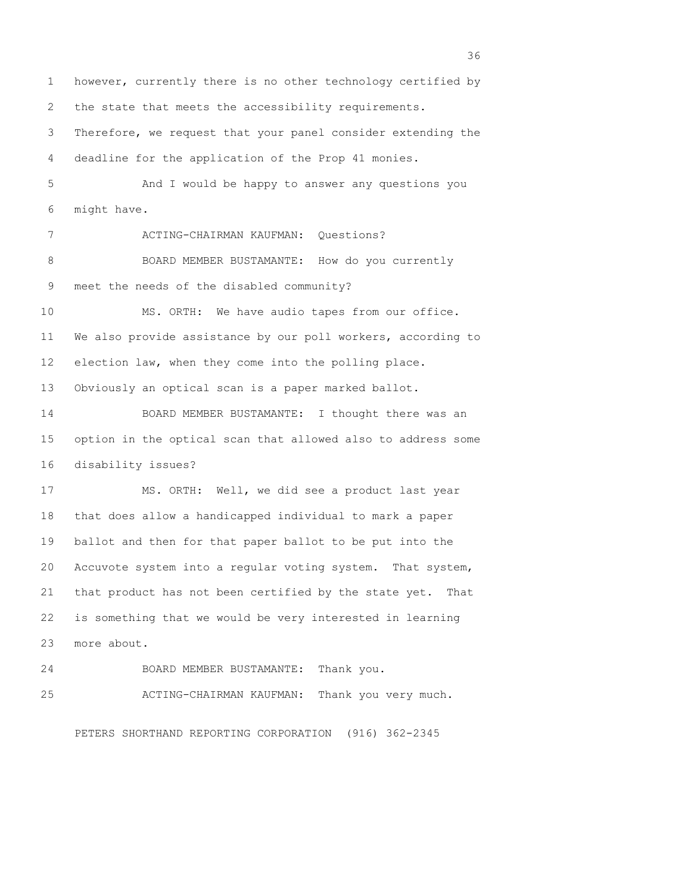1 however, currently there is no other technology certified by 2 the state that meets the accessibility requirements. 3 Therefore, we request that your panel consider extending the 4 deadline for the application of the Prop 41 monies. 5 And I would be happy to answer any questions you 6 might have. 7 ACTING-CHAIRMAN KAUFMAN: Questions? 8 BOARD MEMBER BUSTAMANTE: How do you currently 9 meet the needs of the disabled community? 10 MS. ORTH: We have audio tapes from our office. 11 We also provide assistance by our poll workers, according to 12 election law, when they come into the polling place. 13 Obviously an optical scan is a paper marked ballot. 14 BOARD MEMBER BUSTAMANTE: I thought there was an 15 option in the optical scan that allowed also to address some 16 disability issues? 17 MS. ORTH: Well, we did see a product last year 18 that does allow a handicapped individual to mark a paper 19 ballot and then for that paper ballot to be put into the 20 Accuvote system into a regular voting system. That system, 21 that product has not been certified by the state yet. That 22 is something that we would be very interested in learning 23 more about. 24 BOARD MEMBER BUSTAMANTE: Thank you. 25 ACTING-CHAIRMAN KAUFMAN: Thank you very much.

PETERS SHORTHAND REPORTING CORPORATION (916) 362-2345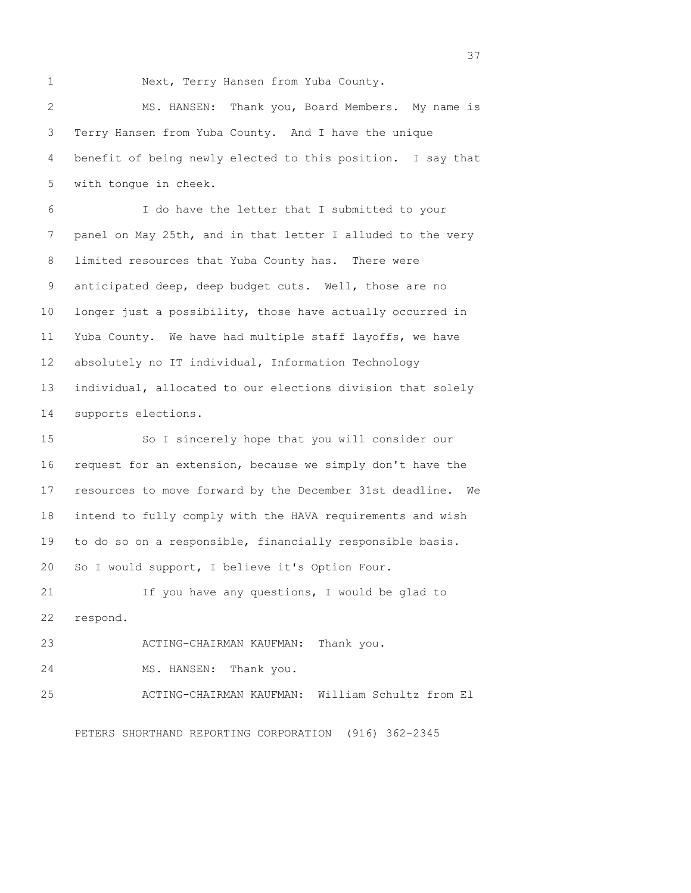1 Next, Terry Hansen from Yuba County.

 2 MS. HANSEN: Thank you, Board Members. My name is 3 Terry Hansen from Yuba County. And I have the unique 4 benefit of being newly elected to this position. I say that 5 with tongue in cheek.

 6 I do have the letter that I submitted to your 7 panel on May 25th, and in that letter I alluded to the very 8 limited resources that Yuba County has. There were 9 anticipated deep, deep budget cuts. Well, those are no 10 longer just a possibility, those have actually occurred in 11 Yuba County. We have had multiple staff layoffs, we have 12 absolutely no IT individual, Information Technology 13 individual, allocated to our elections division that solely 14 supports elections.

15 So I sincerely hope that you will consider our 16 request for an extension, because we simply don't have the 17 resources to move forward by the December 31st deadline. We 18 intend to fully comply with the HAVA requirements and wish 19 to do so on a responsible, financially responsible basis. 20 So I would support, I believe it's Option Four.

21 If you have any questions, I would be glad to 22 respond.

23 ACTING-CHAIRMAN KAUFMAN: Thank you.

24 MS. HANSEN: Thank you.

25 ACTING-CHAIRMAN KAUFMAN: William Schultz from El

PETERS SHORTHAND REPORTING CORPORATION (916) 362-2345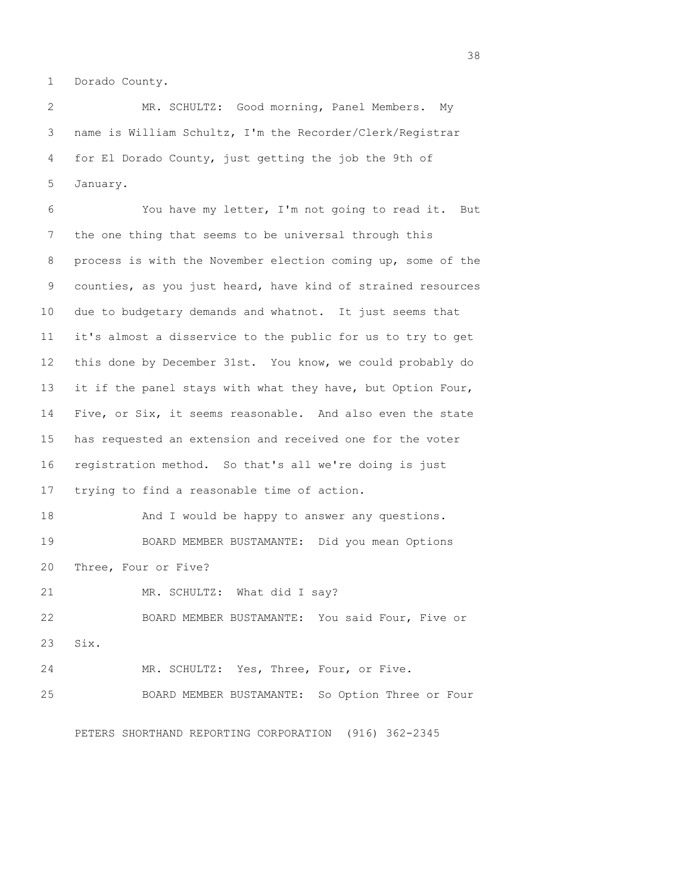1 Dorado County.

 2 MR. SCHULTZ: Good morning, Panel Members. My 3 name is William Schultz, I'm the Recorder/Clerk/Registrar 4 for El Dorado County, just getting the job the 9th of 5 January.

 6 You have my letter, I'm not going to read it. But 7 the one thing that seems to be universal through this 8 process is with the November election coming up, some of the 9 counties, as you just heard, have kind of strained resources 10 due to budgetary demands and whatnot. It just seems that 11 it's almost a disservice to the public for us to try to get 12 this done by December 31st. You know, we could probably do 13 it if the panel stays with what they have, but Option Four, 14 Five, or Six, it seems reasonable. And also even the state 15 has requested an extension and received one for the voter 16 registration method. So that's all we're doing is just 17 trying to find a reasonable time of action. 18 And I would be happy to answer any questions.

19 BOARD MEMBER BUSTAMANTE: Did you mean Options 20 Three, Four or Five?

21 MR. SCHULTZ: What did I say?

22 BOARD MEMBER BUSTAMANTE: You said Four, Five or 23 Six.

24 MR. SCHULTZ: Yes, Three, Four, or Five. 25 BOARD MEMBER BUSTAMANTE: So Option Three or Four

PETERS SHORTHAND REPORTING CORPORATION (916) 362-2345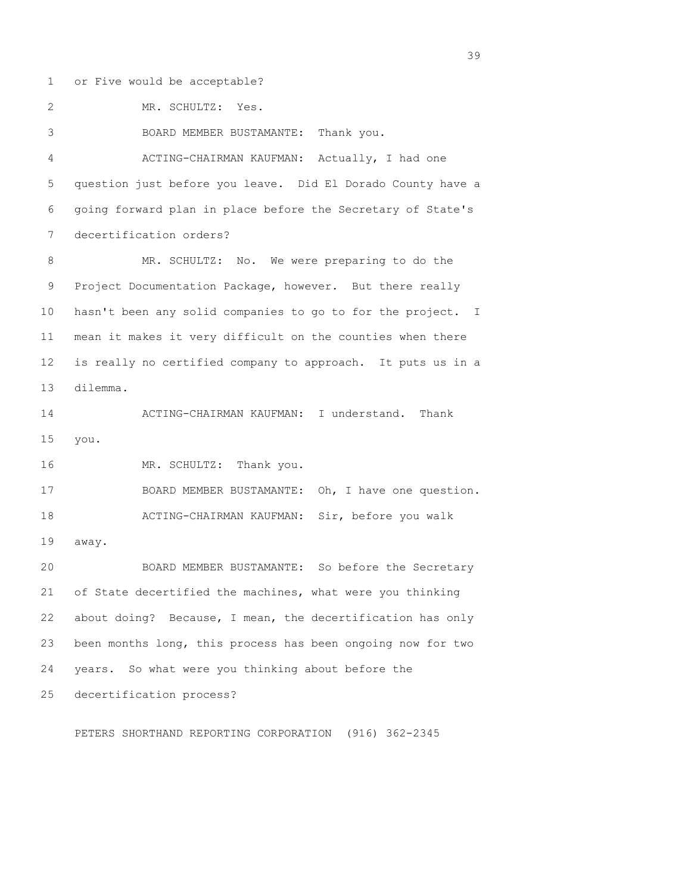1 or Five would be acceptable? 2 MR. SCHULTZ: Yes. 3 BOARD MEMBER BUSTAMANTE: Thank you. 4 ACTING-CHAIRMAN KAUFMAN: Actually, I had one 5 question just before you leave. Did El Dorado County have a 6 going forward plan in place before the Secretary of State's 7 decertification orders? 8 MR. SCHULTZ: No. We were preparing to do the 9 Project Documentation Package, however. But there really 10 hasn't been any solid companies to go to for the project. I 11 mean it makes it very difficult on the counties when there 12 is really no certified company to approach. It puts us in a 13 dilemma. 14 ACTING-CHAIRMAN KAUFMAN: I understand. Thank 15 you. 16 MR. SCHULTZ: Thank you. 17 BOARD MEMBER BUSTAMANTE: Oh, I have one question. 18 ACTING-CHAIRMAN KAUFMAN: Sir, before you walk 19 away. 20 BOARD MEMBER BUSTAMANTE: So before the Secretary 21 of State decertified the machines, what were you thinking 22 about doing? Because, I mean, the decertification has only 23 been months long, this process has been ongoing now for two 24 years. So what were you thinking about before the 25 decertification process? PETERS SHORTHAND REPORTING CORPORATION (916) 362-2345

 $39<sup>2</sup>$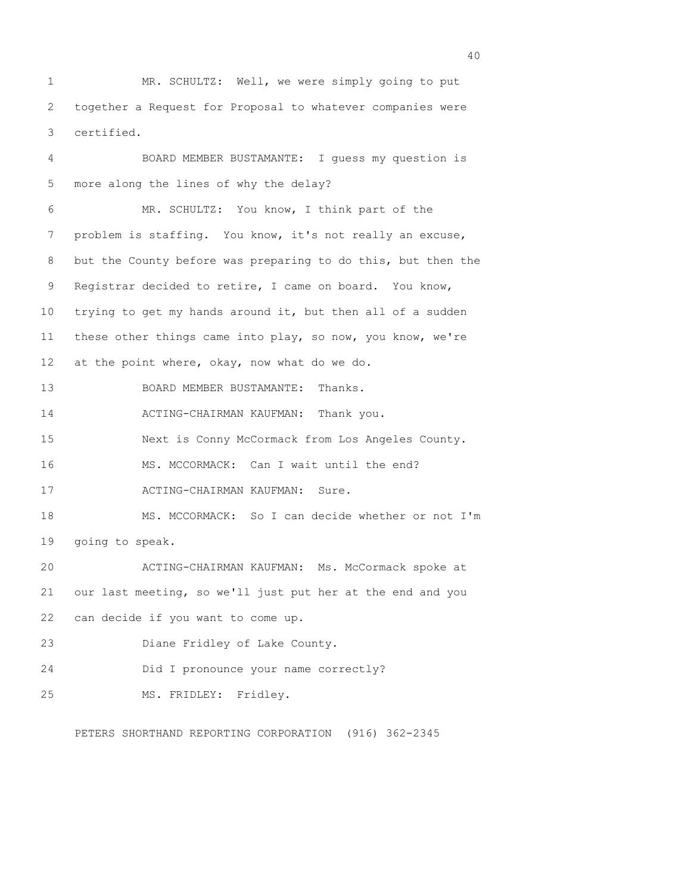1 MR. SCHULTZ: Well, we were simply going to put 2 together a Request for Proposal to whatever companies were 3 certified.

 4 BOARD MEMBER BUSTAMANTE: I guess my question is 5 more along the lines of why the delay? 6 MR. SCHULTZ: You know, I think part of the 7 problem is staffing. You know, it's not really an excuse, 8 but the County before was preparing to do this, but then the 9 Registrar decided to retire, I came on board. You know, 10 trying to get my hands around it, but then all of a sudden 11 these other things came into play, so now, you know, we're 12 at the point where, okay, now what do we do. 13 BOARD MEMBER BUSTAMANTE: Thanks. 14 ACTING-CHAIRMAN KAUFMAN: Thank you. 15 Next is Conny McCormack from Los Angeles County. 16 MS. MCCORMACK: Can I wait until the end? 17 ACTING-CHAIRMAN KAUFMAN: Sure. 18 MS. MCCORMACK: So I can decide whether or not I'm 19 going to speak. 20 ACTING-CHAIRMAN KAUFMAN: Ms. McCormack spoke at 21 our last meeting, so we'll just put her at the end and you 22 can decide if you want to come up. 23 Diane Fridley of Lake County. 24 Did I pronounce your name correctly? 25 MS. FRIDLEY: Fridley.

PETERS SHORTHAND REPORTING CORPORATION (916) 362-2345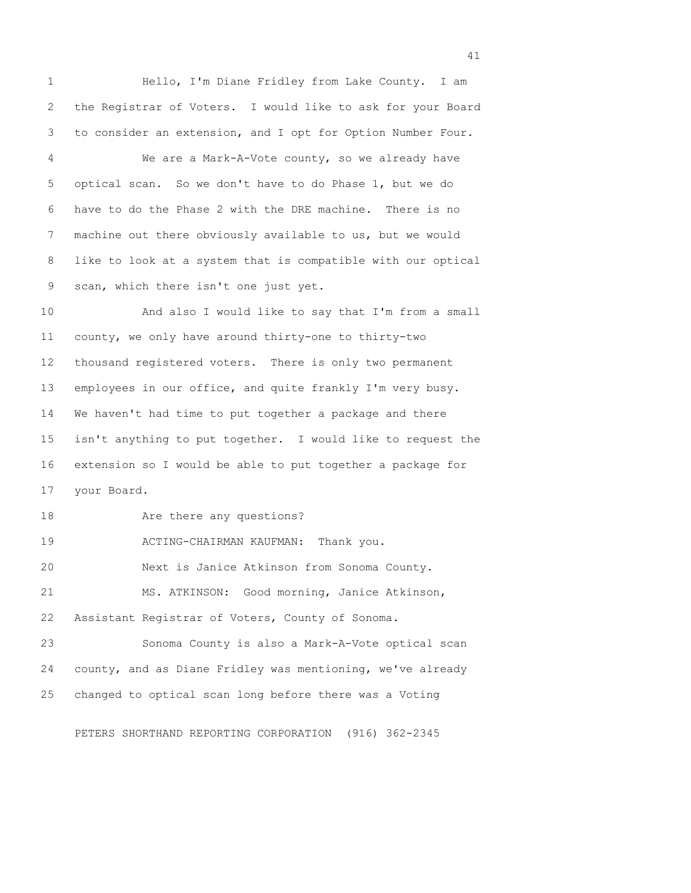1 Hello, I'm Diane Fridley from Lake County. I am 2 the Registrar of Voters. I would like to ask for your Board 3 to consider an extension, and I opt for Option Number Four. 4 We are a Mark-A-Vote county, so we already have 5 optical scan. So we don't have to do Phase 1, but we do 6 have to do the Phase 2 with the DRE machine. There is no 7 machine out there obviously available to us, but we would 8 like to look at a system that is compatible with our optical 9 scan, which there isn't one just yet. 10 And also I would like to say that I'm from a small 11 county, we only have around thirty-one to thirty-two 12 thousand registered voters. There is only two permanent 13 employees in our office, and quite frankly I'm very busy. 14 We haven't had time to put together a package and there 15 isn't anything to put together. I would like to request the 16 extension so I would be able to put together a package for 17 your Board. 18 Are there any questions? 19 ACTING-CHAIRMAN KAUFMAN: Thank you. 20 Next is Janice Atkinson from Sonoma County. 21 MS. ATKINSON: Good morning, Janice Atkinson, 22 Assistant Registrar of Voters, County of Sonoma. 23 Sonoma County is also a Mark-A-Vote optical scan 24 county, and as Diane Fridley was mentioning, we've already 25 changed to optical scan long before there was a Voting

PETERS SHORTHAND REPORTING CORPORATION (916) 362-2345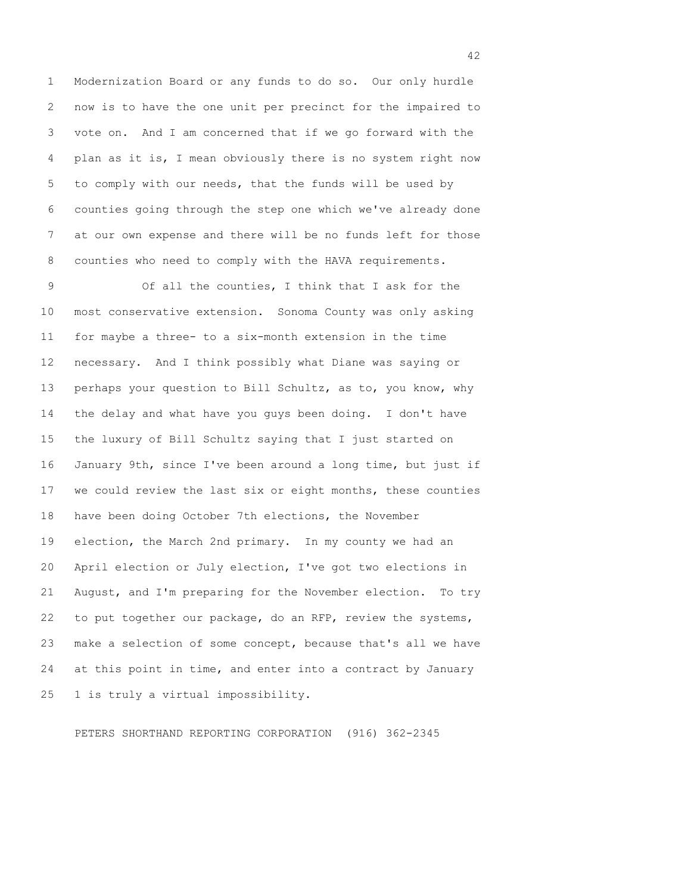1 Modernization Board or any funds to do so. Our only hurdle 2 now is to have the one unit per precinct for the impaired to 3 vote on. And I am concerned that if we go forward with the 4 plan as it is, I mean obviously there is no system right now 5 to comply with our needs, that the funds will be used by 6 counties going through the step one which we've already done 7 at our own expense and there will be no funds left for those 8 counties who need to comply with the HAVA requirements.

 9 Of all the counties, I think that I ask for the 10 most conservative extension. Sonoma County was only asking 11 for maybe a three- to a six-month extension in the time 12 necessary. And I think possibly what Diane was saying or 13 perhaps your question to Bill Schultz, as to, you know, why 14 the delay and what have you guys been doing. I don't have 15 the luxury of Bill Schultz saying that I just started on 16 January 9th, since I've been around a long time, but just if 17 we could review the last six or eight months, these counties 18 have been doing October 7th elections, the November 19 election, the March 2nd primary. In my county we had an 20 April election or July election, I've got two elections in 21 August, and I'm preparing for the November election. To try 22 to put together our package, do an RFP, review the systems, 23 make a selection of some concept, because that's all we have 24 at this point in time, and enter into a contract by January 25 1 is truly a virtual impossibility.

PETERS SHORTHAND REPORTING CORPORATION (916) 362-2345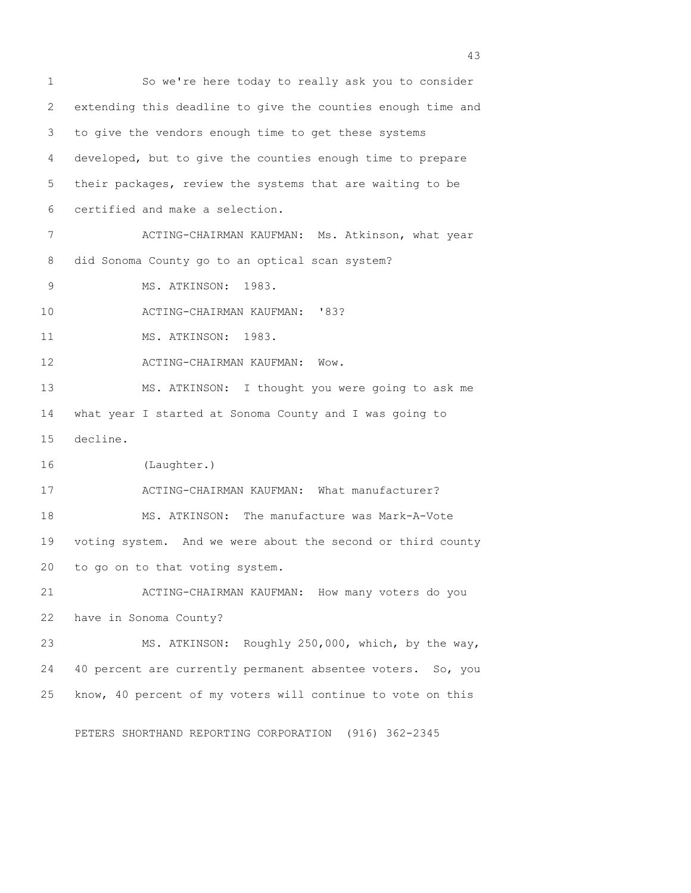1 So we're here today to really ask you to consider 2 extending this deadline to give the counties enough time and 3 to give the vendors enough time to get these systems 4 developed, but to give the counties enough time to prepare 5 their packages, review the systems that are waiting to be 6 certified and make a selection. 7 ACTING-CHAIRMAN KAUFMAN: Ms. Atkinson, what year 8 did Sonoma County go to an optical scan system? 9 MS. ATKINSON: 1983. 10 ACTING-CHAIRMAN KAUFMAN: '83? 11 MS. ATKINSON: 1983. 12 ACTING-CHAIRMAN KAUFMAN: Wow. 13 MS. ATKINSON: I thought you were going to ask me 14 what year I started at Sonoma County and I was going to 15 decline. 16 (Laughter.) 17 ACTING-CHAIRMAN KAUFMAN: What manufacturer? 18 MS. ATKINSON: The manufacture was Mark-A-Vote 19 voting system. And we were about the second or third county 20 to go on to that voting system. 21 ACTING-CHAIRMAN KAUFMAN: How many voters do you 22 have in Sonoma County? 23 MS. ATKINSON: Roughly 250,000, which, by the way, 24 40 percent are currently permanent absentee voters. So, you 25 know, 40 percent of my voters will continue to vote on this

PETERS SHORTHAND REPORTING CORPORATION (916) 362-2345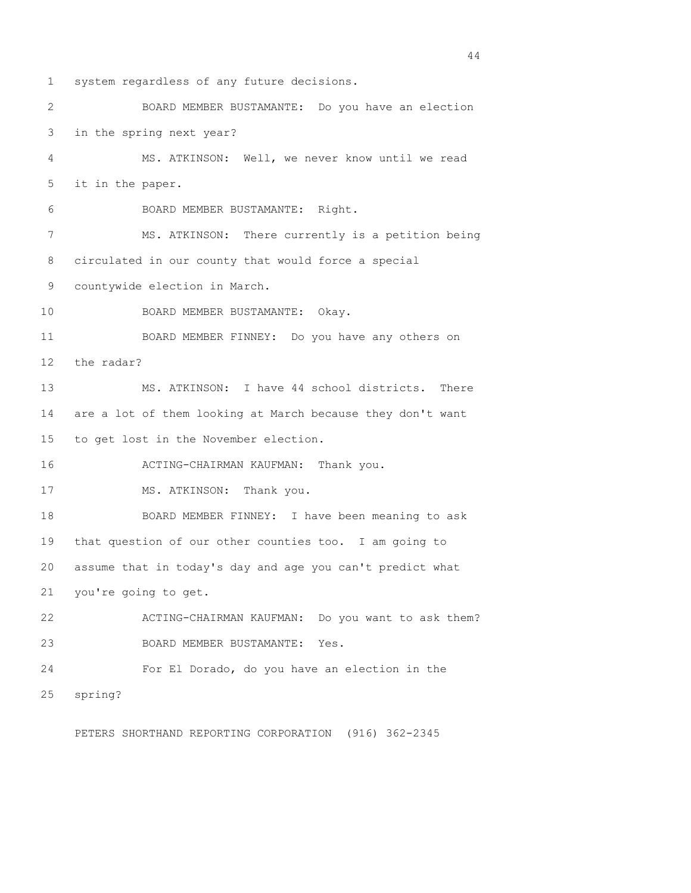1 system regardless of any future decisions. 2 BOARD MEMBER BUSTAMANTE: Do you have an election 3 in the spring next year? 4 MS. ATKINSON: Well, we never know until we read 5 it in the paper. 6 BOARD MEMBER BUSTAMANTE: Right. 7 MS. ATKINSON: There currently is a petition being 8 circulated in our county that would force a special 9 countywide election in March. 10 BOARD MEMBER BUSTAMANTE: Okay. 11 BOARD MEMBER FINNEY: Do you have any others on 12 the radar? 13 MS. ATKINSON: I have 44 school districts. There 14 are a lot of them looking at March because they don't want 15 to get lost in the November election. 16 ACTING-CHAIRMAN KAUFMAN: Thank you. 17 MS. ATKINSON: Thank you. 18 BOARD MEMBER FINNEY: I have been meaning to ask 19 that question of our other counties too. I am going to 20 assume that in today's day and age you can't predict what 21 you're going to get. 22 ACTING-CHAIRMAN KAUFMAN: Do you want to ask them? 23 BOARD MEMBER BUSTAMANTE: Yes. 24 For El Dorado, do you have an election in the 25 spring?

PETERS SHORTHAND REPORTING CORPORATION (916) 362-2345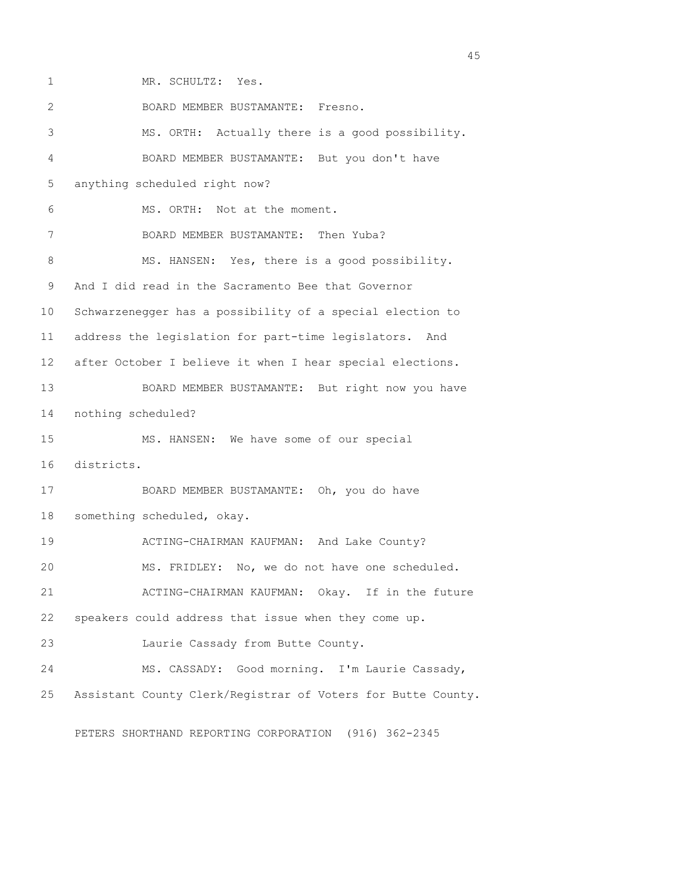1 MR. SCHULTZ: Yes. 2 BOARD MEMBER BUSTAMANTE: Fresno. 3 MS. ORTH: Actually there is a good possibility. 4 BOARD MEMBER BUSTAMANTE: But you don't have 5 anything scheduled right now? 6 MS. ORTH: Not at the moment. 7 BOARD MEMBER BUSTAMANTE: Then Yuba? 8 MS. HANSEN: Yes, there is a good possibility. 9 And I did read in the Sacramento Bee that Governor 10 Schwarzenegger has a possibility of a special election to 11 address the legislation for part-time legislators. And 12 after October I believe it when I hear special elections. 13 BOARD MEMBER BUSTAMANTE: But right now you have 14 nothing scheduled? 15 MS. HANSEN: We have some of our special 16 districts. 17 BOARD MEMBER BUSTAMANTE: Oh, you do have 18 something scheduled, okay. 19 ACTING-CHAIRMAN KAUFMAN: And Lake County? 20 MS. FRIDLEY: No, we do not have one scheduled. 21 ACTING-CHAIRMAN KAUFMAN: Okay. If in the future 22 speakers could address that issue when they come up. 23 Laurie Cassady from Butte County. 24 MS. CASSADY: Good morning. I'm Laurie Cassady, 25 Assistant County Clerk/Registrar of Voters for Butte County.

PETERS SHORTHAND REPORTING CORPORATION (916) 362-2345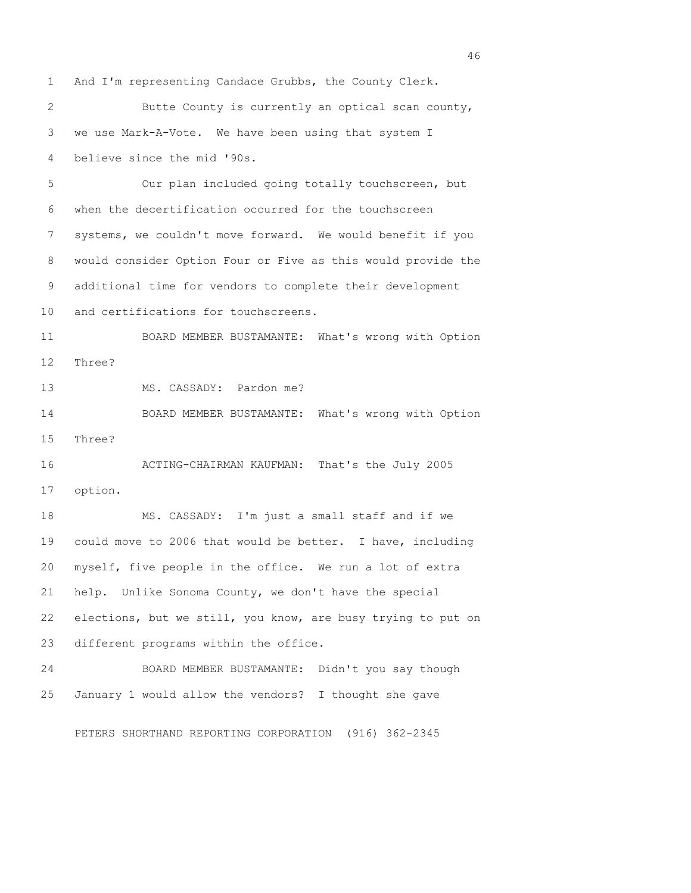1 And I'm representing Candace Grubbs, the County Clerk.

 2 Butte County is currently an optical scan county, 3 we use Mark-A-Vote. We have been using that system I 4 believe since the mid '90s.

 5 Our plan included going totally touchscreen, but 6 when the decertification occurred for the touchscreen 7 systems, we couldn't move forward. We would benefit if you 8 would consider Option Four or Five as this would provide the 9 additional time for vendors to complete their development 10 and certifications for touchscreens.

11 BOARD MEMBER BUSTAMANTE: What's wrong with Option 12 Three?

13 MS. CASSADY: Pardon me?

14 BOARD MEMBER BUSTAMANTE: What's wrong with Option 15 Three?

16 ACTING-CHAIRMAN KAUFMAN: That's the July 2005 17 option.

18 MS. CASSADY: I'm just a small staff and if we 19 could move to 2006 that would be better. I have, including 20 myself, five people in the office. We run a lot of extra 21 help. Unlike Sonoma County, we don't have the special 22 elections, but we still, you know, are busy trying to put on 23 different programs within the office.

24 BOARD MEMBER BUSTAMANTE: Didn't you say though 25 January 1 would allow the vendors? I thought she gave

PETERS SHORTHAND REPORTING CORPORATION (916) 362-2345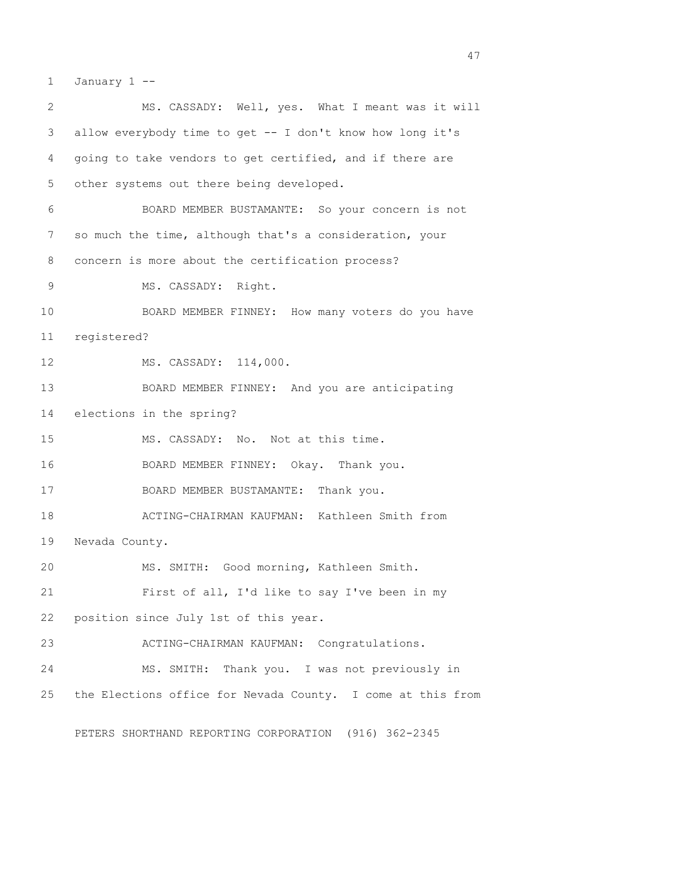1 January 1 --

| 2  | MS. CASSADY: Well, yes. What I meant was it will            |
|----|-------------------------------------------------------------|
| 3  | allow everybody time to get -- I don't know how long it's   |
| 4  | going to take vendors to get certified, and if there are    |
| 5  | other systems out there being developed.                    |
| 6  | BOARD MEMBER BUSTAMANTE: So your concern is not             |
| 7  | so much the time, although that's a consideration, your     |
| 8  | concern is more about the certification process?            |
| 9  | MS. CASSADY: Right.                                         |
| 10 | BOARD MEMBER FINNEY: How many voters do you have            |
| 11 | registered?                                                 |
| 12 | MS. CASSADY: 114,000.                                       |
| 13 | BOARD MEMBER FINNEY: And you are anticipating               |
| 14 | elections in the spring?                                    |
| 15 | MS. CASSADY: No. Not at this time.                          |
| 16 | BOARD MEMBER FINNEY: Okay. Thank you.                       |
| 17 | BOARD MEMBER BUSTAMANTE: Thank you.                         |
| 18 | ACTING-CHAIRMAN KAUFMAN: Kathleen Smith from                |
| 19 | Nevada County.                                              |
| 20 | MS. SMITH: Good morning, Kathleen Smith.                    |
| 21 | First of all, I'd like to say I've been in my               |
| 22 | position since July 1st of this year.                       |
| 23 | ACTING-CHAIRMAN KAUFMAN: Congratulations.                   |
| 24 | MS. SMITH: Thank you. I was not previously in               |
| 25 | the Elections office for Nevada County. I come at this from |
|    |                                                             |

PETERS SHORTHAND REPORTING CORPORATION (916) 362-2345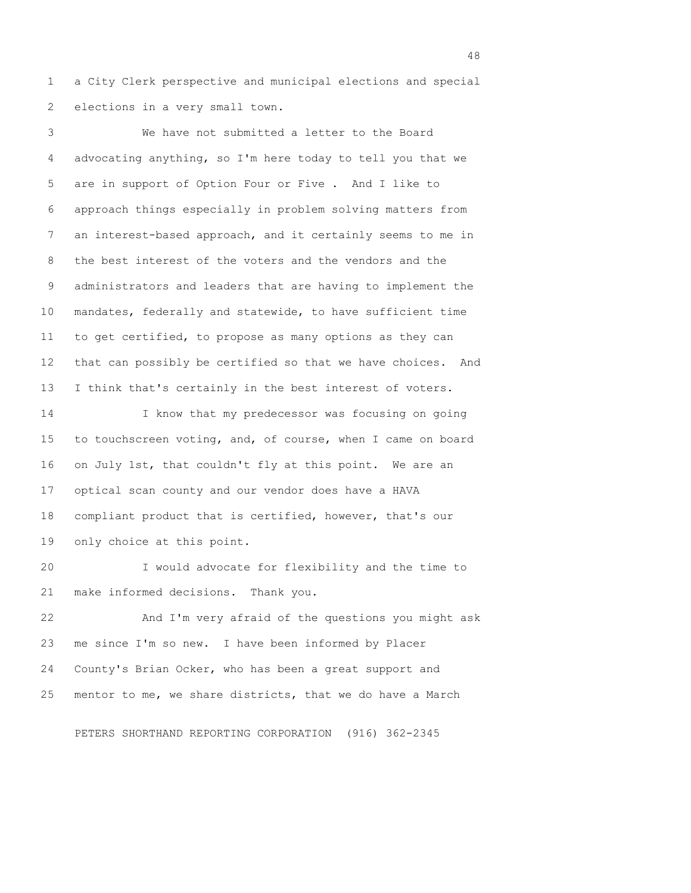1 a City Clerk perspective and municipal elections and special 2 elections in a very small town.

 3 We have not submitted a letter to the Board 4 advocating anything, so I'm here today to tell you that we 5 are in support of Option Four or Five . And I like to 6 approach things especially in problem solving matters from 7 an interest-based approach, and it certainly seems to me in 8 the best interest of the voters and the vendors and the 9 administrators and leaders that are having to implement the 10 mandates, federally and statewide, to have sufficient time 11 to get certified, to propose as many options as they can 12 that can possibly be certified so that we have choices. And 13 I think that's certainly in the best interest of voters.

14 I know that my predecessor was focusing on going 15 to touchscreen voting, and, of course, when I came on board 16 on July 1st, that couldn't fly at this point. We are an 17 optical scan county and our vendor does have a HAVA 18 compliant product that is certified, however, that's our 19 only choice at this point.

20 I would advocate for flexibility and the time to 21 make informed decisions. Thank you.

22 And I'm very afraid of the questions you might ask 23 me since I'm so new. I have been informed by Placer 24 County's Brian Ocker, who has been a great support and 25 mentor to me, we share districts, that we do have a March

PETERS SHORTHAND REPORTING CORPORATION (916) 362-2345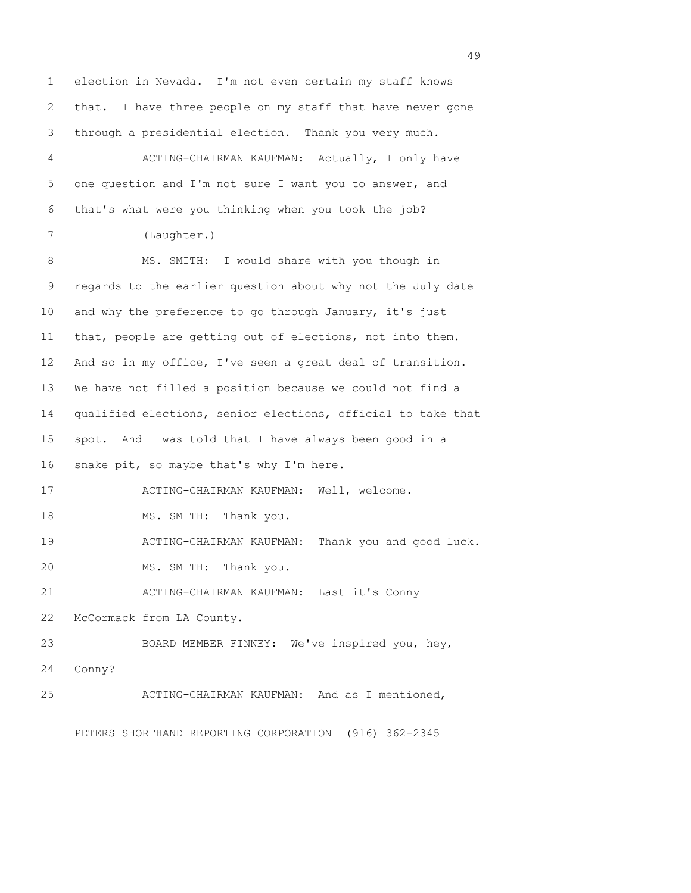1 election in Nevada. I'm not even certain my staff knows 2 that. I have three people on my staff that have never gone 3 through a presidential election. Thank you very much. 4 ACTING-CHAIRMAN KAUFMAN: Actually, I only have 5 one question and I'm not sure I want you to answer, and 6 that's what were you thinking when you took the job? 7 (Laughter.) 8 MS. SMITH: I would share with you though in 9 regards to the earlier question about why not the July date 10 and why the preference to go through January, it's just 11 that, people are getting out of elections, not into them. 12 And so in my office, I've seen a great deal of transition. 13 We have not filled a position because we could not find a 14 qualified elections, senior elections, official to take that 15 spot. And I was told that I have always been good in a 16 snake pit, so maybe that's why I'm here. 17 ACTING-CHAIRMAN KAUFMAN: Well, welcome. 18 MS. SMITH: Thank you. 19 ACTING-CHAIRMAN KAUFMAN: Thank you and good luck. 20 MS. SMITH: Thank you. 21 ACTING-CHAIRMAN KAUFMAN: Last it's Conny 22 McCormack from LA County. 23 BOARD MEMBER FINNEY: We've inspired you, hey, 24 Conny? 25 ACTING-CHAIRMAN KAUFMAN: And as I mentioned,

PETERS SHORTHAND REPORTING CORPORATION (916) 362-2345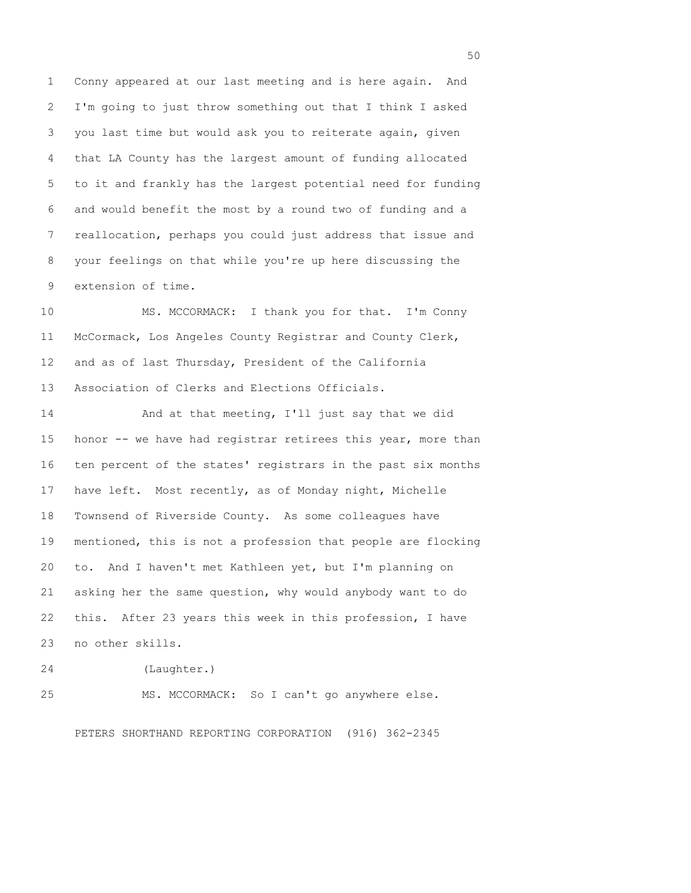1 Conny appeared at our last meeting and is here again. And 2 I'm going to just throw something out that I think I asked 3 you last time but would ask you to reiterate again, given 4 that LA County has the largest amount of funding allocated 5 to it and frankly has the largest potential need for funding 6 and would benefit the most by a round two of funding and a 7 reallocation, perhaps you could just address that issue and 8 your feelings on that while you're up here discussing the 9 extension of time.

10 MS. MCCORMACK: I thank you for that. I'm Conny 11 McCormack, Los Angeles County Registrar and County Clerk, 12 and as of last Thursday, President of the California 13 Association of Clerks and Elections Officials.

14 And at that meeting, I'll just say that we did 15 honor -- we have had registrar retirees this year, more than 16 ten percent of the states' registrars in the past six months 17 have left. Most recently, as of Monday night, Michelle 18 Townsend of Riverside County. As some colleagues have 19 mentioned, this is not a profession that people are flocking 20 to. And I haven't met Kathleen yet, but I'm planning on 21 asking her the same question, why would anybody want to do 22 this. After 23 years this week in this profession, I have 23 no other skills.

24 (Laughter.)

25 MS. MCCORMACK: So I can't go anywhere else.

PETERS SHORTHAND REPORTING CORPORATION (916) 362-2345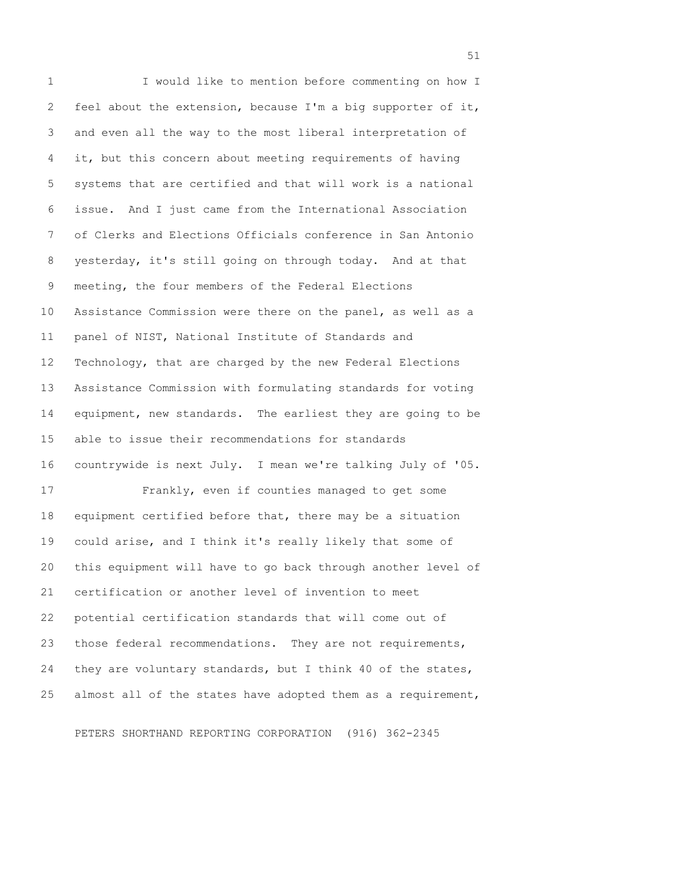1 I would like to mention before commenting on how I 2 feel about the extension, because I'm a big supporter of it, 3 and even all the way to the most liberal interpretation of 4 it, but this concern about meeting requirements of having 5 systems that are certified and that will work is a national 6 issue. And I just came from the International Association 7 of Clerks and Elections Officials conference in San Antonio 8 yesterday, it's still going on through today. And at that 9 meeting, the four members of the Federal Elections 10 Assistance Commission were there on the panel, as well as a 11 panel of NIST, National Institute of Standards and 12 Technology, that are charged by the new Federal Elections 13 Assistance Commission with formulating standards for voting 14 equipment, new standards. The earliest they are going to be 15 able to issue their recommendations for standards 16 countrywide is next July. I mean we're talking July of '05. 17 Frankly, even if counties managed to get some 18 equipment certified before that, there may be a situation 19 could arise, and I think it's really likely that some of 20 this equipment will have to go back through another level of 21 certification or another level of invention to meet 22 potential certification standards that will come out of 23 those federal recommendations. They are not requirements, 24 they are voluntary standards, but I think 40 of the states, 25 almost all of the states have adopted them as a requirement,

PETERS SHORTHAND REPORTING CORPORATION (916) 362-2345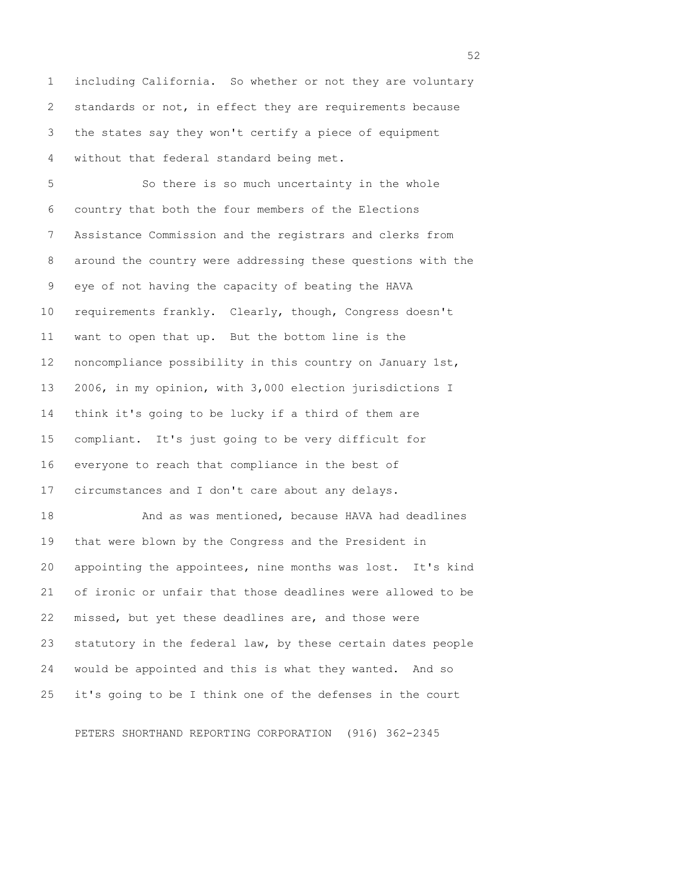1 including California. So whether or not they are voluntary 2 standards or not, in effect they are requirements because 3 the states say they won't certify a piece of equipment 4 without that federal standard being met.

 5 So there is so much uncertainty in the whole 6 country that both the four members of the Elections 7 Assistance Commission and the registrars and clerks from 8 around the country were addressing these questions with the 9 eye of not having the capacity of beating the HAVA 10 requirements frankly. Clearly, though, Congress doesn't 11 want to open that up. But the bottom line is the 12 noncompliance possibility in this country on January 1st, 13 2006, in my opinion, with 3,000 election jurisdictions I 14 think it's going to be lucky if a third of them are 15 compliant. It's just going to be very difficult for 16 everyone to reach that compliance in the best of 17 circumstances and I don't care about any delays. 18 And as was mentioned, because HAVA had deadlines 19 that were blown by the Congress and the President in 20 appointing the appointees, nine months was lost. It's kind

21 of ironic or unfair that those deadlines were allowed to be 22 missed, but yet these deadlines are, and those were 23 statutory in the federal law, by these certain dates people 24 would be appointed and this is what they wanted. And so 25 it's going to be I think one of the defenses in the court

PETERS SHORTHAND REPORTING CORPORATION (916) 362-2345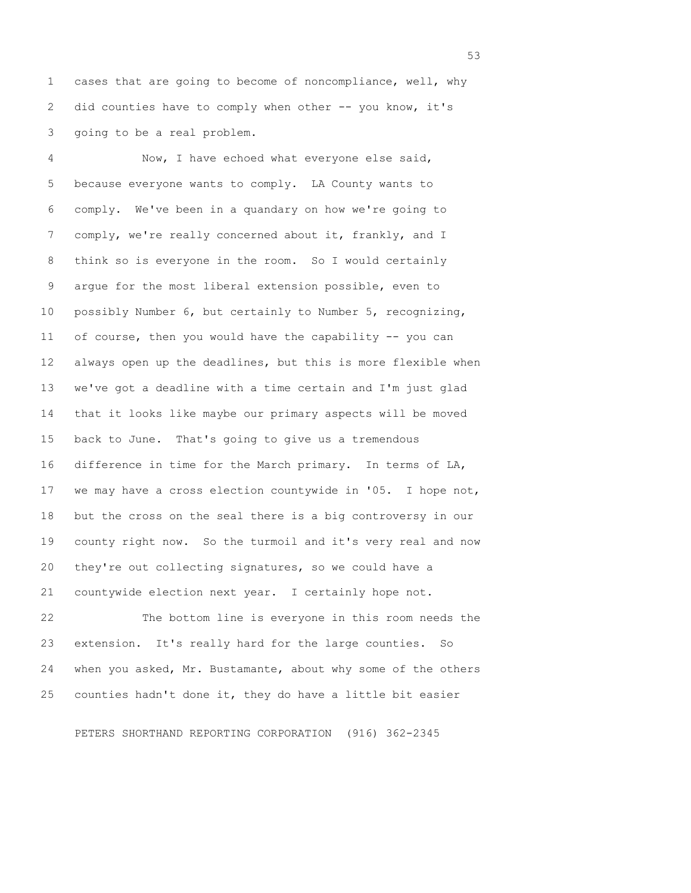1 cases that are going to become of noncompliance, well, why 2 did counties have to comply when other -- you know, it's 3 going to be a real problem.

 4 Now, I have echoed what everyone else said, 5 because everyone wants to comply. LA County wants to 6 comply. We've been in a quandary on how we're going to 7 comply, we're really concerned about it, frankly, and I 8 think so is everyone in the room. So I would certainly 9 argue for the most liberal extension possible, even to 10 possibly Number 6, but certainly to Number 5, recognizing, 11 of course, then you would have the capability -- you can 12 always open up the deadlines, but this is more flexible when 13 we've got a deadline with a time certain and I'm just glad 14 that it looks like maybe our primary aspects will be moved 15 back to June. That's going to give us a tremendous 16 difference in time for the March primary. In terms of LA, 17 we may have a cross election countywide in '05. I hope not, 18 but the cross on the seal there is a big controversy in our 19 county right now. So the turmoil and it's very real and now 20 they're out collecting signatures, so we could have a 21 countywide election next year. I certainly hope not.

22 The bottom line is everyone in this room needs the 23 extension. It's really hard for the large counties. So 24 when you asked, Mr. Bustamante, about why some of the others 25 counties hadn't done it, they do have a little bit easier

PETERS SHORTHAND REPORTING CORPORATION (916) 362-2345

 $\sim$  53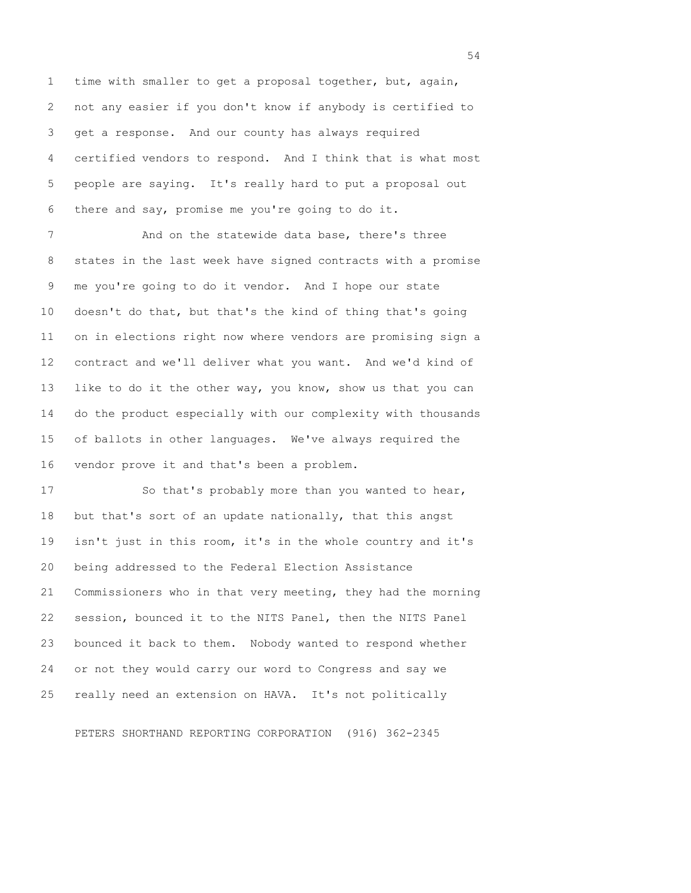1 time with smaller to get a proposal together, but, again, 2 not any easier if you don't know if anybody is certified to 3 get a response. And our county has always required 4 certified vendors to respond. And I think that is what most 5 people are saying. It's really hard to put a proposal out 6 there and say, promise me you're going to do it.

 7 And on the statewide data base, there's three 8 states in the last week have signed contracts with a promise 9 me you're going to do it vendor. And I hope our state 10 doesn't do that, but that's the kind of thing that's going 11 on in elections right now where vendors are promising sign a 12 contract and we'll deliver what you want. And we'd kind of 13 like to do it the other way, you know, show us that you can 14 do the product especially with our complexity with thousands 15 of ballots in other languages. We've always required the 16 vendor prove it and that's been a problem.

17 So that's probably more than you wanted to hear, 18 but that's sort of an update nationally, that this angst 19 isn't just in this room, it's in the whole country and it's 20 being addressed to the Federal Election Assistance 21 Commissioners who in that very meeting, they had the morning 22 session, bounced it to the NITS Panel, then the NITS Panel 23 bounced it back to them. Nobody wanted to respond whether 24 or not they would carry our word to Congress and say we 25 really need an extension on HAVA. It's not politically

PETERS SHORTHAND REPORTING CORPORATION (916) 362-2345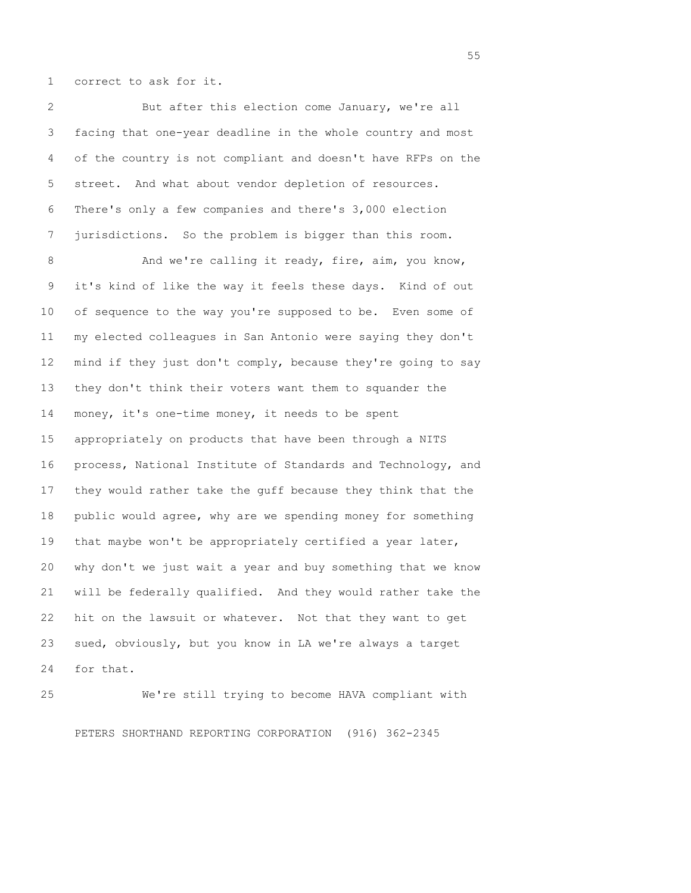1 correct to ask for it.

 2 But after this election come January, we're all 3 facing that one-year deadline in the whole country and most 4 of the country is not compliant and doesn't have RFPs on the 5 street. And what about vendor depletion of resources. 6 There's only a few companies and there's 3,000 election 7 jurisdictions. So the problem is bigger than this room.

8 And we're calling it ready, fire, aim, you know, 9 it's kind of like the way it feels these days. Kind of out 10 of sequence to the way you're supposed to be. Even some of 11 my elected colleagues in San Antonio were saying they don't 12 mind if they just don't comply, because they're going to say 13 they don't think their voters want them to squander the 14 money, it's one-time money, it needs to be spent 15 appropriately on products that have been through a NITS 16 process, National Institute of Standards and Technology, and 17 they would rather take the guff because they think that the 18 public would agree, why are we spending money for something 19 that maybe won't be appropriately certified a year later, 20 why don't we just wait a year and buy something that we know 21 will be federally qualified. And they would rather take the 22 hit on the lawsuit or whatever. Not that they want to get 23 sued, obviously, but you know in LA we're always a target 24 for that.

25 We're still trying to become HAVA compliant with PETERS SHORTHAND REPORTING CORPORATION (916) 362-2345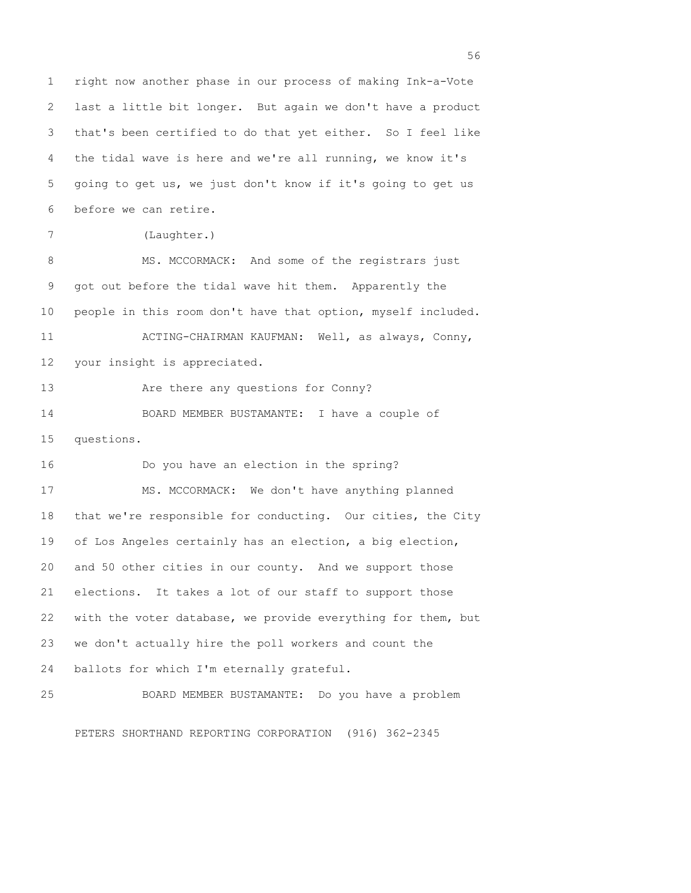1 right now another phase in our process of making Ink-a-Vote 2 last a little bit longer. But again we don't have a product 3 that's been certified to do that yet either. So I feel like 4 the tidal wave is here and we're all running, we know it's 5 going to get us, we just don't know if it's going to get us 6 before we can retire. 7 (Laughter.) 8 MS. MCCORMACK: And some of the registrars just 9 got out before the tidal wave hit them. Apparently the 10 people in this room don't have that option, myself included. 11 ACTING-CHAIRMAN KAUFMAN: Well, as always, Conny, 12 your insight is appreciated. 13 Are there any questions for Conny? 14 BOARD MEMBER BUSTAMANTE: I have a couple of 15 questions. 16 Do you have an election in the spring? 17 MS. MCCORMACK: We don't have anything planned 18 that we're responsible for conducting. Our cities, the City 19 of Los Angeles certainly has an election, a big election, 20 and 50 other cities in our county. And we support those 21 elections. It takes a lot of our staff to support those 22 with the voter database, we provide everything for them, but 23 we don't actually hire the poll workers and count the 24 ballots for which I'm eternally grateful. 25 BOARD MEMBER BUSTAMANTE: Do you have a problem

PETERS SHORTHAND REPORTING CORPORATION (916) 362-2345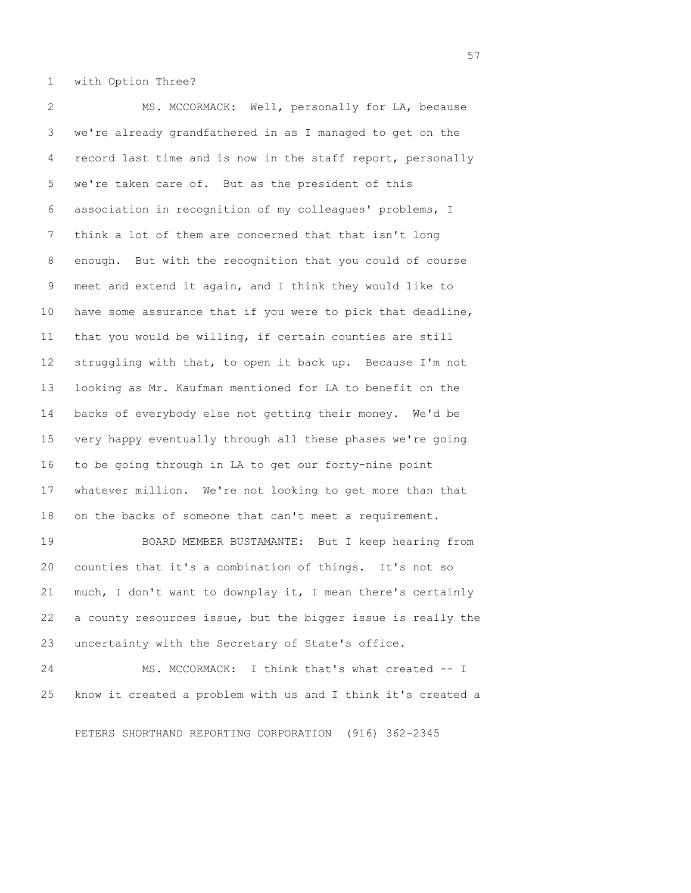1 with Option Three?

 2 MS. MCCORMACK: Well, personally for LA, because 3 we're already grandfathered in as I managed to get on the 4 record last time and is now in the staff report, personally 5 we're taken care of. But as the president of this 6 association in recognition of my colleagues' problems, I 7 think a lot of them are concerned that that isn't long 8 enough. But with the recognition that you could of course 9 meet and extend it again, and I think they would like to 10 have some assurance that if you were to pick that deadline, 11 that you would be willing, if certain counties are still 12 struggling with that, to open it back up. Because I'm not 13 looking as Mr. Kaufman mentioned for LA to benefit on the 14 backs of everybody else not getting their money. We'd be 15 very happy eventually through all these phases we're going 16 to be going through in LA to get our forty-nine point 17 whatever million. We're not looking to get more than that 18 on the backs of someone that can't meet a requirement. 19 BOARD MEMBER BUSTAMANTE: But I keep hearing from

20 counties that it's a combination of things. It's not so 21 much, I don't want to downplay it, I mean there's certainly 22 a county resources issue, but the bigger issue is really the 23 uncertainty with the Secretary of State's office.

24 MS. MCCORMACK: I think that's what created -- I 25 know it created a problem with us and I think it's created a

PETERS SHORTHAND REPORTING CORPORATION (916) 362-2345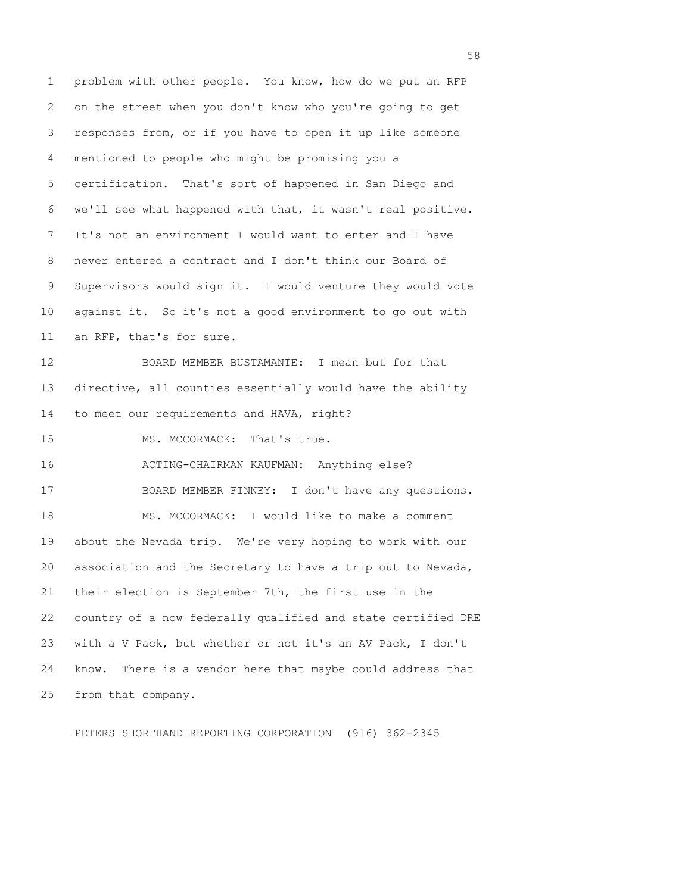1 problem with other people. You know, how do we put an RFP 2 on the street when you don't know who you're going to get 3 responses from, or if you have to open it up like someone 4 mentioned to people who might be promising you a 5 certification. That's sort of happened in San Diego and 6 we'll see what happened with that, it wasn't real positive. 7 It's not an environment I would want to enter and I have 8 never entered a contract and I don't think our Board of 9 Supervisors would sign it. I would venture they would vote 10 against it. So it's not a good environment to go out with 11 an RFP, that's for sure. 12 BOARD MEMBER BUSTAMANTE: I mean but for that 13 directive, all counties essentially would have the ability 14 to meet our requirements and HAVA, right? 15 MS. MCCORMACK: That's true. 16 ACTING-CHAIRMAN KAUFMAN: Anything else? 17 BOARD MEMBER FINNEY: I don't have any questions. 18 MS. MCCORMACK: I would like to make a comment 19 about the Nevada trip. We're very hoping to work with our 20 association and the Secretary to have a trip out to Nevada, 21 their election is September 7th, the first use in the 22 country of a now federally qualified and state certified DRE 23 with a V Pack, but whether or not it's an AV Pack, I don't 24 know. There is a vendor here that maybe could address that 25 from that company.

PETERS SHORTHAND REPORTING CORPORATION (916) 362-2345

the state of the state of the state of the state of the state of the state of the state of the state of the state of the state of the state of the state of the state of the state of the state of the state of the state of t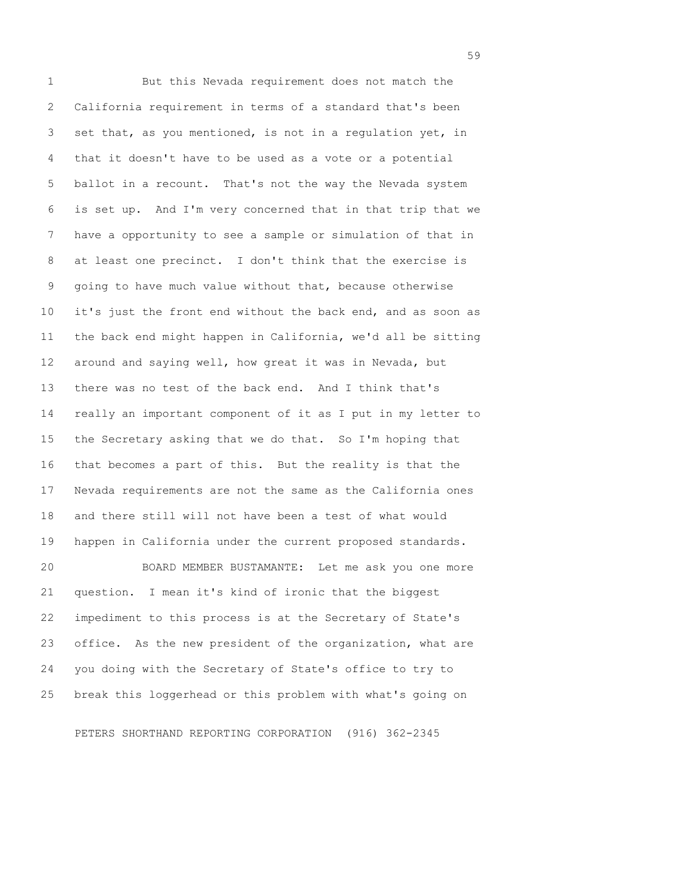1 But this Nevada requirement does not match the 2 California requirement in terms of a standard that's been 3 set that, as you mentioned, is not in a regulation yet, in 4 that it doesn't have to be used as a vote or a potential 5 ballot in a recount. That's not the way the Nevada system 6 is set up. And I'm very concerned that in that trip that we 7 have a opportunity to see a sample or simulation of that in 8 at least one precinct. I don't think that the exercise is 9 going to have much value without that, because otherwise 10 it's just the front end without the back end, and as soon as 11 the back end might happen in California, we'd all be sitting 12 around and saying well, how great it was in Nevada, but 13 there was no test of the back end. And I think that's 14 really an important component of it as I put in my letter to 15 the Secretary asking that we do that. So I'm hoping that 16 that becomes a part of this. But the reality is that the 17 Nevada requirements are not the same as the California ones 18 and there still will not have been a test of what would 19 happen in California under the current proposed standards. 20 BOARD MEMBER BUSTAMANTE: Let me ask you one more 21 question. I mean it's kind of ironic that the biggest 22 impediment to this process is at the Secretary of State's 23 office. As the new president of the organization, what are 24 you doing with the Secretary of State's office to try to 25 break this loggerhead or this problem with what's going on

PETERS SHORTHAND REPORTING CORPORATION (916) 362-2345

 $59<sup>59</sup>$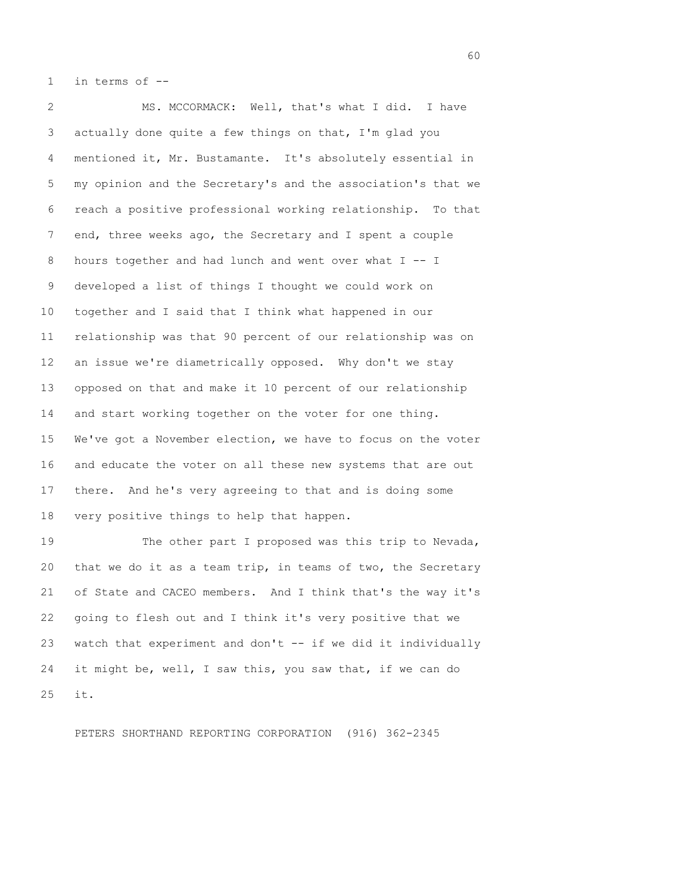1 in terms of --

 2 MS. MCCORMACK: Well, that's what I did. I have 3 actually done quite a few things on that, I'm glad you 4 mentioned it, Mr. Bustamante. It's absolutely essential in 5 my opinion and the Secretary's and the association's that we 6 reach a positive professional working relationship. To that 7 end, three weeks ago, the Secretary and I spent a couple 8 hours together and had lunch and went over what I -- I 9 developed a list of things I thought we could work on 10 together and I said that I think what happened in our 11 relationship was that 90 percent of our relationship was on 12 an issue we're diametrically opposed. Why don't we stay 13 opposed on that and make it 10 percent of our relationship 14 and start working together on the voter for one thing. 15 We've got a November election, we have to focus on the voter 16 and educate the voter on all these new systems that are out 17 there. And he's very agreeing to that and is doing some 18 very positive things to help that happen.

19 The other part I proposed was this trip to Nevada, 20 that we do it as a team trip, in teams of two, the Secretary 21 of State and CACEO members. And I think that's the way it's 22 going to flesh out and I think it's very positive that we 23 watch that experiment and don't -- if we did it individually 24 it might be, well, I saw this, you saw that, if we can do 25 it.

PETERS SHORTHAND REPORTING CORPORATION (916) 362-2345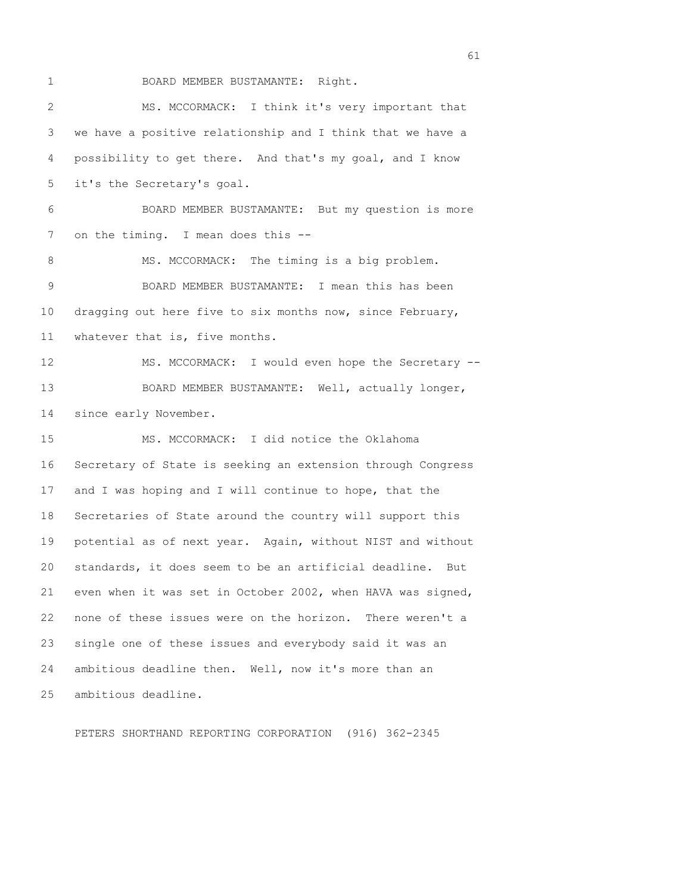1 BOARD MEMBER BUSTAMANTE: Right.

 2 MS. MCCORMACK: I think it's very important that 3 we have a positive relationship and I think that we have a 4 possibility to get there. And that's my goal, and I know 5 it's the Secretary's goal. 6 BOARD MEMBER BUSTAMANTE: But my question is more 7 on the timing. I mean does this --8 MS. MCCORMACK: The timing is a big problem. 9 BOARD MEMBER BUSTAMANTE: I mean this has been 10 dragging out here five to six months now, since February, 11 whatever that is, five months. 12 MS. MCCORMACK: I would even hope the Secretary -- 13 BOARD MEMBER BUSTAMANTE: Well, actually longer, 14 since early November. 15 MS. MCCORMACK: I did notice the Oklahoma 16 Secretary of State is seeking an extension through Congress 17 and I was hoping and I will continue to hope, that the 18 Secretaries of State around the country will support this 19 potential as of next year. Again, without NIST and without 20 standards, it does seem to be an artificial deadline. But 21 even when it was set in October 2002, when HAVA was signed, 22 none of these issues were on the horizon. There weren't a 23 single one of these issues and everybody said it was an 24 ambitious deadline then. Well, now it's more than an 25 ambitious deadline.

PETERS SHORTHAND REPORTING CORPORATION (916) 362-2345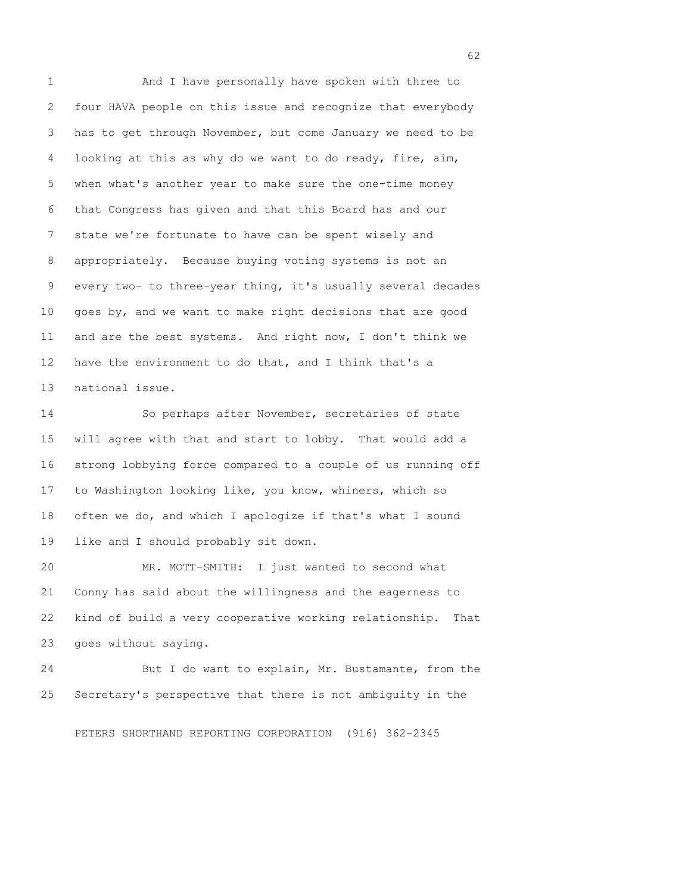1 And I have personally have spoken with three to 2 four HAVA people on this issue and recognize that everybody 3 has to get through November, but come January we need to be 4 looking at this as why do we want to do ready, fire, aim, 5 when what's another year to make sure the one-time money 6 that Congress has given and that this Board has and our 7 state we're fortunate to have can be spent wisely and 8 appropriately. Because buying voting systems is not an 9 every two- to three-year thing, it's usually several decades 10 goes by, and we want to make right decisions that are good 11 and are the best systems. And right now, I don't think we 12 have the environment to do that, and I think that's a 13 national issue.

14 So perhaps after November, secretaries of state 15 will agree with that and start to lobby. That would add a 16 strong lobbying force compared to a couple of us running off 17 to Washington looking like, you know, whiners, which so 18 often we do, and which I apologize if that's what I sound 19 like and I should probably sit down.

20 MR. MOTT-SMITH: I just wanted to second what 21 Conny has said about the willingness and the eagerness to 22 kind of build a very cooperative working relationship. That 23 goes without saying.

24 But I do want to explain, Mr. Bustamante, from the 25 Secretary's perspective that there is not ambiguity in the

PETERS SHORTHAND REPORTING CORPORATION (916) 362-2345

 $\sim$  62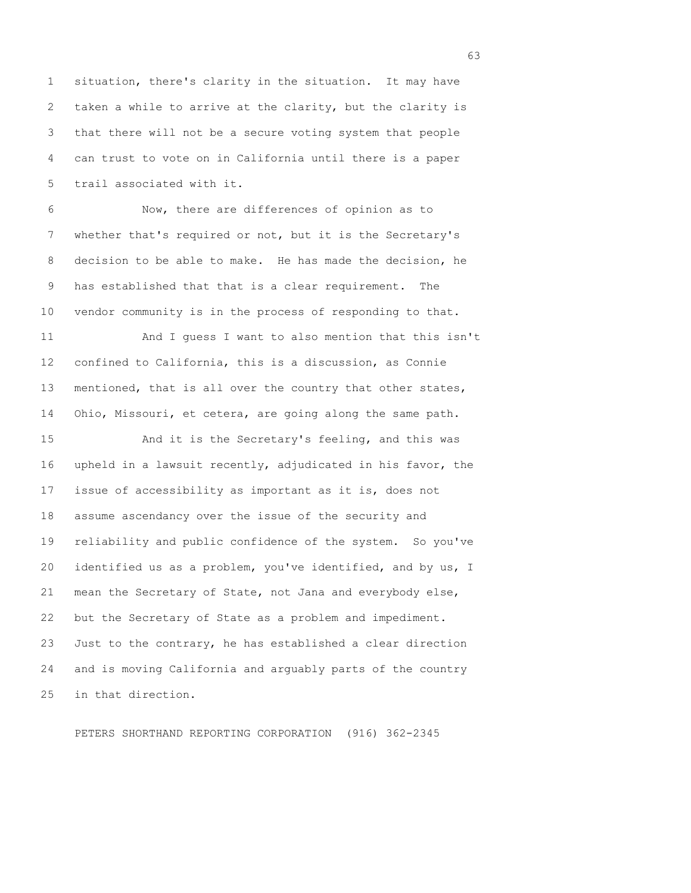1 situation, there's clarity in the situation. It may have 2 taken a while to arrive at the clarity, but the clarity is 3 that there will not be a secure voting system that people 4 can trust to vote on in California until there is a paper 5 trail associated with it.

 6 Now, there are differences of opinion as to 7 whether that's required or not, but it is the Secretary's 8 decision to be able to make. He has made the decision, he 9 has established that that is a clear requirement. The 10 vendor community is in the process of responding to that.

11 And I guess I want to also mention that this isn't 12 confined to California, this is a discussion, as Connie 13 mentioned, that is all over the country that other states, 14 Ohio, Missouri, et cetera, are going along the same path.

15 And it is the Secretary's feeling, and this was 16 upheld in a lawsuit recently, adjudicated in his favor, the 17 issue of accessibility as important as it is, does not 18 assume ascendancy over the issue of the security and 19 reliability and public confidence of the system. So you've 20 identified us as a problem, you've identified, and by us, I 21 mean the Secretary of State, not Jana and everybody else, 22 but the Secretary of State as a problem and impediment. 23 Just to the contrary, he has established a clear direction 24 and is moving California and arguably parts of the country 25 in that direction.

PETERS SHORTHAND REPORTING CORPORATION (916) 362-2345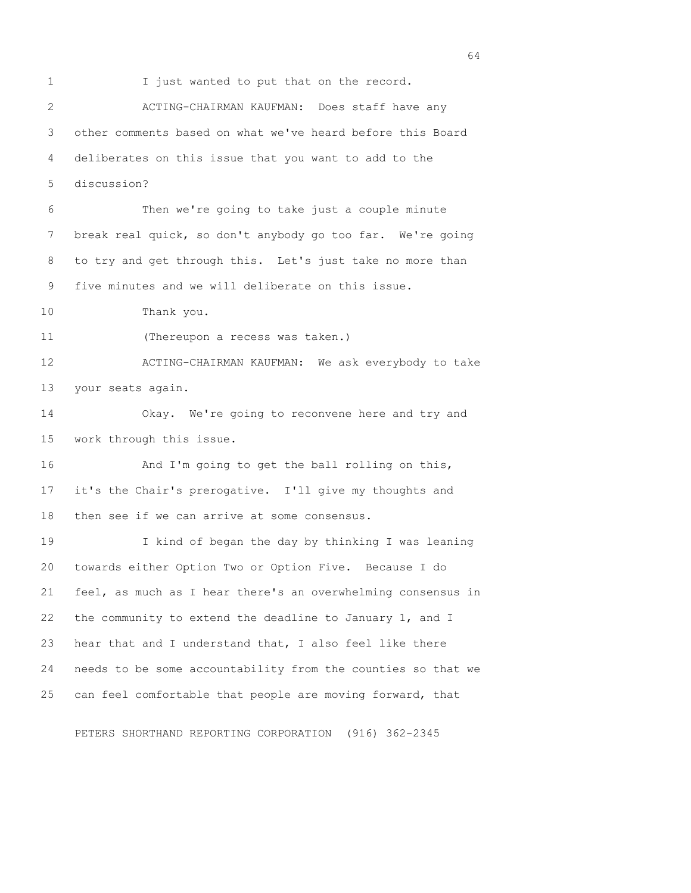1 I just wanted to put that on the record. 2 ACTING-CHAIRMAN KAUFMAN: Does staff have any 3 other comments based on what we've heard before this Board 4 deliberates on this issue that you want to add to the 5 discussion? 6 Then we're going to take just a couple minute 7 break real quick, so don't anybody go too far. We're going 8 to try and get through this. Let's just take no more than 9 five minutes and we will deliberate on this issue. 10 Thank you. 11 (Thereupon a recess was taken.) 12 ACTING-CHAIRMAN KAUFMAN: We ask everybody to take 13 your seats again. 14 Okay. We're going to reconvene here and try and 15 work through this issue. 16 And I'm going to get the ball rolling on this, 17 it's the Chair's prerogative. I'll give my thoughts and 18 then see if we can arrive at some consensus. 19 I kind of began the day by thinking I was leaning 20 towards either Option Two or Option Five. Because I do 21 feel, as much as I hear there's an overwhelming consensus in 22 the community to extend the deadline to January 1, and I 23 hear that and I understand that, I also feel like there 24 needs to be some accountability from the counties so that we 25 can feel comfortable that people are moving forward, that

PETERS SHORTHAND REPORTING CORPORATION (916) 362-2345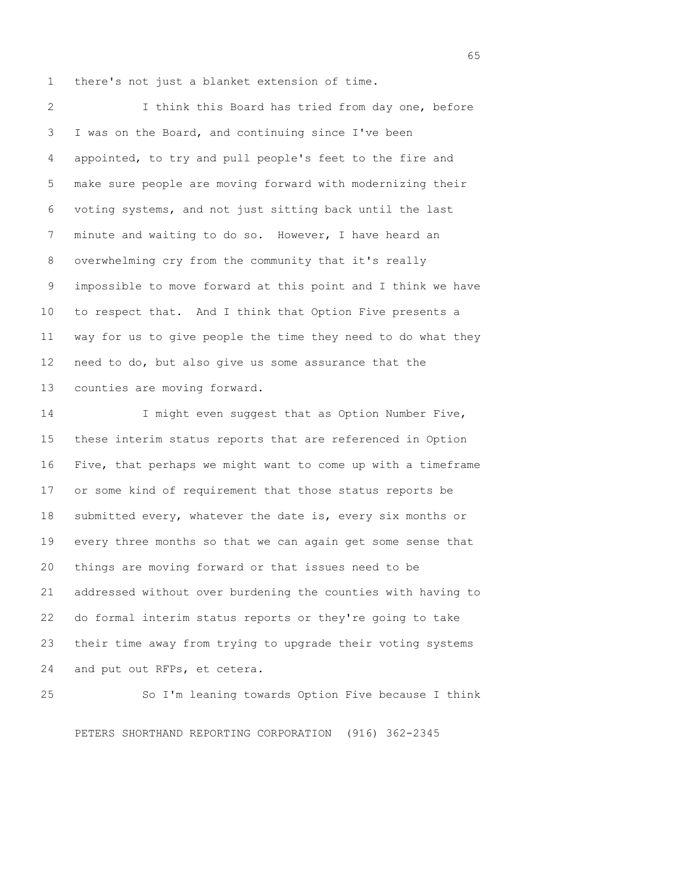1 there's not just a blanket extension of time.

 2 I think this Board has tried from day one, before 3 I was on the Board, and continuing since I've been 4 appointed, to try and pull people's feet to the fire and 5 make sure people are moving forward with modernizing their 6 voting systems, and not just sitting back until the last 7 minute and waiting to do so. However, I have heard an 8 overwhelming cry from the community that it's really 9 impossible to move forward at this point and I think we have 10 to respect that. And I think that Option Five presents a 11 way for us to give people the time they need to do what they 12 need to do, but also give us some assurance that the 13 counties are moving forward.

14 I might even suggest that as Option Number Five, 15 these interim status reports that are referenced in Option 16 Five, that perhaps we might want to come up with a timeframe 17 or some kind of requirement that those status reports be 18 submitted every, whatever the date is, every six months or 19 every three months so that we can again get some sense that 20 things are moving forward or that issues need to be 21 addressed without over burdening the counties with having to 22 do formal interim status reports or they're going to take 23 their time away from trying to upgrade their voting systems 24 and put out RFPs, et cetera.

25 So I'm leaning towards Option Five because I think PETERS SHORTHAND REPORTING CORPORATION (916) 362-2345

 $\sim$  65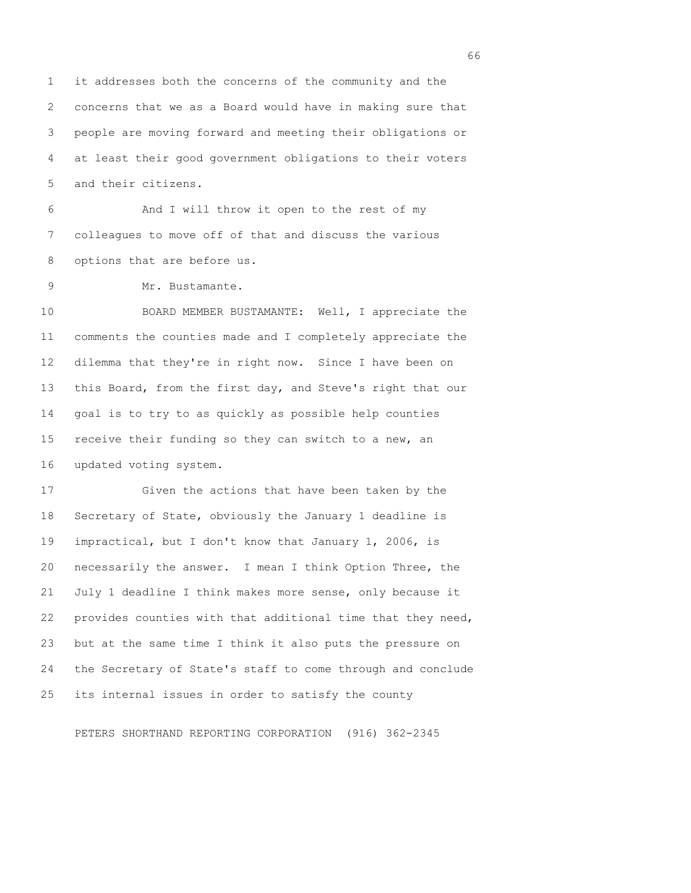1 it addresses both the concerns of the community and the 2 concerns that we as a Board would have in making sure that 3 people are moving forward and meeting their obligations or 4 at least their good government obligations to their voters 5 and their citizens.

 6 And I will throw it open to the rest of my 7 colleagues to move off of that and discuss the various 8 options that are before us.

9 Mr. Bustamante.

10 BOARD MEMBER BUSTAMANTE: Well, I appreciate the 11 comments the counties made and I completely appreciate the 12 dilemma that they're in right now. Since I have been on 13 this Board, from the first day, and Steve's right that our 14 goal is to try to as quickly as possible help counties 15 receive their funding so they can switch to a new, an 16 updated voting system.

17 Given the actions that have been taken by the 18 Secretary of State, obviously the January 1 deadline is 19 impractical, but I don't know that January 1, 2006, is 20 necessarily the answer. I mean I think Option Three, the 21 July 1 deadline I think makes more sense, only because it 22 provides counties with that additional time that they need, 23 but at the same time I think it also puts the pressure on 24 the Secretary of State's staff to come through and conclude 25 its internal issues in order to satisfy the county

PETERS SHORTHAND REPORTING CORPORATION (916) 362-2345

 $\sim$  66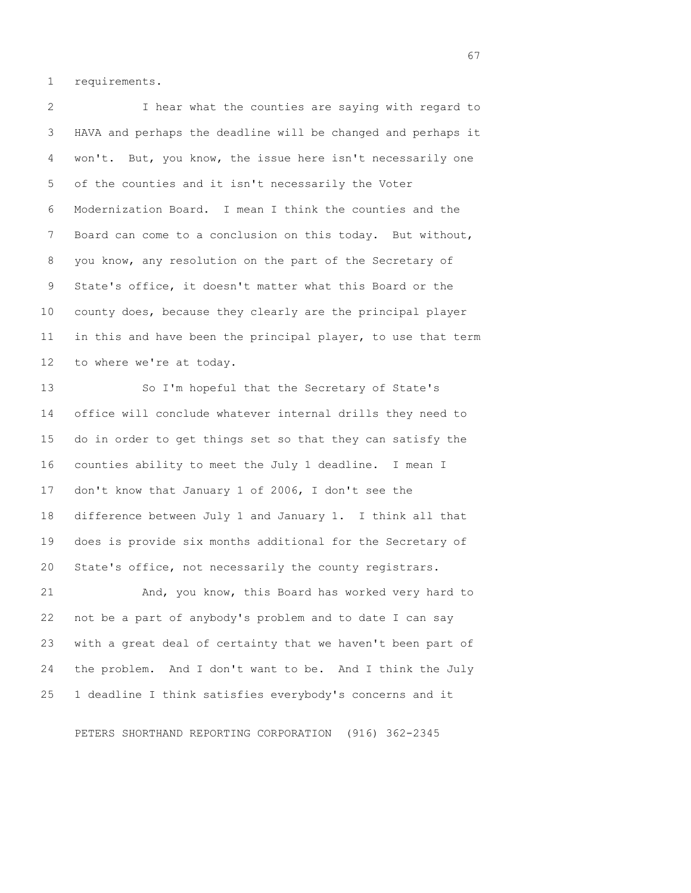1 requirements.

 2 I hear what the counties are saying with regard to 3 HAVA and perhaps the deadline will be changed and perhaps it 4 won't. But, you know, the issue here isn't necessarily one 5 of the counties and it isn't necessarily the Voter 6 Modernization Board. I mean I think the counties and the 7 Board can come to a conclusion on this today. But without, 8 you know, any resolution on the part of the Secretary of 9 State's office, it doesn't matter what this Board or the 10 county does, because they clearly are the principal player 11 in this and have been the principal player, to use that term 12 to where we're at today.

13 So I'm hopeful that the Secretary of State's 14 office will conclude whatever internal drills they need to 15 do in order to get things set so that they can satisfy the 16 counties ability to meet the July 1 deadline. I mean I 17 don't know that January 1 of 2006, I don't see the 18 difference between July 1 and January 1. I think all that 19 does is provide six months additional for the Secretary of 20 State's office, not necessarily the county registrars.

21 And, you know, this Board has worked very hard to 22 not be a part of anybody's problem and to date I can say 23 with a great deal of certainty that we haven't been part of 24 the problem. And I don't want to be. And I think the July 25 1 deadline I think satisfies everybody's concerns and it

PETERS SHORTHAND REPORTING CORPORATION (916) 362-2345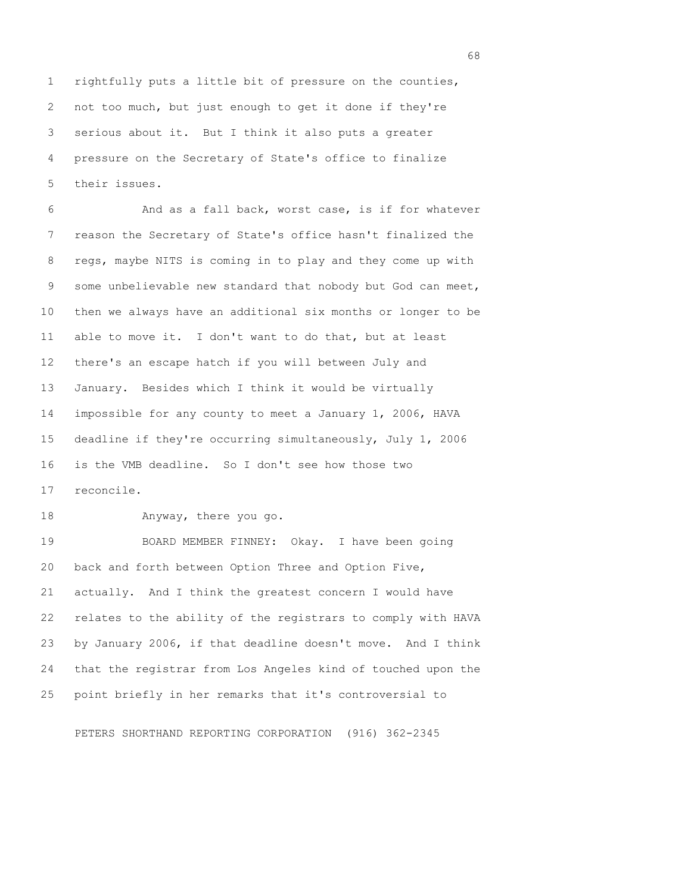1 rightfully puts a little bit of pressure on the counties, 2 not too much, but just enough to get it done if they're 3 serious about it. But I think it also puts a greater 4 pressure on the Secretary of State's office to finalize 5 their issues.

 6 And as a fall back, worst case, is if for whatever 7 reason the Secretary of State's office hasn't finalized the 8 regs, maybe NITS is coming in to play and they come up with 9 some unbelievable new standard that nobody but God can meet, 10 then we always have an additional six months or longer to be 11 able to move it. I don't want to do that, but at least 12 there's an escape hatch if you will between July and 13 January. Besides which I think it would be virtually 14 impossible for any county to meet a January 1, 2006, HAVA 15 deadline if they're occurring simultaneously, July 1, 2006 16 is the VMB deadline. So I don't see how those two 17 reconcile.

18 Anyway, there you go.

19 BOARD MEMBER FINNEY: Okay. I have been going 20 back and forth between Option Three and Option Five, 21 actually. And I think the greatest concern I would have 22 relates to the ability of the registrars to comply with HAVA 23 by January 2006, if that deadline doesn't move. And I think 24 that the registrar from Los Angeles kind of touched upon the 25 point briefly in her remarks that it's controversial to

PETERS SHORTHAND REPORTING CORPORATION (916) 362-2345

entration of the contract of the contract of the contract of the contract of the contract of the contract of the contract of the contract of the contract of the contract of the contract of the contract of the contract of t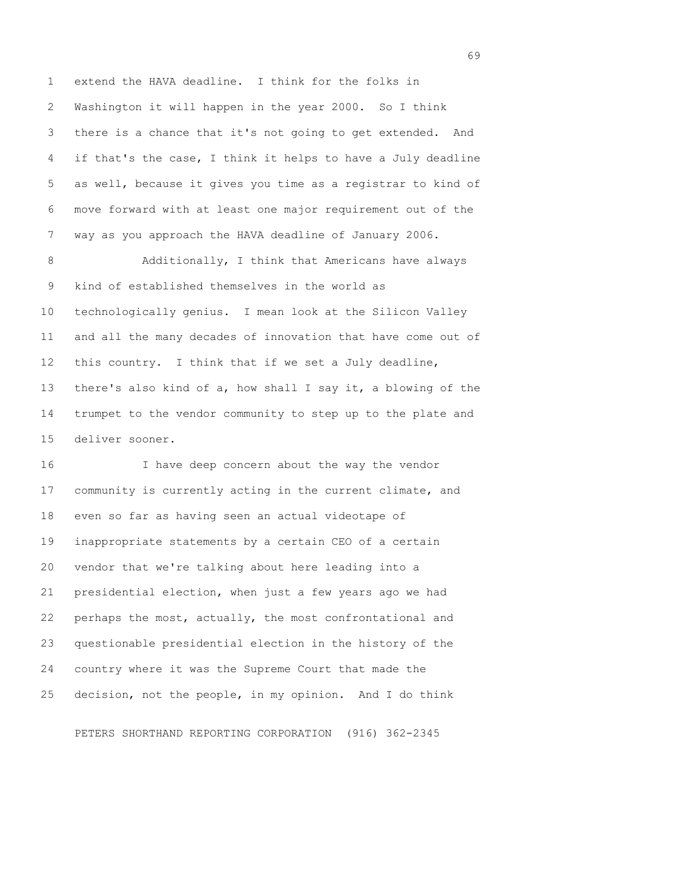1 extend the HAVA deadline. I think for the folks in 2 Washington it will happen in the year 2000. So I think 3 there is a chance that it's not going to get extended. And 4 if that's the case, I think it helps to have a July deadline 5 as well, because it gives you time as a registrar to kind of 6 move forward with at least one major requirement out of the 7 way as you approach the HAVA deadline of January 2006.

8 Additionally, I think that Americans have always 9 kind of established themselves in the world as 10 technologically genius. I mean look at the Silicon Valley 11 and all the many decades of innovation that have come out of 12 this country. I think that if we set a July deadline, 13 there's also kind of a, how shall I say it, a blowing of the 14 trumpet to the vendor community to step up to the plate and 15 deliver sooner.

16 I have deep concern about the way the vendor 17 community is currently acting in the current climate, and 18 even so far as having seen an actual videotape of 19 inappropriate statements by a certain CEO of a certain 20 vendor that we're talking about here leading into a 21 presidential election, when just a few years ago we had 22 perhaps the most, actually, the most confrontational and 23 questionable presidential election in the history of the 24 country where it was the Supreme Court that made the 25 decision, not the people, in my opinion. And I do think

PETERS SHORTHAND REPORTING CORPORATION (916) 362-2345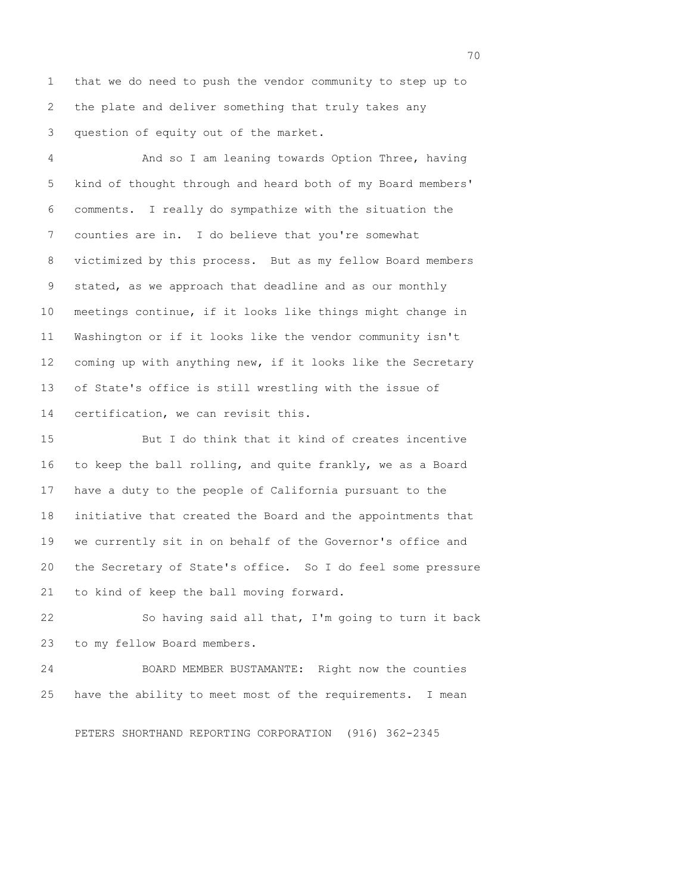1 that we do need to push the vendor community to step up to 2 the plate and deliver something that truly takes any 3 question of equity out of the market.

 4 And so I am leaning towards Option Three, having 5 kind of thought through and heard both of my Board members' 6 comments. I really do sympathize with the situation the 7 counties are in. I do believe that you're somewhat 8 victimized by this process. But as my fellow Board members 9 stated, as we approach that deadline and as our monthly 10 meetings continue, if it looks like things might change in 11 Washington or if it looks like the vendor community isn't 12 coming up with anything new, if it looks like the Secretary 13 of State's office is still wrestling with the issue of 14 certification, we can revisit this.

15 But I do think that it kind of creates incentive 16 to keep the ball rolling, and quite frankly, we as a Board 17 have a duty to the people of California pursuant to the 18 initiative that created the Board and the appointments that 19 we currently sit in on behalf of the Governor's office and 20 the Secretary of State's office. So I do feel some pressure 21 to kind of keep the ball moving forward.

22 So having said all that, I'm going to turn it back 23 to my fellow Board members.

24 BOARD MEMBER BUSTAMANTE: Right now the counties 25 have the ability to meet most of the requirements. I mean

PETERS SHORTHAND REPORTING CORPORATION (916) 362-2345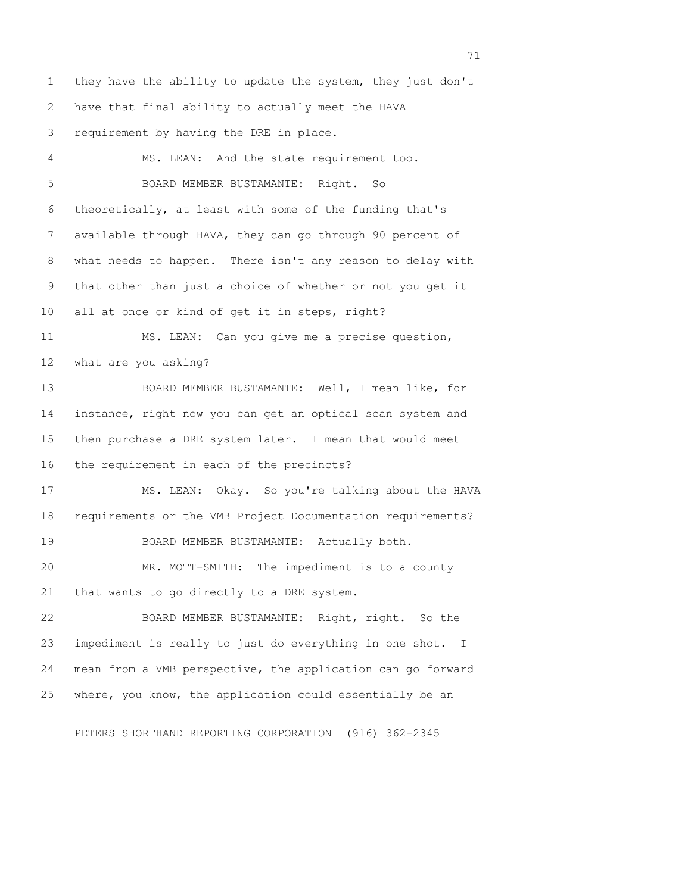1 they have the ability to update the system, they just don't 2 have that final ability to actually meet the HAVA 3 requirement by having the DRE in place.

 4 MS. LEAN: And the state requirement too. 5 BOARD MEMBER BUSTAMANTE: Right. So 6 theoretically, at least with some of the funding that's 7 available through HAVA, they can go through 90 percent of 8 what needs to happen. There isn't any reason to delay with 9 that other than just a choice of whether or not you get it 10 all at once or kind of get it in steps, right? 11 MS. LEAN: Can you give me a precise question, 12 what are you asking? 13 BOARD MEMBER BUSTAMANTE: Well, I mean like, for 14 instance, right now you can get an optical scan system and 15 then purchase a DRE system later. I mean that would meet 16 the requirement in each of the precincts? 17 MS. LEAN: Okay. So you're talking about the HAVA 18 requirements or the VMB Project Documentation requirements? 19 BOARD MEMBER BUSTAMANTE: Actually both. 20 MR. MOTT-SMITH: The impediment is to a county 21 that wants to go directly to a DRE system. 22 BOARD MEMBER BUSTAMANTE: Right, right. So the 23 impediment is really to just do everything in one shot. I 24 mean from a VMB perspective, the application can go forward 25 where, you know, the application could essentially be an

PETERS SHORTHAND REPORTING CORPORATION (916) 362-2345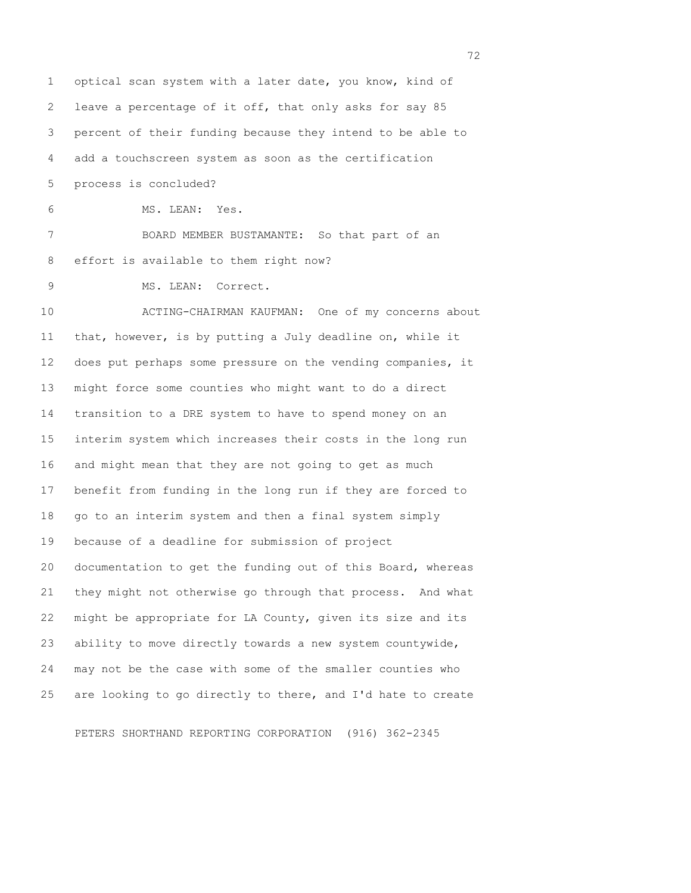1 optical scan system with a later date, you know, kind of 2 leave a percentage of it off, that only asks for say 85 3 percent of their funding because they intend to be able to 4 add a touchscreen system as soon as the certification 5 process is concluded? 6 MS. LEAN: Yes. 7 BOARD MEMBER BUSTAMANTE: So that part of an 8 effort is available to them right now? 9 MS. LEAN: Correct. 10 ACTING-CHAIRMAN KAUFMAN: One of my concerns about 11 that, however, is by putting a July deadline on, while it 12 does put perhaps some pressure on the vending companies, it 13 might force some counties who might want to do a direct 14 transition to a DRE system to have to spend money on an 15 interim system which increases their costs in the long run 16 and might mean that they are not going to get as much 17 benefit from funding in the long run if they are forced to 18 go to an interim system and then a final system simply 19 because of a deadline for submission of project 20 documentation to get the funding out of this Board, whereas 21 they might not otherwise go through that process. And what 22 might be appropriate for LA County, given its size and its 23 ability to move directly towards a new system countywide, 24 may not be the case with some of the smaller counties who 25 are looking to go directly to there, and I'd hate to create

PETERS SHORTHAND REPORTING CORPORATION (916) 362-2345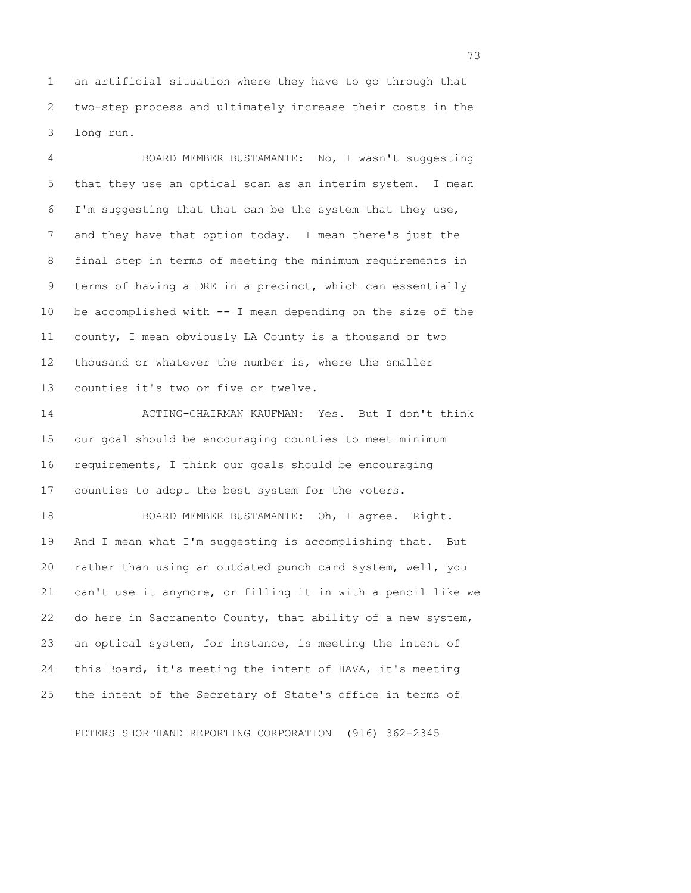1 an artificial situation where they have to go through that 2 two-step process and ultimately increase their costs in the 3 long run.

 4 BOARD MEMBER BUSTAMANTE: No, I wasn't suggesting 5 that they use an optical scan as an interim system. I mean 6 I'm suggesting that that can be the system that they use, 7 and they have that option today. I mean there's just the 8 final step in terms of meeting the minimum requirements in 9 terms of having a DRE in a precinct, which can essentially 10 be accomplished with -- I mean depending on the size of the 11 county, I mean obviously LA County is a thousand or two 12 thousand or whatever the number is, where the smaller 13 counties it's two or five or twelve.

14 ACTING-CHAIRMAN KAUFMAN: Yes. But I don't think 15 our goal should be encouraging counties to meet minimum 16 requirements, I think our goals should be encouraging 17 counties to adopt the best system for the voters.

18 BOARD MEMBER BUSTAMANTE: Oh, I agree. Right. 19 And I mean what I'm suggesting is accomplishing that. But 20 rather than using an outdated punch card system, well, you 21 can't use it anymore, or filling it in with a pencil like we 22 do here in Sacramento County, that ability of a new system, 23 an optical system, for instance, is meeting the intent of 24 this Board, it's meeting the intent of HAVA, it's meeting 25 the intent of the Secretary of State's office in terms of

PETERS SHORTHAND REPORTING CORPORATION (916) 362-2345

<u>23 a seu nombre de la contrada de la contrada de la contrada de la contrada de la contrada de la contrada de l</u>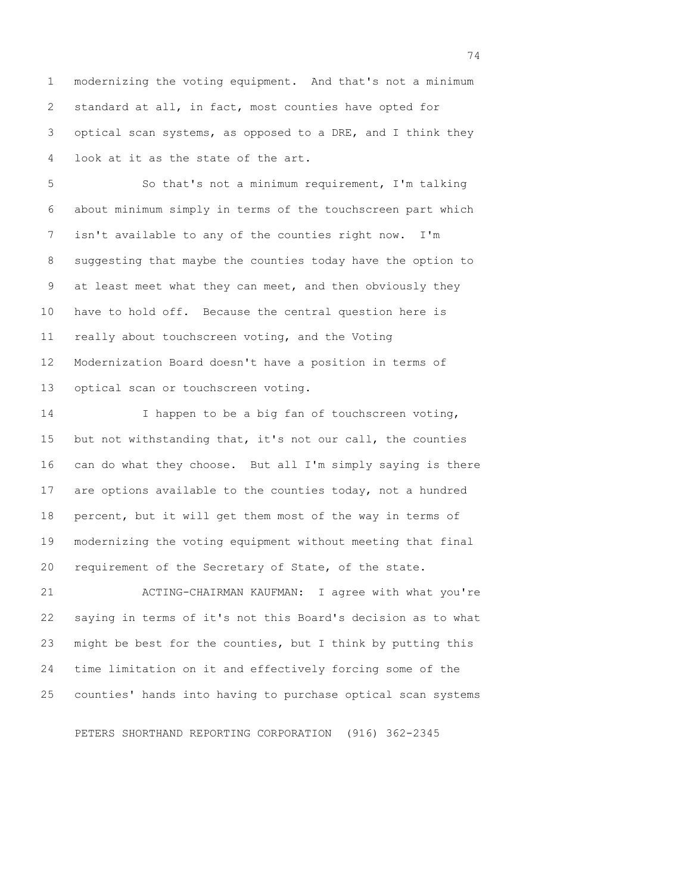1 modernizing the voting equipment. And that's not a minimum 2 standard at all, in fact, most counties have opted for 3 optical scan systems, as opposed to a DRE, and I think they 4 look at it as the state of the art.

 5 So that's not a minimum requirement, I'm talking 6 about minimum simply in terms of the touchscreen part which 7 isn't available to any of the counties right now. I'm 8 suggesting that maybe the counties today have the option to 9 at least meet what they can meet, and then obviously they 10 have to hold off. Because the central question here is 11 really about touchscreen voting, and the Voting 12 Modernization Board doesn't have a position in terms of 13 optical scan or touchscreen voting.

14 I happen to be a big fan of touchscreen voting, 15 but not withstanding that, it's not our call, the counties 16 can do what they choose. But all I'm simply saying is there 17 are options available to the counties today, not a hundred 18 percent, but it will get them most of the way in terms of 19 modernizing the voting equipment without meeting that final 20 requirement of the Secretary of State, of the state.

21 ACTING-CHAIRMAN KAUFMAN: I agree with what you're 22 saying in terms of it's not this Board's decision as to what 23 might be best for the counties, but I think by putting this 24 time limitation on it and effectively forcing some of the 25 counties' hands into having to purchase optical scan systems

PETERS SHORTHAND REPORTING CORPORATION (916) 362-2345

74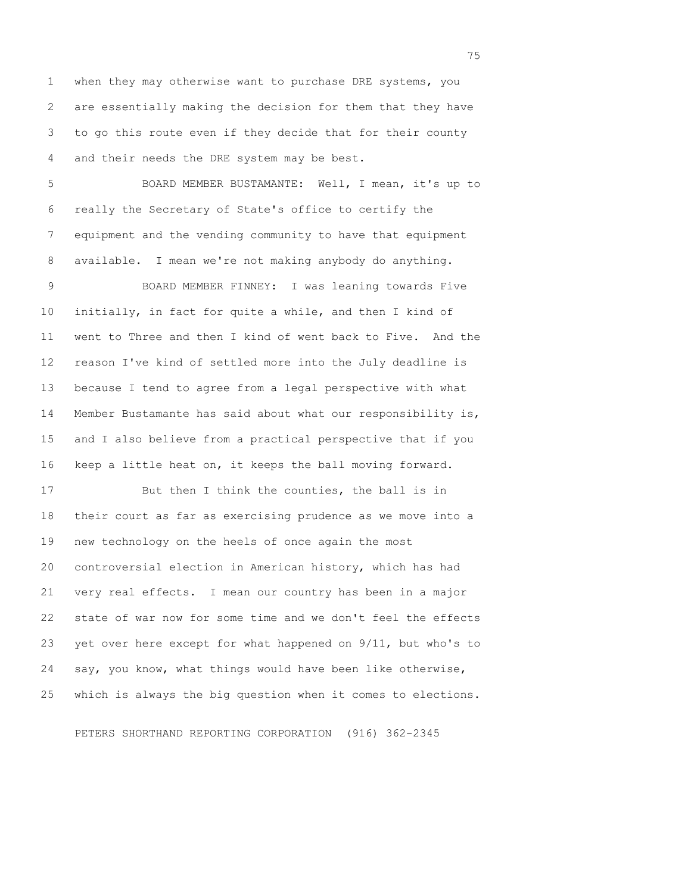1 when they may otherwise want to purchase DRE systems, you 2 are essentially making the decision for them that they have 3 to go this route even if they decide that for their county 4 and their needs the DRE system may be best.

 5 BOARD MEMBER BUSTAMANTE: Well, I mean, it's up to 6 really the Secretary of State's office to certify the 7 equipment and the vending community to have that equipment 8 available. I mean we're not making anybody do anything.

 9 BOARD MEMBER FINNEY: I was leaning towards Five 10 initially, in fact for quite a while, and then I kind of 11 went to Three and then I kind of went back to Five. And the 12 reason I've kind of settled more into the July deadline is 13 because I tend to agree from a legal perspective with what 14 Member Bustamante has said about what our responsibility is, 15 and I also believe from a practical perspective that if you 16 keep a little heat on, it keeps the ball moving forward.

17 But then I think the counties, the ball is in 18 their court as far as exercising prudence as we move into a 19 new technology on the heels of once again the most 20 controversial election in American history, which has had 21 very real effects. I mean our country has been in a major 22 state of war now for some time and we don't feel the effects 23 yet over here except for what happened on 9/11, but who's to 24 say, you know, what things would have been like otherwise, 25 which is always the big question when it comes to elections.

PETERS SHORTHAND REPORTING CORPORATION (916) 362-2345

<u>75</u> and the contract of the contract of the contract of the contract of the contract of the contract of the contract of the contract of the contract of the contract of the contract of the contract of the contract of the c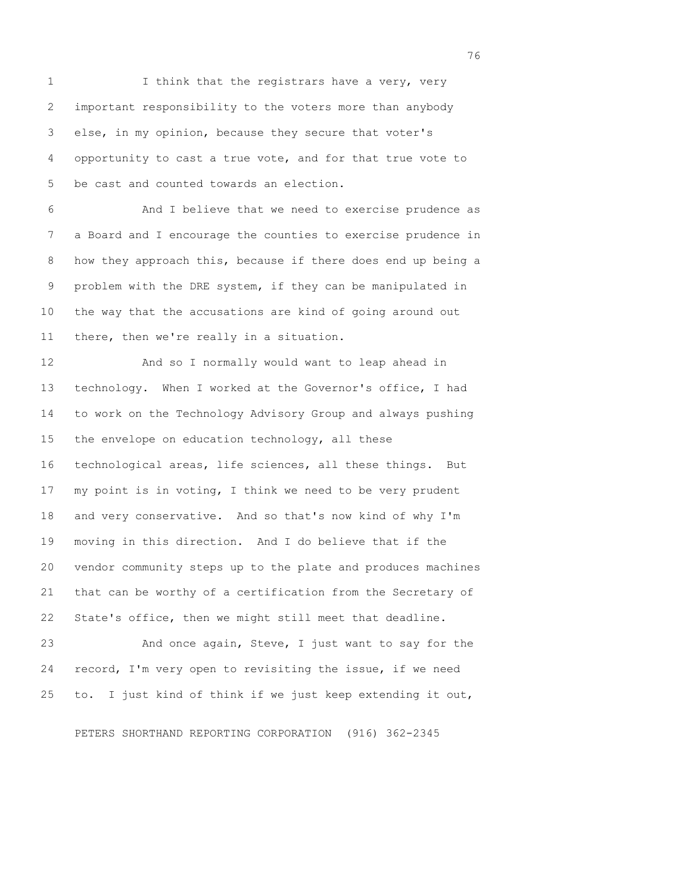1 I think that the registrars have a very, very 2 important responsibility to the voters more than anybody 3 else, in my opinion, because they secure that voter's 4 opportunity to cast a true vote, and for that true vote to 5 be cast and counted towards an election.

 6 And I believe that we need to exercise prudence as 7 a Board and I encourage the counties to exercise prudence in 8 how they approach this, because if there does end up being a 9 problem with the DRE system, if they can be manipulated in 10 the way that the accusations are kind of going around out 11 there, then we're really in a situation.

12 And so I normally would want to leap ahead in 13 technology. When I worked at the Governor's office, I had 14 to work on the Technology Advisory Group and always pushing 15 the envelope on education technology, all these 16 technological areas, life sciences, all these things. But 17 my point is in voting, I think we need to be very prudent 18 and very conservative. And so that's now kind of why I'm 19 moving in this direction. And I do believe that if the 20 vendor community steps up to the plate and produces machines 21 that can be worthy of a certification from the Secretary of 22 State's office, then we might still meet that deadline.

23 And once again, Steve, I just want to say for the 24 record, I'm very open to revisiting the issue, if we need 25 to. I just kind of think if we just keep extending it out,

PETERS SHORTHAND REPORTING CORPORATION (916) 362-2345

76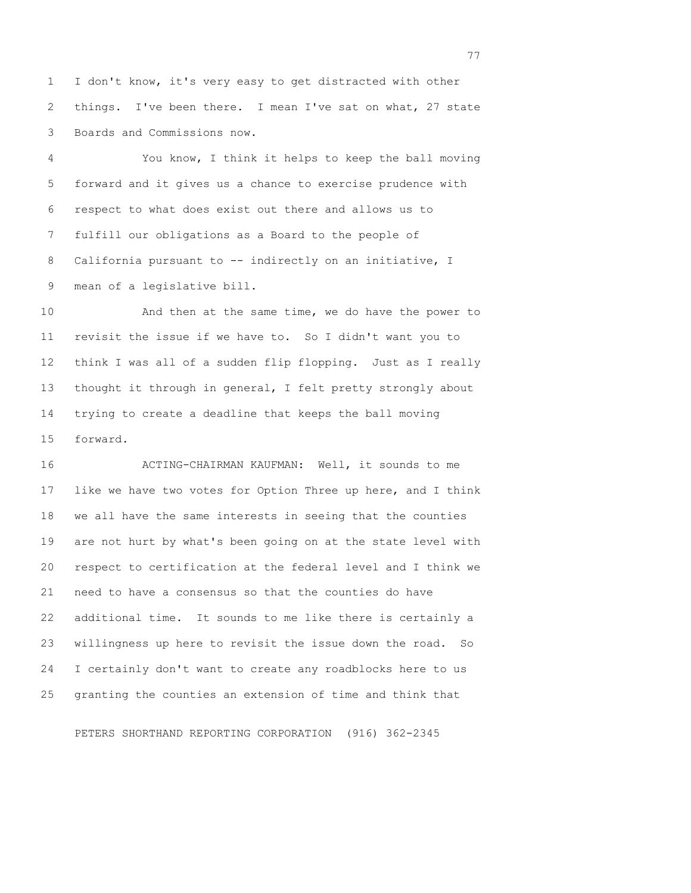1 I don't know, it's very easy to get distracted with other 2 things. I've been there. I mean I've sat on what, 27 state 3 Boards and Commissions now.

 4 You know, I think it helps to keep the ball moving 5 forward and it gives us a chance to exercise prudence with 6 respect to what does exist out there and allows us to 7 fulfill our obligations as a Board to the people of 8 California pursuant to -- indirectly on an initiative, I 9 mean of a legislative bill.

10 And then at the same time, we do have the power to 11 revisit the issue if we have to. So I didn't want you to 12 think I was all of a sudden flip flopping. Just as I really 13 thought it through in general, I felt pretty strongly about 14 trying to create a deadline that keeps the ball moving 15 forward.

16 ACTING-CHAIRMAN KAUFMAN: Well, it sounds to me 17 like we have two votes for Option Three up here, and I think 18 we all have the same interests in seeing that the counties 19 are not hurt by what's been going on at the state level with 20 respect to certification at the federal level and I think we 21 need to have a consensus so that the counties do have 22 additional time. It sounds to me like there is certainly a 23 willingness up here to revisit the issue down the road. So 24 I certainly don't want to create any roadblocks here to us 25 granting the counties an extension of time and think that

PETERS SHORTHAND REPORTING CORPORATION (916) 362-2345

77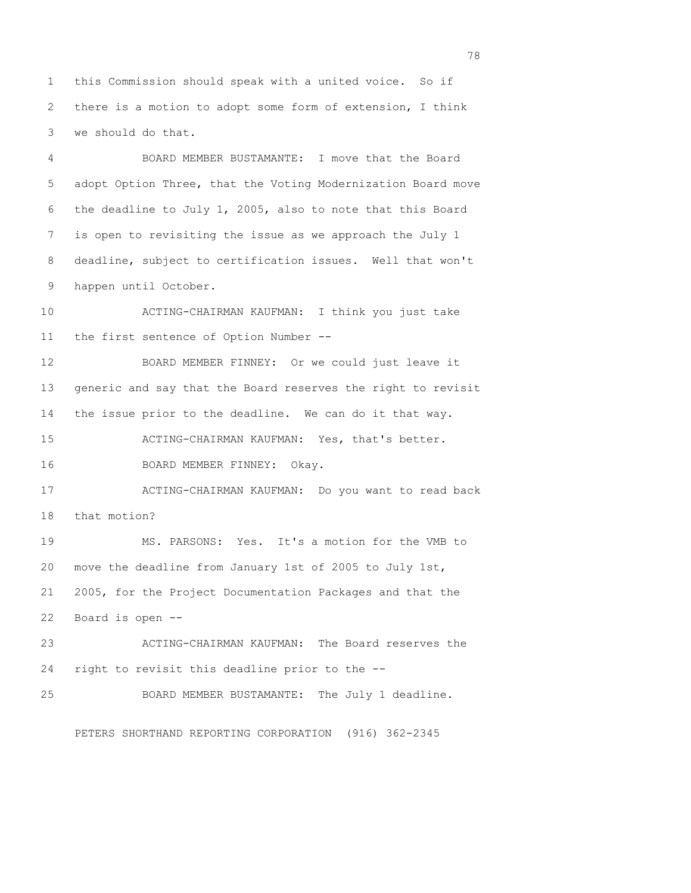1 this Commission should speak with a united voice. So if 2 there is a motion to adopt some form of extension, I think 3 we should do that.

 4 BOARD MEMBER BUSTAMANTE: I move that the Board 5 adopt Option Three, that the Voting Modernization Board move 6 the deadline to July 1, 2005, also to note that this Board 7 is open to revisiting the issue as we approach the July 1 8 deadline, subject to certification issues. Well that won't 9 happen until October.

10 ACTING-CHAIRMAN KAUFMAN: I think you just take 11 the first sentence of Option Number --

12 BOARD MEMBER FINNEY: Or we could just leave it 13 generic and say that the Board reserves the right to revisit 14 the issue prior to the deadline. We can do it that way.

15 ACTING-CHAIRMAN KAUFMAN: Yes, that's better.

16 BOARD MEMBER FINNEY: Okay.

17 ACTING-CHAIRMAN KAUFMAN: Do you want to read back 18 that motion?

19 MS. PARSONS: Yes. It's a motion for the VMB to 20 move the deadline from January 1st of 2005 to July 1st, 21 2005, for the Project Documentation Packages and that the 22 Board is open --

23 ACTING-CHAIRMAN KAUFMAN: The Board reserves the 24 right to revisit this deadline prior to the --

25 BOARD MEMBER BUSTAMANTE: The July 1 deadline.

PETERS SHORTHAND REPORTING CORPORATION (916) 362-2345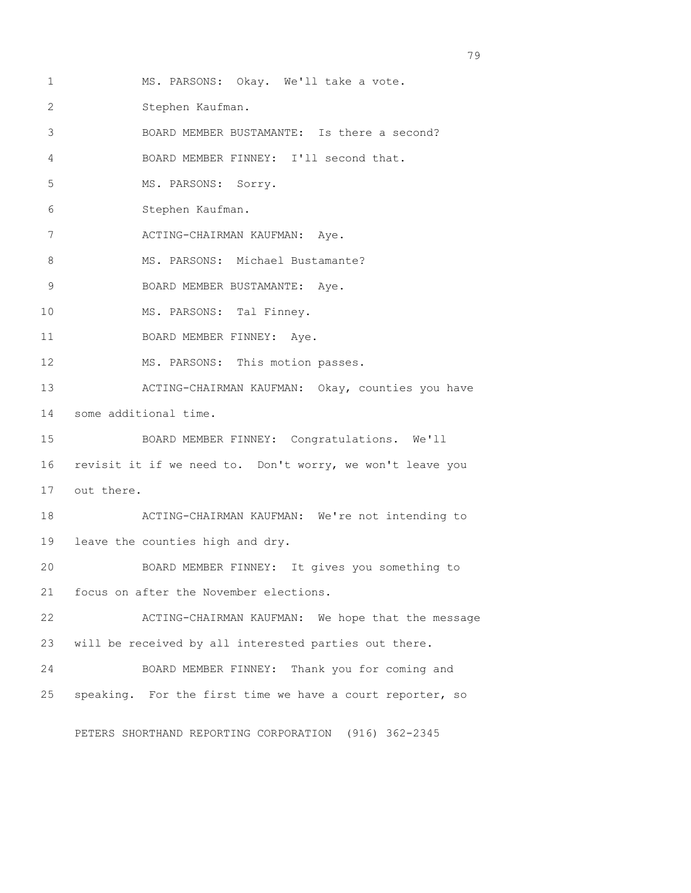1 MS. PARSONS: Okay. We'll take a vote.

2 Stephen Kaufman.

3 BOARD MEMBER BUSTAMANTE: Is there a second?

4 BOARD MEMBER FINNEY: I'll second that.

5 MS. PARSONS: Sorry.

6 Stephen Kaufman.

7 ACTING-CHAIRMAN KAUFMAN: Aye.

8 MS. PARSONS: Michael Bustamante?

9 BOARD MEMBER BUSTAMANTE: Aye.

10 MS. PARSONS: Tal Finney.

11 BOARD MEMBER FINNEY: Aye.

12 MS. PARSONS: This motion passes.

13 ACTING-CHAIRMAN KAUFMAN: Okay, counties you have 14 some additional time.

15 BOARD MEMBER FINNEY: Congratulations. We'll 16 revisit it if we need to. Don't worry, we won't leave you 17 out there.

18 ACTING-CHAIRMAN KAUFMAN: We're not intending to 19 leave the counties high and dry.

20 BOARD MEMBER FINNEY: It gives you something to 21 focus on after the November elections.

22 ACTING-CHAIRMAN KAUFMAN: We hope that the message 23 will be received by all interested parties out there.

24 BOARD MEMBER FINNEY: Thank you for coming and 25 speaking. For the first time we have a court reporter, so

PETERS SHORTHAND REPORTING CORPORATION (916) 362-2345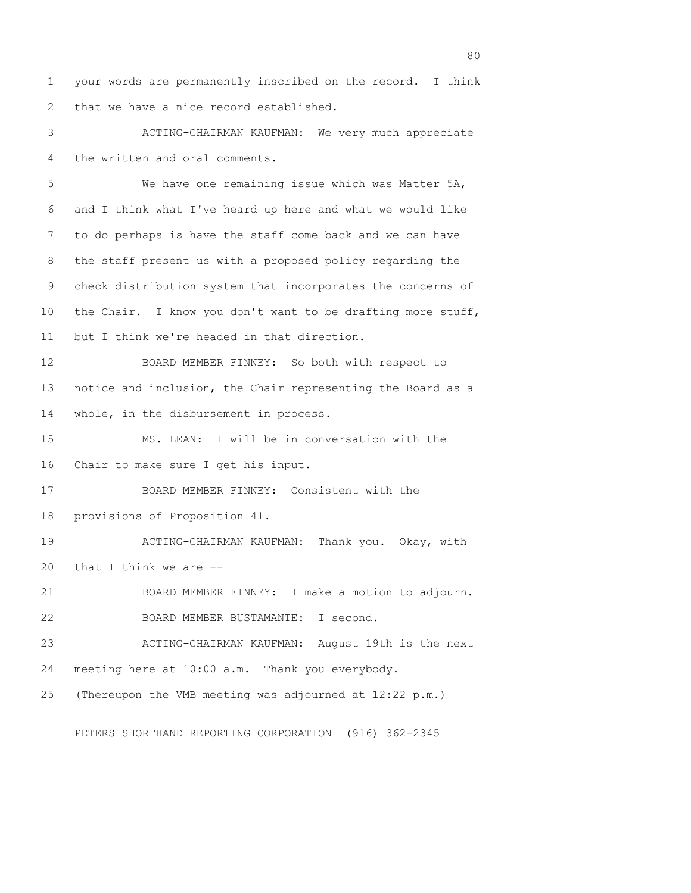1 your words are permanently inscribed on the record. I think 2 that we have a nice record established.

 3 ACTING-CHAIRMAN KAUFMAN: We very much appreciate 4 the written and oral comments.

 5 We have one remaining issue which was Matter 5A, 6 and I think what I've heard up here and what we would like 7 to do perhaps is have the staff come back and we can have 8 the staff present us with a proposed policy regarding the 9 check distribution system that incorporates the concerns of 10 the Chair. I know you don't want to be drafting more stuff, 11 but I think we're headed in that direction. 12 BOARD MEMBER FINNEY: So both with respect to 13 notice and inclusion, the Chair representing the Board as a 14 whole, in the disbursement in process. 15 MS. LEAN: I will be in conversation with the 16 Chair to make sure I get his input. 17 BOARD MEMBER FINNEY: Consistent with the 18 provisions of Proposition 41. 19 ACTING-CHAIRMAN KAUFMAN: Thank you. Okay, with 20 that I think we are -- 21 BOARD MEMBER FINNEY: I make a motion to adjourn. 22 BOARD MEMBER BUSTAMANTE: I second. 23 ACTING-CHAIRMAN KAUFMAN: August 19th is the next 24 meeting here at 10:00 a.m. Thank you everybody. 25 (Thereupon the VMB meeting was adjourned at 12:22 p.m.)

PETERS SHORTHAND REPORTING CORPORATION (916) 362-2345

entration of the state of the state of the state of the state of the state of the state of the state of the st